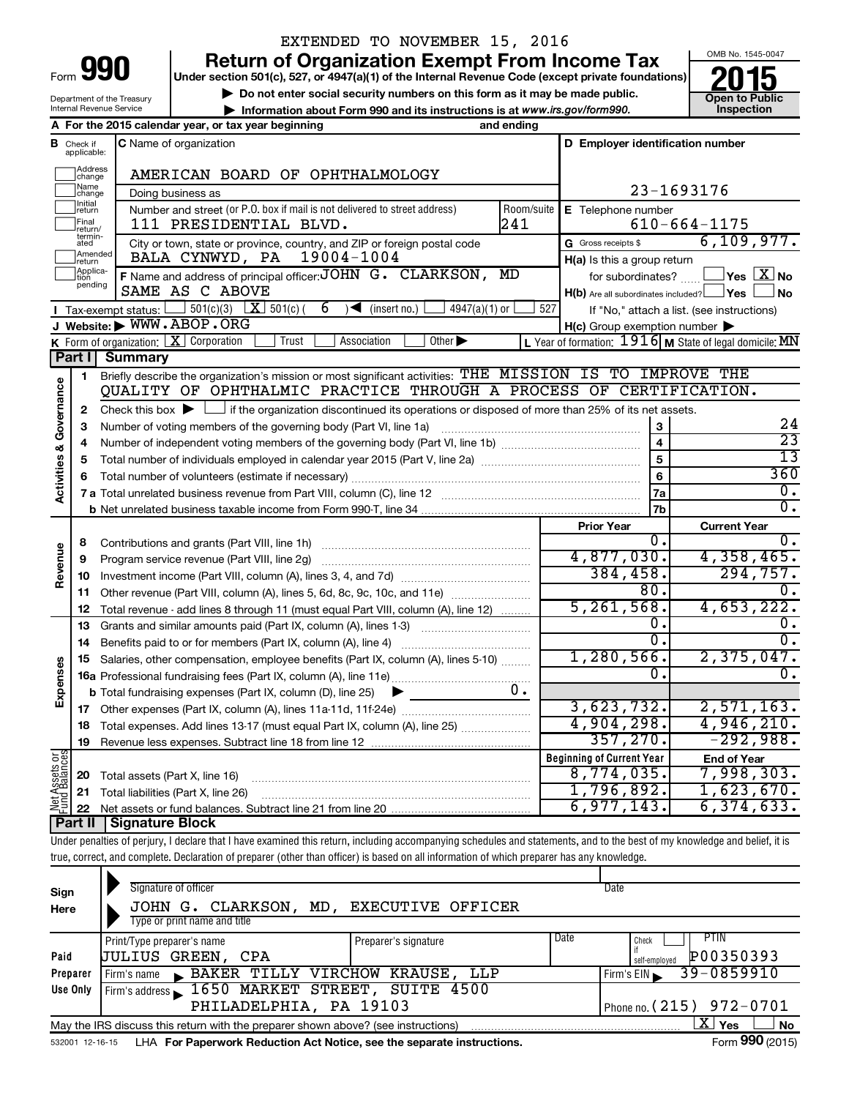| Form |  |
|------|--|

## EXTENDED TO NOVEMBER 15, 2016

**Return of Organization Exempt From Income Tax**<br>Under section 501(c), 527, or 4947(a)(1) of the Internal Revenue Code (except private foundations)<br> **2015** 

**Under section 501(c), 527, or 4947(a)(1) of the Internal Revenue Code (except private foundations) and Struction 501(c), 527, or 4947(a)(1) of the internal Revenue Code (except private foundations)<br>
■ Do not enter social security numbers on this form as it may be made public.<br>
■ Information about Form 990 and its inst** 

**• Information about Form 990 and its instructions is at www.irs.gov/form990. and inspection** 



Department of the Treasury Internal Revenue Service

|                                |                               | A For the 2015 calendar year, or tax year beginning                                                                                                                        | and ending |                                                     |                                                                    |
|--------------------------------|-------------------------------|----------------------------------------------------------------------------------------------------------------------------------------------------------------------------|------------|-----------------------------------------------------|--------------------------------------------------------------------|
|                                | <b>B</b> Check if applicable: | C Name of organization                                                                                                                                                     |            | D Employer identification number                    |                                                                    |
|                                | Address<br> change            | AMERICAN BOARD OF OPHTHALMOLOGY                                                                                                                                            |            |                                                     |                                                                    |
|                                | Name<br> change               | Doing business as                                                                                                                                                          |            |                                                     | 23-1693176                                                         |
|                                | Initial<br>return             | Number and street (or P.O. box if mail is not delivered to street address)                                                                                                 | Room/suite | E Telephone number                                  |                                                                    |
|                                | Final<br>return/              | 111 PRESIDENTIAL BLVD.                                                                                                                                                     | 241        |                                                     | $610 - 664 - 1175$                                                 |
|                                | termin-<br>ated               | City or town, state or province, country, and ZIP or foreign postal code                                                                                                   |            | G Gross receipts \$                                 | 6, 109, 977.                                                       |
|                                | Amended<br>Ireturn            | 19004-1004<br>BALA CYNWYD, PA                                                                                                                                              |            | H(a) Is this a group return                         |                                                                    |
|                                | Applica-<br>Ition             | F Name and address of principal officer: JOHN G. CLARKSON,                                                                                                                 | MD         | for subordinates?                                   | $\mathsf{\perp}$ Yes $\mathsf{\perp} \mathbb{X} \mathsf{\perp}$ No |
|                                | pending                       | SAME AS C ABOVE                                                                                                                                                            |            | H(b) Are all subordinates included? Ves             | ∫ No                                                               |
|                                |                               | 501(c)(3) $X$ 501(c)(<br>6<br>Tax-exempt status:<br>$\sqrt{\frac{1}{1}}$ (insert no.)<br>$4947(a)(1)$ or                                                                   | 527        |                                                     | If "No," attach a list. (see instructions)                         |
|                                |                               | J Website: WWW.ABOP.ORG                                                                                                                                                    |            | $H(c)$ Group exemption number $\blacktriangleright$ |                                                                    |
|                                |                               | K Form of organization: $\boxed{\textbf{X}}$ Corporation<br>Trust<br>Association<br>Other $\blacktriangleright$                                                            |            |                                                     | L Year of formation: $1916$ M State of legal domicile: MN          |
|                                | Part I                        | <b>Summary</b>                                                                                                                                                             |            |                                                     |                                                                    |
|                                | 1                             | Briefly describe the organization's mission or most significant activities: THE MISSION IS TO IMPROVE THE                                                                  |            |                                                     |                                                                    |
| Governance                     |                               | QUALITY OF OPHTHALMIC PRACTICE THROUGH A PROCESS OF CERTIFICATION.                                                                                                         |            |                                                     |                                                                    |
|                                | 2                             | Check this box $\blacktriangleright \Box$ if the organization discontinued its operations or disposed of more than 25% of its net assets.                                  |            |                                                     |                                                                    |
|                                | 3                             | Number of voting members of the governing body (Part VI, line 1a)                                                                                                          |            | 3                                                   | 24                                                                 |
|                                | 4                             |                                                                                                                                                                            |            |                                                     | $\overline{23}$                                                    |
|                                | 5                             |                                                                                                                                                                            |            | 5                                                   | $\overline{13}$                                                    |
|                                | 6                             |                                                                                                                                                                            |            | 6                                                   | 360                                                                |
| <b>Activities &amp;</b>        |                               |                                                                                                                                                                            |            | 7a                                                  | 0.                                                                 |
|                                |                               |                                                                                                                                                                            |            | 7b                                                  | 0.                                                                 |
|                                |                               |                                                                                                                                                                            |            | <b>Prior Year</b>                                   | <b>Current Year</b>                                                |
|                                | 8                             |                                                                                                                                                                            |            | 0.                                                  | 0.                                                                 |
|                                | 9                             | Program service revenue (Part VIII, line 2g)                                                                                                                               |            | 4,877,030.                                          | 4,358,465.                                                         |
| Revenue                        | 10                            |                                                                                                                                                                            |            | 384, 458.                                           | 294, 757.                                                          |
|                                | 11                            | Other revenue (Part VIII, column (A), lines 5, 6d, 8c, 9c, 10c, and 11e)                                                                                                   |            | 80.                                                 | $\overline{0}$ .                                                   |
|                                | 12                            | Total revenue - add lines 8 through 11 (must equal Part VIII, column (A), line 12)                                                                                         |            | 5, 261, 568.                                        | 4,653,222.                                                         |
|                                | 13                            | Grants and similar amounts paid (Part IX, column (A), lines 1-3)                                                                                                           |            | Ο.                                                  | 0.                                                                 |
|                                | 14                            |                                                                                                                                                                            |            | $\overline{0}$ .                                    | 0.                                                                 |
|                                | 15                            | Salaries, other compensation, employee benefits (Part IX, column (A), lines 5-10)                                                                                          |            | 1, 280, 566.                                        | 2,375,047.                                                         |
| Expenses                       |                               |                                                                                                                                                                            |            | 0.                                                  | 0.                                                                 |
|                                |                               | <b>b</b> Total fundraising expenses (Part IX, column (D), line 25)                                                                                                         | $0$ .      |                                                     |                                                                    |
|                                | 17                            |                                                                                                                                                                            |            | 3,623,732.                                          | 2,571,163.                                                         |
|                                |                               | 18 Total expenses. Add lines 13-17 (must equal Part IX, column (A), line 25)                                                                                               |            | 4,904,298.                                          | 4,946,210.                                                         |
|                                | 19                            |                                                                                                                                                                            |            | 357, 270.                                           | $-292,988.$                                                        |
|                                |                               |                                                                                                                                                                            |            | <b>Beginning of Current Year</b>                    | <b>End of Year</b>                                                 |
|                                | 20                            | Total assets (Part X, line 16)                                                                                                                                             |            | 8,774,035.                                          | 7,998,303 <b>.</b>                                                 |
|                                | 21                            | Total liabilities (Part X, line 26)                                                                                                                                        |            | 1,796,892.                                          | 1,623,670.                                                         |
| Net Assets or<br>Fund Balances | 22                            |                                                                                                                                                                            |            | 6,977,143.                                          | 6, 374, 633.                                                       |
|                                | <b>Part II</b>                | <b>Signature Block</b>                                                                                                                                                     |            |                                                     |                                                                    |
|                                |                               | Under penalties of perjury, I declare that I have examined this return, including accompanying schedules and statements, and to the best of my knowledge and belief, it is |            |                                                     |                                                                    |

true, correct, and complete. Declaration of preparer (other than officer) is based on all information of which preparer has any knowledge.

| Sign<br>Here    | Signature of officer<br>CLARKSON,<br>MD.<br>JOHN G.<br>Type or print name and title | EXECUTIVE OFFICER    |      | Date                                        |
|-----------------|-------------------------------------------------------------------------------------|----------------------|------|---------------------------------------------|
| Paid            | Print/Type preparer's name<br>UULIUS GREEN.<br>CPA                                  | Preparer's signature | Date | PTIN<br>Check<br>P00350393<br>self-emploved |
| Preparer        | BAKER TILLY VIRCHOW KRAUSE, LLP<br>Firm's name                                      |                      |      | 39-0859910<br>Firm's EIN                    |
| Use Only        | Firm's address 1650 MARKET STREET, SUITE 4500                                       |                      |      |                                             |
|                 | PHILADELPHIA, PA 19103                                                              |                      |      | Phone no. $(215)$ 972-0701                  |
|                 | May the IRS discuss this return with the preparer shown above? (see instructions)   |                      |      | x<br><b>No</b><br>Yes                       |
| 532001 12-16-15 | LHA For Paperwork Reduction Act Notice, see the separate instructions.              |                      |      | Form 990 (2015)                             |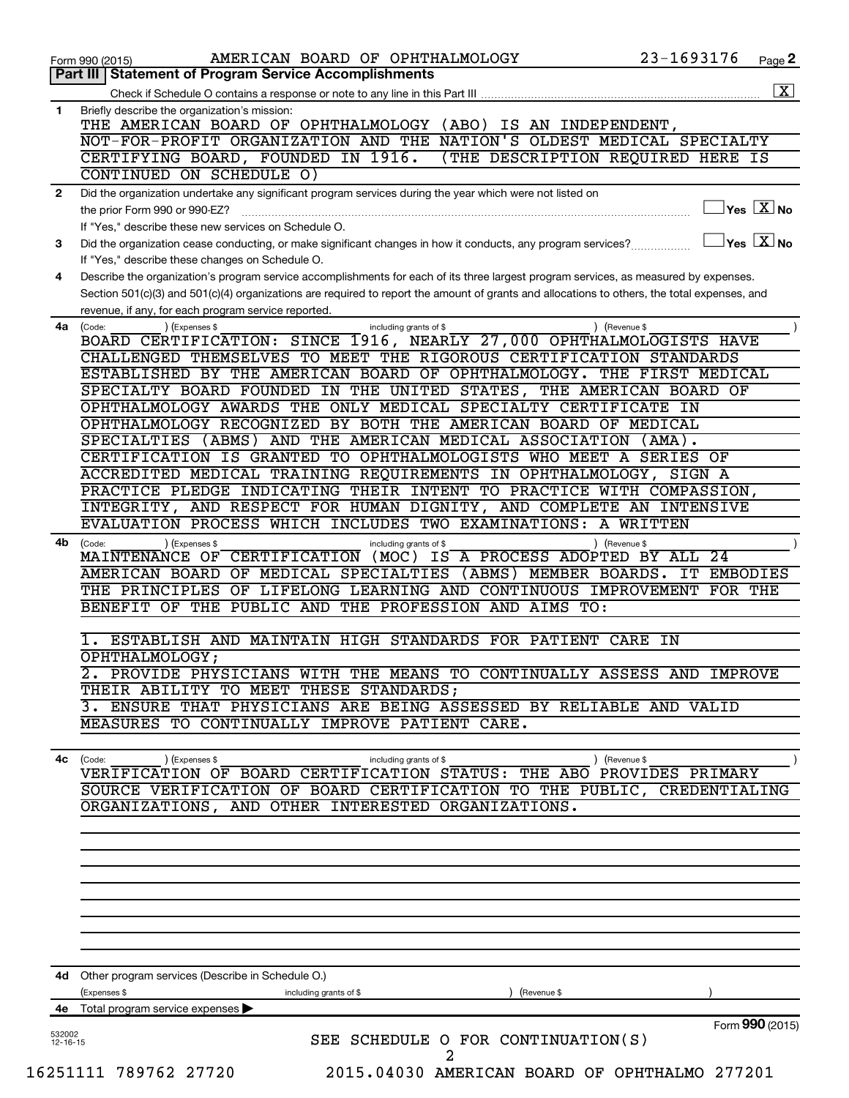|                          | AMERICAN BOARD OF OPHTHALMOLOGY<br>Form 990 (2015)                                                                                           | 23-1693176    | Page 2                                           |
|--------------------------|----------------------------------------------------------------------------------------------------------------------------------------------|---------------|--------------------------------------------------|
| Part III                 | <b>Statement of Program Service Accomplishments</b>                                                                                          |               |                                                  |
|                          | Check if Schedule O contains a response or note to any line in this Part III                                                                 |               | $\overline{\mathbf{X}}$                          |
| 1                        | Briefly describe the organization's mission:<br>THE AMERICAN BOARD OF OPHTHALMOLOGY (ABO)                                                    |               |                                                  |
|                          | IS AN INDEPENDENT,<br>NOT-FOR-PROFIT ORGANIZATION AND THE NATION'S OLDEST MEDICAL SPECIALTY                                                  |               |                                                  |
|                          | CERTIFYING BOARD, FOUNDED IN 1916.<br>(THE DESCRIPTION REQUIRED HERE IS                                                                      |               |                                                  |
|                          | CONTINUED ON SCHEDULE O)                                                                                                                     |               |                                                  |
| $\mathbf{2}$             | Did the organization undertake any significant program services during the year which were not listed on                                     |               |                                                  |
|                          | the prior Form 990 or 990-EZ?                                                                                                                |               | $\vert$ Yes $\boxed{\text{X}}$ No                |
|                          | If "Yes," describe these new services on Schedule O.                                                                                         |               |                                                  |
| 3                        | Did the organization cease conducting, or make significant changes in how it conducts, any program services?                                 |               | $\overline{\ }$ Yes $\overline{\phantom{a}X}$ No |
|                          | If "Yes," describe these changes on Schedule O.                                                                                              |               |                                                  |
| 4                        | Describe the organization's program service accomplishments for each of its three largest program services, as measured by expenses.         |               |                                                  |
|                          | Section 501(c)(3) and 501(c)(4) organizations are required to report the amount of grants and allocations to others, the total expenses, and |               |                                                  |
|                          | revenue, if any, for each program service reported.                                                                                          |               |                                                  |
| 4a                       | (Expenses \$<br>(Code:<br>including grants of \$                                                                                             | ) (Revenue \$ |                                                  |
|                          | BOARD CERTIFICATION: SINCE 1916, NEARLY 27,000 OPHTHALMOLOGISTS HAVE                                                                         |               |                                                  |
|                          | CHALLENGED THEMSELVES TO MEET THE RIGOROUS CERTIFICATION STANDARDS                                                                           |               |                                                  |
|                          | ESTABLISHED BY THE AMERICAN BOARD OF OPHTHALMOLOGY. THE FIRST MEDICAL                                                                        |               |                                                  |
|                          | SPECIALTY BOARD FOUNDED IN THE UNITED STATES, THE AMERICAN BOARD OF<br>OPHTHALMOLOGY AWARDS THE ONLY MEDICAL SPECIALTY CERTIFICATE IN        |               |                                                  |
|                          | OPHTHALMOLOGY RECOGNIZED BY BOTH THE AMERICAN BOARD OF MEDICAL                                                                               |               |                                                  |
|                          | SPECIALTIES (ABMS) AND THE AMERICAN MEDICAL ASSOCIATION                                                                                      | (AMA).        |                                                  |
|                          | CERTIFICATION IS GRANTED TO OPHTHALMOLOGISTS WHO MEET A SERIES OF                                                                            |               |                                                  |
|                          | ACCREDITED MEDICAL TRAINING REQUIREMENTS IN OPHTHALMOLOGY, SIGN A                                                                            |               |                                                  |
|                          | PRACTICE PLEDGE INDICATING THEIR INTENT TO PRACTICE WITH COMPASSION,                                                                         |               |                                                  |
|                          | INTEGRITY, AND RESPECT FOR HUMAN DIGNITY, AND COMPLETE AN INTENSIVE                                                                          |               |                                                  |
|                          | EVALUATION PROCESS WHICH INCLUDES TWO EXAMINATIONS: A WRITTEN                                                                                |               |                                                  |
| 4b                       | (Code:<br>(Expenses \$<br>including grants of \$                                                                                             | ) (Revenue \$ |                                                  |
|                          | (MOC) IS A PROCESS ADOPTED BY ALL 24<br>MAINTENANCE OF CERTIFICATION                                                                         |               |                                                  |
|                          | AMERICAN BOARD OF MEDICAL SPECIALTIES (ABMS) MEMBER BOARDS. IT EMBODIES                                                                      |               |                                                  |
|                          | THE PRINCIPLES OF LIFELONG LEARNING AND CONTINUOUS IMPROVEMENT FOR THE                                                                       |               |                                                  |
|                          | BENEFIT OF THE PUBLIC AND THE PROFESSION AND AIMS TO:                                                                                        |               |                                                  |
|                          | ESTABLISH AND MAINTAIN HIGH STANDARDS FOR PATIENT CARE IN                                                                                    |               |                                                  |
|                          | OPHTHALMOLOGY;                                                                                                                               |               |                                                  |
|                          | 2. PROVIDE PHYSICIANS WITH THE MEANS TO CONTINUALLY ASSESS AND IMPROVE                                                                       |               |                                                  |
|                          | THEIR ABILITY TO MEET THESE STANDARDS;                                                                                                       |               |                                                  |
|                          | 3. ENSURE THAT PHYSICIANS ARE BEING ASSESSED BY RELIABLE AND VALID                                                                           |               |                                                  |
|                          | MEASURES TO CONTINUALLY IMPROVE PATIENT CARE.                                                                                                |               |                                                  |
|                          |                                                                                                                                              |               |                                                  |
| 4с                       | (Expenses \$<br>(Code:<br>including grants of \$                                                                                             | ) (Revenue \$ |                                                  |
|                          | VERIFICATION OF BOARD CERTIFICATION STATUS: THE ABO PROVIDES PRIMARY                                                                         |               |                                                  |
|                          | SOURCE VERIFICATION OF BOARD CERTIFICATION TO THE PUBLIC, CREDENTIALING                                                                      |               |                                                  |
|                          | ORGANIZATIONS, AND OTHER INTERESTED ORGANIZATIONS.                                                                                           |               |                                                  |
|                          |                                                                                                                                              |               |                                                  |
|                          |                                                                                                                                              |               |                                                  |
|                          |                                                                                                                                              |               |                                                  |
|                          |                                                                                                                                              |               |                                                  |
|                          |                                                                                                                                              |               |                                                  |
|                          |                                                                                                                                              |               |                                                  |
|                          |                                                                                                                                              |               |                                                  |
|                          |                                                                                                                                              |               |                                                  |
|                          | 4d Other program services (Describe in Schedule O.)                                                                                          |               |                                                  |
|                          | (Expenses \$<br>including grants of \$<br>(Revenue \$                                                                                        |               |                                                  |
|                          | 4e Total program service expenses                                                                                                            |               |                                                  |
|                          |                                                                                                                                              |               | Form 990 (2015)                                  |
| 532002<br>$12 - 16 - 15$ | SEE SCHEDULE O FOR CONTINUATION(S)                                                                                                           |               |                                                  |
|                          | 2                                                                                                                                            |               |                                                  |
|                          | 16251111 789762 27720<br>2015.04030 AMERICAN BOARD OF OPHTHALMO 277201                                                                       |               |                                                  |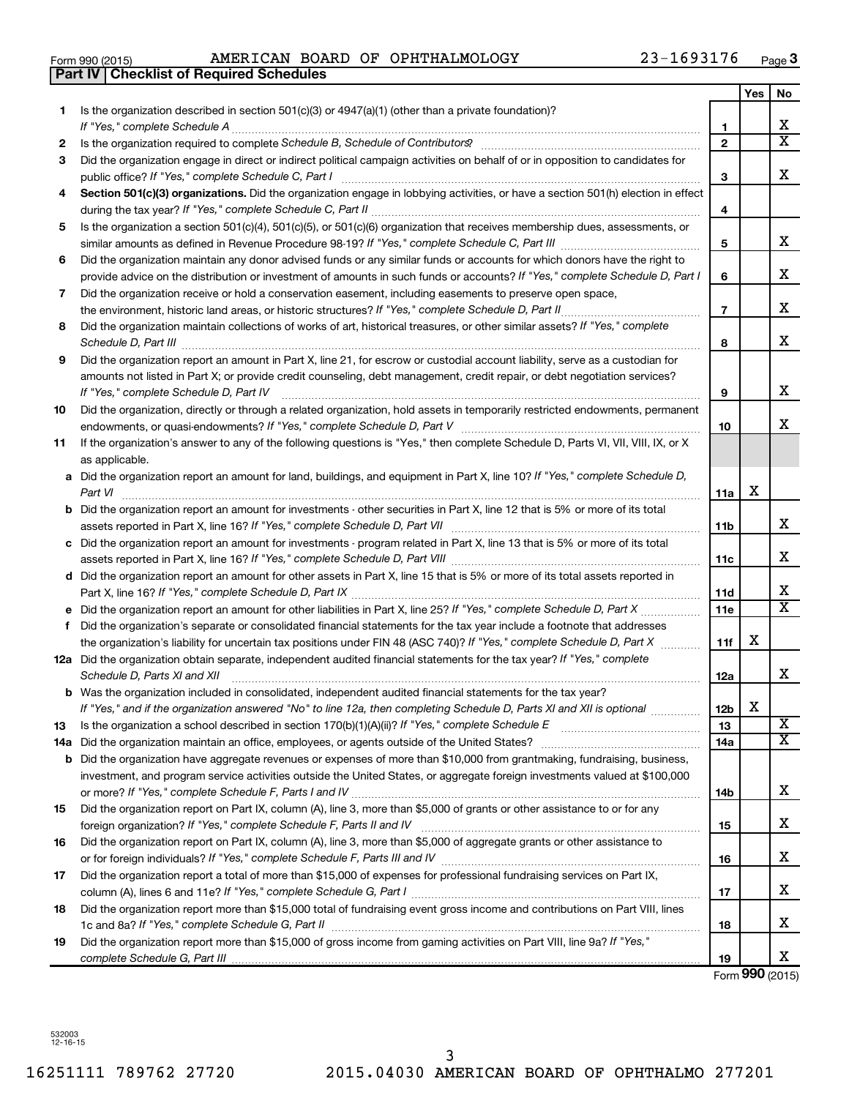| Form 990 (2015) |  |  |
|-----------------|--|--|

Form 990 (2015) Page AMERICAN BOARD OF OPHTHALMOLOGY 23-1693176

|    | <b>Part IV   Checklist of Required Schedules</b>                                                                                                                |                 |     |                              |
|----|-----------------------------------------------------------------------------------------------------------------------------------------------------------------|-----------------|-----|------------------------------|
|    |                                                                                                                                                                 |                 | Yes | No                           |
| 1. | Is the organization described in section 501(c)(3) or 4947(a)(1) (other than a private foundation)?                                                             |                 |     |                              |
|    |                                                                                                                                                                 | 1               |     | X                            |
| 2  | Is the organization required to complete Schedule B, Schedule of Contributors? [11] The organization required to complete Schedule B, Schedule of Contributors? | $\mathbf{2}$    |     | $\overline{\texttt{x}}$      |
| 3  | Did the organization engage in direct or indirect political campaign activities on behalf of or in opposition to candidates for                                 |                 |     |                              |
|    |                                                                                                                                                                 | 3               |     | X                            |
| 4  | Section 501(c)(3) organizations. Did the organization engage in lobbying activities, or have a section 501(h) election in effect                                |                 |     |                              |
|    |                                                                                                                                                                 | 4               |     |                              |
| 5  | Is the organization a section 501(c)(4), 501(c)(5), or 501(c)(6) organization that receives membership dues, assessments, or                                    |                 |     |                              |
|    |                                                                                                                                                                 | 5               |     | x                            |
| 6  | Did the organization maintain any donor advised funds or any similar funds or accounts for which donors have the right to                                       |                 |     |                              |
|    | provide advice on the distribution or investment of amounts in such funds or accounts? If "Yes," complete Schedule D, Part I                                    | 6               |     | х                            |
| 7  | Did the organization receive or hold a conservation easement, including easements to preserve open space,                                                       |                 |     |                              |
|    | the environment, historic land areas, or historic structures? If "Yes," complete Schedule D, Part II                                                            | $\overline{7}$  |     | х                            |
| 8  | Did the organization maintain collections of works of art, historical treasures, or other similar assets? If "Yes," complete                                    |                 |     |                              |
|    |                                                                                                                                                                 | 8               |     | х                            |
| 9  | Did the organization report an amount in Part X, line 21, for escrow or custodial account liability, serve as a custodian for                                   |                 |     |                              |
|    | amounts not listed in Part X; or provide credit counseling, debt management, credit repair, or debt negotiation services?                                       |                 |     |                              |
|    |                                                                                                                                                                 | 9               |     | х                            |
|    |                                                                                                                                                                 |                 |     |                              |
| 10 | Did the organization, directly or through a related organization, hold assets in temporarily restricted endowments, permanent                                   |                 |     | х                            |
|    |                                                                                                                                                                 | 10              |     |                              |
| 11 | If the organization's answer to any of the following questions is "Yes," then complete Schedule D, Parts VI, VII, VIII, IX, or X                                |                 |     |                              |
|    | as applicable.                                                                                                                                                  |                 |     |                              |
|    | a Did the organization report an amount for land, buildings, and equipment in Part X, line 10? If "Yes," complete Schedule D,                                   |                 | х   |                              |
|    | Part VI                                                                                                                                                         | 11a             |     |                              |
|    | <b>b</b> Did the organization report an amount for investments - other securities in Part X, line 12 that is 5% or more of its total                            |                 |     | x                            |
|    |                                                                                                                                                                 | <b>11b</b>      |     |                              |
|    | c Did the organization report an amount for investments - program related in Part X, line 13 that is 5% or more of its total                                    |                 |     |                              |
|    |                                                                                                                                                                 | 11c             |     | x                            |
|    | d Did the organization report an amount for other assets in Part X, line 15 that is 5% or more of its total assets reported in                                  |                 |     |                              |
|    |                                                                                                                                                                 | 11d             |     | х<br>$\overline{\texttt{x}}$ |
|    |                                                                                                                                                                 | 11e             |     |                              |
| f  | Did the organization's separate or consolidated financial statements for the tax year include a footnote that addresses                                         |                 |     |                              |
|    | the organization's liability for uncertain tax positions under FIN 48 (ASC 740)? If "Yes," complete Schedule D, Part X                                          | 11f             | х   |                              |
|    | 12a Did the organization obtain separate, independent audited financial statements for the tax year? If "Yes," complete                                         |                 |     |                              |
|    | Schedule D, Parts XI and XII                                                                                                                                    | 12a             |     | X                            |
|    | <b>b</b> Was the organization included in consolidated, independent audited financial statements for the tax year?                                              |                 |     |                              |
|    | If "Yes," and if the organization answered "No" to line 12a, then completing Schedule D, Parts XI and XII is optional <i>manimum</i>                            | 12 <sub>b</sub> | х   |                              |
| 13 |                                                                                                                                                                 | 13              |     | X                            |
|    |                                                                                                                                                                 | 14a             |     | $\overline{\texttt{x}}$      |
|    | <b>b</b> Did the organization have aggregate revenues or expenses of more than \$10,000 from grantmaking, fundraising, business,                                |                 |     |                              |
|    | investment, and program service activities outside the United States, or aggregate foreign investments valued at \$100,000                                      |                 |     |                              |
|    |                                                                                                                                                                 | 14b             |     | х                            |
| 15 | Did the organization report on Part IX, column (A), line 3, more than \$5,000 of grants or other assistance to or for any                                       |                 |     |                              |
|    |                                                                                                                                                                 | 15              |     | X                            |
| 16 | Did the organization report on Part IX, column (A), line 3, more than \$5,000 of aggregate grants or other assistance to                                        |                 |     |                              |
|    |                                                                                                                                                                 | 16              |     | X                            |
| 17 | Did the organization report a total of more than \$15,000 of expenses for professional fundraising services on Part IX,                                         |                 |     |                              |
|    |                                                                                                                                                                 | 17              |     | X                            |
| 18 | Did the organization report more than \$15,000 total of fundraising event gross income and contributions on Part VIII, lines                                    |                 |     |                              |
|    |                                                                                                                                                                 | 18              |     | X                            |
| 19 | Did the organization report more than \$15,000 of gross income from gaming activities on Part VIII, line 9a? If "Yes,"                                          |                 |     |                              |
|    |                                                                                                                                                                 | 19              |     | X                            |

Form **990** (2015)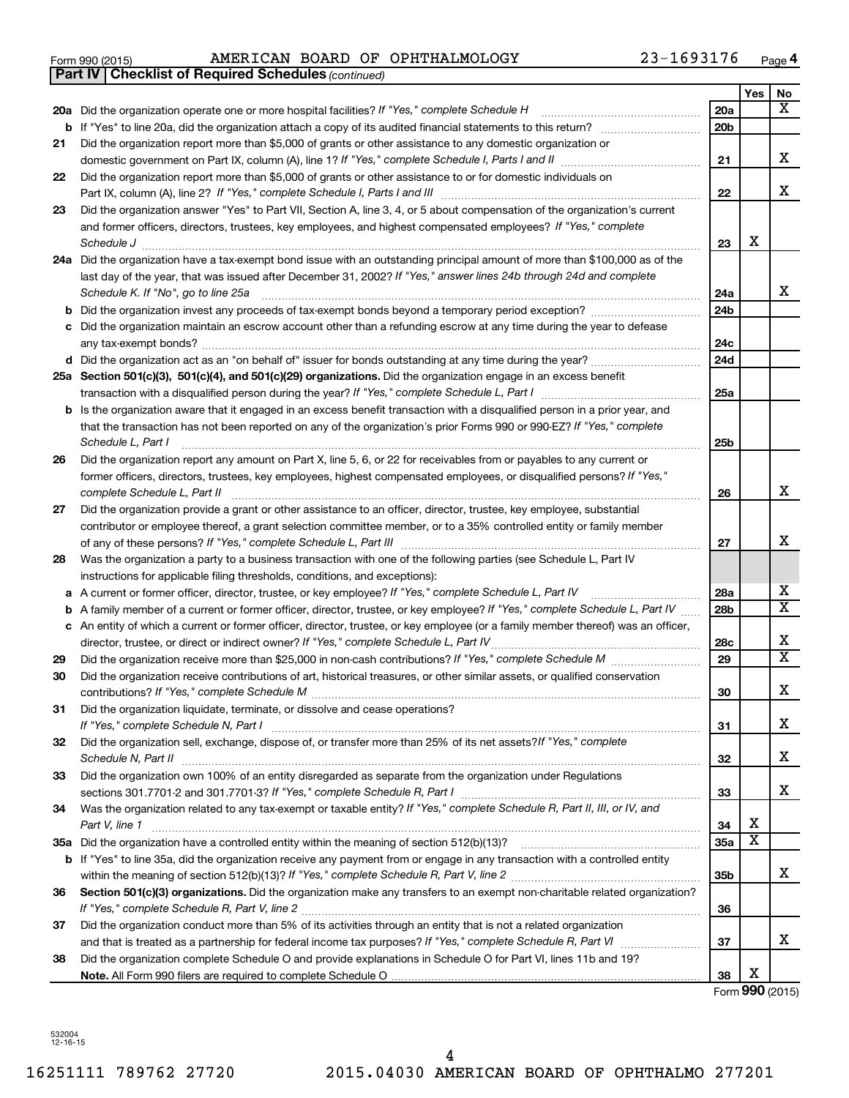| Form 990 (2015) |  |  |  |  | AMERICAN BOARD OF OPHTHALMOLOGY | 23-1693176 | Page |  |
|-----------------|--|--|--|--|---------------------------------|------------|------|--|
|-----------------|--|--|--|--|---------------------------------|------------|------|--|

|    | <b>Part IV   Checklist of Required Schedules (continued)</b>                                                                      |                 |     |                         |
|----|-----------------------------------------------------------------------------------------------------------------------------------|-----------------|-----|-------------------------|
|    |                                                                                                                                   |                 | Yes | No                      |
|    | 20a Did the organization operate one or more hospital facilities? If "Yes," complete Schedule H                                   | 20a             |     | x                       |
| b  |                                                                                                                                   | 20 <sub>b</sub> |     |                         |
| 21 | Did the organization report more than \$5,000 of grants or other assistance to any domestic organization or                       |                 |     |                         |
|    |                                                                                                                                   | 21              |     | х                       |
| 22 | Did the organization report more than \$5,000 of grants or other assistance to or for domestic individuals on                     |                 |     |                         |
|    |                                                                                                                                   | 22              |     | х                       |
| 23 | Did the organization answer "Yes" to Part VII, Section A, line 3, 4, or 5 about compensation of the organization's current        |                 |     |                         |
|    | and former officers, directors, trustees, key employees, and highest compensated employees? If "Yes," complete                    |                 |     |                         |
|    | Schedule J                                                                                                                        | 23              | X   |                         |
|    | 24a Did the organization have a tax-exempt bond issue with an outstanding principal amount of more than \$100,000 as of the       |                 |     |                         |
|    | last day of the year, that was issued after December 31, 2002? If "Yes," answer lines 24b through 24d and complete                |                 |     |                         |
|    | Schedule K. If "No", go to line 25a                                                                                               | 24a             |     | x                       |
| b  |                                                                                                                                   | 24 <sub>b</sub> |     |                         |
|    | Did the organization maintain an escrow account other than a refunding escrow at any time during the year to defease              |                 |     |                         |
|    |                                                                                                                                   | 24c             |     |                         |
|    |                                                                                                                                   | 24d             |     |                         |
|    | 25a Section 501(c)(3), 501(c)(4), and 501(c)(29) organizations. Did the organization engage in an excess benefit                  |                 |     |                         |
|    |                                                                                                                                   | 25a             |     |                         |
| b  | Is the organization aware that it engaged in an excess benefit transaction with a disqualified person in a prior year, and        |                 |     |                         |
|    | that the transaction has not been reported on any of the organization's prior Forms 990 or 990-EZ? If "Yes," complete             |                 |     |                         |
|    | Schedule L, Part I                                                                                                                | 25b             |     |                         |
| 26 | Did the organization report any amount on Part X, line 5, 6, or 22 for receivables from or payables to any current or             |                 |     |                         |
|    | former officers, directors, trustees, key employees, highest compensated employees, or disqualified persons? If "Yes,"            |                 |     |                         |
|    | complete Schedule L, Part II                                                                                                      | 26              |     | х                       |
| 27 | Did the organization provide a grant or other assistance to an officer, director, trustee, key employee, substantial              |                 |     |                         |
|    | contributor or employee thereof, a grant selection committee member, or to a 35% controlled entity or family member               |                 |     |                         |
|    |                                                                                                                                   | 27              |     | x                       |
| 28 | Was the organization a party to a business transaction with one of the following parties (see Schedule L, Part IV                 |                 |     |                         |
|    | instructions for applicable filing thresholds, conditions, and exceptions):                                                       |                 |     |                         |
| а  | A current or former officer, director, trustee, or key employee? If "Yes," complete Schedule L, Part IV                           | 28a             |     | x                       |
| b  | A family member of a current or former officer, director, trustee, or key employee? If "Yes," complete Schedule L, Part IV        | 28 <sub>b</sub> |     | X                       |
|    | c An entity of which a current or former officer, director, trustee, or key employee (or a family member thereof) was an officer, |                 |     |                         |
|    | director, trustee, or direct or indirect owner? If "Yes," complete Schedule L, Part IV                                            | 28c             |     | X                       |
| 29 |                                                                                                                                   | 29              |     | $\overline{\textbf{X}}$ |
| 30 | Did the organization receive contributions of art, historical treasures, or other similar assets, or qualified conservation       |                 |     |                         |
|    |                                                                                                                                   | 30              |     | Χ                       |
| 31 | Did the organization liquidate, terminate, or dissolve and cease operations?                                                      |                 |     |                         |
|    |                                                                                                                                   | 31              |     | x                       |
| 32 | Did the organization sell, exchange, dispose of, or transfer more than 25% of its net assets?/f "Yes," complete                   |                 |     |                         |
|    |                                                                                                                                   | 32              |     | x                       |
| 33 | Did the organization own 100% of an entity disregarded as separate from the organization under Regulations                        |                 |     |                         |
|    |                                                                                                                                   | 33              |     | x                       |
| 34 | Was the organization related to any tax-exempt or taxable entity? If "Yes," complete Schedule R, Part II, III, or IV, and         |                 |     |                         |
|    | Part V, line 1                                                                                                                    | 34              | X   |                         |
|    |                                                                                                                                   | 35a             | X   |                         |
|    | b If "Yes" to line 35a, did the organization receive any payment from or engage in any transaction with a controlled entity       |                 |     |                         |
|    |                                                                                                                                   | 35 <sub>b</sub> |     | x                       |
| 36 | Section 501(c)(3) organizations. Did the organization make any transfers to an exempt non-charitable related organization?        |                 |     |                         |
|    |                                                                                                                                   | 36              |     |                         |
| 37 | Did the organization conduct more than 5% of its activities through an entity that is not a related organization                  |                 |     |                         |
|    |                                                                                                                                   | 37              |     | x                       |
| 38 | Did the organization complete Schedule O and provide explanations in Schedule O for Part VI, lines 11b and 19?                    |                 |     |                         |
|    |                                                                                                                                   | 38              | Χ   |                         |

Form **990** (2015)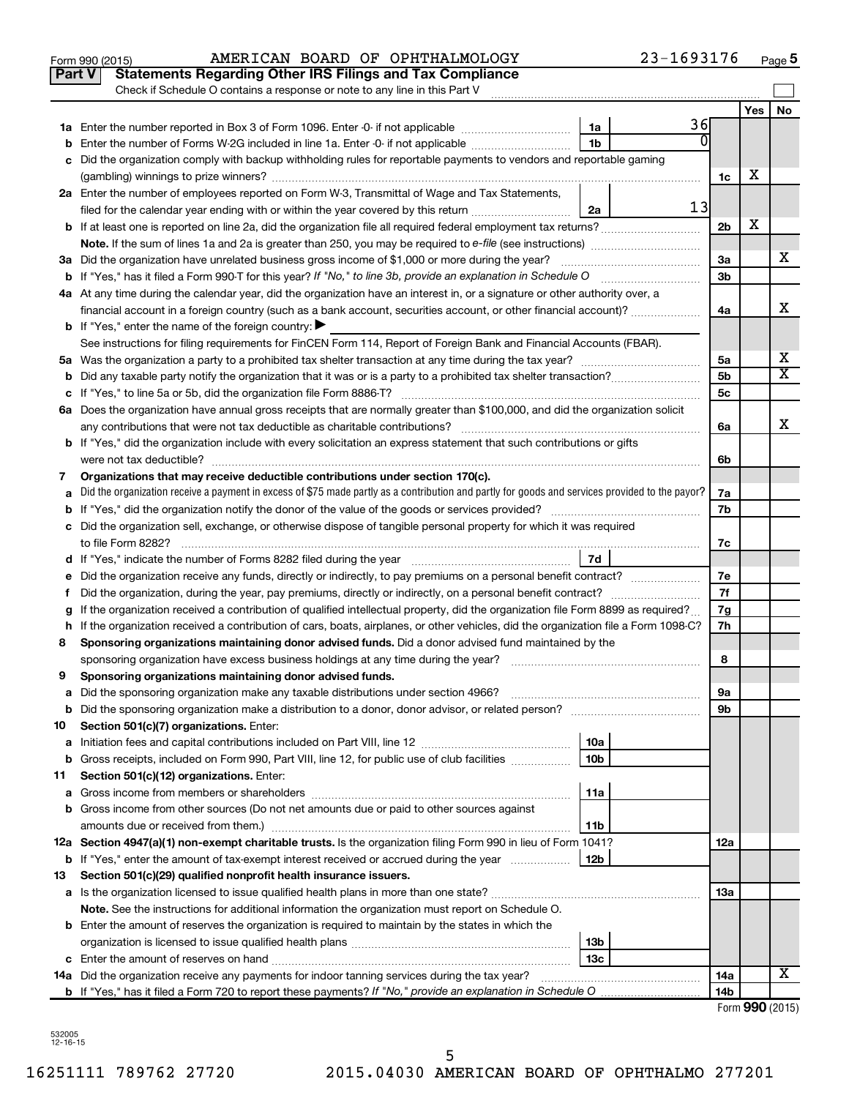| Check if Schedule O contains a response or note to any line in this Part V<br><b>Yes</b><br>36<br>1a<br>1 <sub>b</sub><br>Enter the number of Forms W-2G included in line 1a. Enter -0- if not applicable<br>b<br>Did the organization comply with backup withholding rules for reportable payments to vendors and reportable gaming<br>c<br>х<br>1c<br>2a Enter the number of employees reported on Form W-3, Transmittal of Wage and Tax Statements,<br>13<br>filed for the calendar year ending with or within the year covered by this return<br>2a<br>х<br>2 <sub>b</sub><br>3a Did the organization have unrelated business gross income of \$1,000 or more during the year?<br>За<br>3 <sub>b</sub><br><b>b</b> If "Yes," has it filed a Form 990-T for this year? If "No," to line 3b, provide an explanation in Schedule O manumum<br>4a At any time during the calendar year, did the organization have an interest in, or a signature or other authority over, a<br>4a<br><b>b</b> If "Yes," enter the name of the foreign country: $\blacktriangleright$<br>See instructions for filing requirements for FinCEN Form 114, Report of Foreign Bank and Financial Accounts (FBAR).<br>5а<br>5 <sub>b</sub><br>5c<br>6a Does the organization have annual gross receipts that are normally greater than \$100,000, and did the organization solicit<br>any contributions that were not tax deductible as charitable contributions?<br>6a<br>b If "Yes," did the organization include with every solicitation an express statement that such contributions or gifts |                         |
|----------------------------------------------------------------------------------------------------------------------------------------------------------------------------------------------------------------------------------------------------------------------------------------------------------------------------------------------------------------------------------------------------------------------------------------------------------------------------------------------------------------------------------------------------------------------------------------------------------------------------------------------------------------------------------------------------------------------------------------------------------------------------------------------------------------------------------------------------------------------------------------------------------------------------------------------------------------------------------------------------------------------------------------------------------------------------------------------------------------------------------------------------------------------------------------------------------------------------------------------------------------------------------------------------------------------------------------------------------------------------------------------------------------------------------------------------------------------------------------------------------------------------------------------------------------------------|-------------------------|
|                                                                                                                                                                                                                                                                                                                                                                                                                                                                                                                                                                                                                                                                                                                                                                                                                                                                                                                                                                                                                                                                                                                                                                                                                                                                                                                                                                                                                                                                                                                                                                            | No                      |
|                                                                                                                                                                                                                                                                                                                                                                                                                                                                                                                                                                                                                                                                                                                                                                                                                                                                                                                                                                                                                                                                                                                                                                                                                                                                                                                                                                                                                                                                                                                                                                            |                         |
|                                                                                                                                                                                                                                                                                                                                                                                                                                                                                                                                                                                                                                                                                                                                                                                                                                                                                                                                                                                                                                                                                                                                                                                                                                                                                                                                                                                                                                                                                                                                                                            |                         |
|                                                                                                                                                                                                                                                                                                                                                                                                                                                                                                                                                                                                                                                                                                                                                                                                                                                                                                                                                                                                                                                                                                                                                                                                                                                                                                                                                                                                                                                                                                                                                                            |                         |
|                                                                                                                                                                                                                                                                                                                                                                                                                                                                                                                                                                                                                                                                                                                                                                                                                                                                                                                                                                                                                                                                                                                                                                                                                                                                                                                                                                                                                                                                                                                                                                            |                         |
|                                                                                                                                                                                                                                                                                                                                                                                                                                                                                                                                                                                                                                                                                                                                                                                                                                                                                                                                                                                                                                                                                                                                                                                                                                                                                                                                                                                                                                                                                                                                                                            |                         |
|                                                                                                                                                                                                                                                                                                                                                                                                                                                                                                                                                                                                                                                                                                                                                                                                                                                                                                                                                                                                                                                                                                                                                                                                                                                                                                                                                                                                                                                                                                                                                                            |                         |
|                                                                                                                                                                                                                                                                                                                                                                                                                                                                                                                                                                                                                                                                                                                                                                                                                                                                                                                                                                                                                                                                                                                                                                                                                                                                                                                                                                                                                                                                                                                                                                            |                         |
|                                                                                                                                                                                                                                                                                                                                                                                                                                                                                                                                                                                                                                                                                                                                                                                                                                                                                                                                                                                                                                                                                                                                                                                                                                                                                                                                                                                                                                                                                                                                                                            |                         |
|                                                                                                                                                                                                                                                                                                                                                                                                                                                                                                                                                                                                                                                                                                                                                                                                                                                                                                                                                                                                                                                                                                                                                                                                                                                                                                                                                                                                                                                                                                                                                                            | х                       |
|                                                                                                                                                                                                                                                                                                                                                                                                                                                                                                                                                                                                                                                                                                                                                                                                                                                                                                                                                                                                                                                                                                                                                                                                                                                                                                                                                                                                                                                                                                                                                                            |                         |
|                                                                                                                                                                                                                                                                                                                                                                                                                                                                                                                                                                                                                                                                                                                                                                                                                                                                                                                                                                                                                                                                                                                                                                                                                                                                                                                                                                                                                                                                                                                                                                            |                         |
|                                                                                                                                                                                                                                                                                                                                                                                                                                                                                                                                                                                                                                                                                                                                                                                                                                                                                                                                                                                                                                                                                                                                                                                                                                                                                                                                                                                                                                                                                                                                                                            | х                       |
|                                                                                                                                                                                                                                                                                                                                                                                                                                                                                                                                                                                                                                                                                                                                                                                                                                                                                                                                                                                                                                                                                                                                                                                                                                                                                                                                                                                                                                                                                                                                                                            |                         |
|                                                                                                                                                                                                                                                                                                                                                                                                                                                                                                                                                                                                                                                                                                                                                                                                                                                                                                                                                                                                                                                                                                                                                                                                                                                                                                                                                                                                                                                                                                                                                                            |                         |
|                                                                                                                                                                                                                                                                                                                                                                                                                                                                                                                                                                                                                                                                                                                                                                                                                                                                                                                                                                                                                                                                                                                                                                                                                                                                                                                                                                                                                                                                                                                                                                            | х                       |
|                                                                                                                                                                                                                                                                                                                                                                                                                                                                                                                                                                                                                                                                                                                                                                                                                                                                                                                                                                                                                                                                                                                                                                                                                                                                                                                                                                                                                                                                                                                                                                            | $\overline{\textbf{X}}$ |
|                                                                                                                                                                                                                                                                                                                                                                                                                                                                                                                                                                                                                                                                                                                                                                                                                                                                                                                                                                                                                                                                                                                                                                                                                                                                                                                                                                                                                                                                                                                                                                            |                         |
|                                                                                                                                                                                                                                                                                                                                                                                                                                                                                                                                                                                                                                                                                                                                                                                                                                                                                                                                                                                                                                                                                                                                                                                                                                                                                                                                                                                                                                                                                                                                                                            |                         |
|                                                                                                                                                                                                                                                                                                                                                                                                                                                                                                                                                                                                                                                                                                                                                                                                                                                                                                                                                                                                                                                                                                                                                                                                                                                                                                                                                                                                                                                                                                                                                                            | х                       |
|                                                                                                                                                                                                                                                                                                                                                                                                                                                                                                                                                                                                                                                                                                                                                                                                                                                                                                                                                                                                                                                                                                                                                                                                                                                                                                                                                                                                                                                                                                                                                                            |                         |
| were not tax deductible?<br>6b                                                                                                                                                                                                                                                                                                                                                                                                                                                                                                                                                                                                                                                                                                                                                                                                                                                                                                                                                                                                                                                                                                                                                                                                                                                                                                                                                                                                                                                                                                                                             |                         |
| Organizations that may receive deductible contributions under section 170(c).<br>7                                                                                                                                                                                                                                                                                                                                                                                                                                                                                                                                                                                                                                                                                                                                                                                                                                                                                                                                                                                                                                                                                                                                                                                                                                                                                                                                                                                                                                                                                         |                         |
| Did the organization receive a payment in excess of \$75 made partly as a contribution and partly for goods and services provided to the payor?<br>7a<br>а                                                                                                                                                                                                                                                                                                                                                                                                                                                                                                                                                                                                                                                                                                                                                                                                                                                                                                                                                                                                                                                                                                                                                                                                                                                                                                                                                                                                                 |                         |
| 7b                                                                                                                                                                                                                                                                                                                                                                                                                                                                                                                                                                                                                                                                                                                                                                                                                                                                                                                                                                                                                                                                                                                                                                                                                                                                                                                                                                                                                                                                                                                                                                         |                         |
| c Did the organization sell, exchange, or otherwise dispose of tangible personal property for which it was required                                                                                                                                                                                                                                                                                                                                                                                                                                                                                                                                                                                                                                                                                                                                                                                                                                                                                                                                                                                                                                                                                                                                                                                                                                                                                                                                                                                                                                                        |                         |
| 7c                                                                                                                                                                                                                                                                                                                                                                                                                                                                                                                                                                                                                                                                                                                                                                                                                                                                                                                                                                                                                                                                                                                                                                                                                                                                                                                                                                                                                                                                                                                                                                         |                         |
| 7d<br>d If "Yes," indicate the number of Forms 8282 filed during the year manufactured in the set of the number of Forms 8282 filed during the year manufactured in the substitution.                                                                                                                                                                                                                                                                                                                                                                                                                                                                                                                                                                                                                                                                                                                                                                                                                                                                                                                                                                                                                                                                                                                                                                                                                                                                                                                                                                                      |                         |
| Did the organization receive any funds, directly or indirectly, to pay premiums on a personal benefit contract?<br>7е<br>е                                                                                                                                                                                                                                                                                                                                                                                                                                                                                                                                                                                                                                                                                                                                                                                                                                                                                                                                                                                                                                                                                                                                                                                                                                                                                                                                                                                                                                                 |                         |
| 7f<br>Did the organization, during the year, pay premiums, directly or indirectly, on a personal benefit contract?<br>f.                                                                                                                                                                                                                                                                                                                                                                                                                                                                                                                                                                                                                                                                                                                                                                                                                                                                                                                                                                                                                                                                                                                                                                                                                                                                                                                                                                                                                                                   |                         |
| If the organization received a contribution of qualified intellectual property, did the organization file Form 8899 as required?<br>7g                                                                                                                                                                                                                                                                                                                                                                                                                                                                                                                                                                                                                                                                                                                                                                                                                                                                                                                                                                                                                                                                                                                                                                                                                                                                                                                                                                                                                                     |                         |
| h If the organization received a contribution of cars, boats, airplanes, or other vehicles, did the organization file a Form 1098-C?<br>7h<br>8                                                                                                                                                                                                                                                                                                                                                                                                                                                                                                                                                                                                                                                                                                                                                                                                                                                                                                                                                                                                                                                                                                                                                                                                                                                                                                                                                                                                                            |                         |
| Sponsoring organizations maintaining donor advised funds. Did a donor advised fund maintained by the<br>8                                                                                                                                                                                                                                                                                                                                                                                                                                                                                                                                                                                                                                                                                                                                                                                                                                                                                                                                                                                                                                                                                                                                                                                                                                                                                                                                                                                                                                                                  |                         |
| Sponsoring organizations maintaining donor advised funds.<br>9                                                                                                                                                                                                                                                                                                                                                                                                                                                                                                                                                                                                                                                                                                                                                                                                                                                                                                                                                                                                                                                                                                                                                                                                                                                                                                                                                                                                                                                                                                             |                         |
| 9а                                                                                                                                                                                                                                                                                                                                                                                                                                                                                                                                                                                                                                                                                                                                                                                                                                                                                                                                                                                                                                                                                                                                                                                                                                                                                                                                                                                                                                                                                                                                                                         |                         |
| <b>b</b> Did the sponsoring organization make a distribution to a donor, donor advisor, or related person?<br>9b                                                                                                                                                                                                                                                                                                                                                                                                                                                                                                                                                                                                                                                                                                                                                                                                                                                                                                                                                                                                                                                                                                                                                                                                                                                                                                                                                                                                                                                           |                         |
| Section 501(c)(7) organizations. Enter:<br>10                                                                                                                                                                                                                                                                                                                                                                                                                                                                                                                                                                                                                                                                                                                                                                                                                                                                                                                                                                                                                                                                                                                                                                                                                                                                                                                                                                                                                                                                                                                              |                         |
| 10a<br>а                                                                                                                                                                                                                                                                                                                                                                                                                                                                                                                                                                                                                                                                                                                                                                                                                                                                                                                                                                                                                                                                                                                                                                                                                                                                                                                                                                                                                                                                                                                                                                   |                         |
| Gross receipts, included on Form 990, Part VIII, line 12, for public use of club facilities<br>10 <sub>b</sub><br>b                                                                                                                                                                                                                                                                                                                                                                                                                                                                                                                                                                                                                                                                                                                                                                                                                                                                                                                                                                                                                                                                                                                                                                                                                                                                                                                                                                                                                                                        |                         |
| Section 501(c)(12) organizations. Enter:<br>11                                                                                                                                                                                                                                                                                                                                                                                                                                                                                                                                                                                                                                                                                                                                                                                                                                                                                                                                                                                                                                                                                                                                                                                                                                                                                                                                                                                                                                                                                                                             |                         |
| 11a<br>a                                                                                                                                                                                                                                                                                                                                                                                                                                                                                                                                                                                                                                                                                                                                                                                                                                                                                                                                                                                                                                                                                                                                                                                                                                                                                                                                                                                                                                                                                                                                                                   |                         |
| <b>b</b> Gross income from other sources (Do not net amounts due or paid to other sources against                                                                                                                                                                                                                                                                                                                                                                                                                                                                                                                                                                                                                                                                                                                                                                                                                                                                                                                                                                                                                                                                                                                                                                                                                                                                                                                                                                                                                                                                          |                         |
| amounts due or received from them.)<br>11b                                                                                                                                                                                                                                                                                                                                                                                                                                                                                                                                                                                                                                                                                                                                                                                                                                                                                                                                                                                                                                                                                                                                                                                                                                                                                                                                                                                                                                                                                                                                 |                         |
| 12a Section 4947(a)(1) non-exempt charitable trusts. Is the organization filing Form 990 in lieu of Form 1041?<br>12a                                                                                                                                                                                                                                                                                                                                                                                                                                                                                                                                                                                                                                                                                                                                                                                                                                                                                                                                                                                                                                                                                                                                                                                                                                                                                                                                                                                                                                                      |                         |
| 12 <sub>b</sub><br><b>b</b> If "Yes," enter the amount of tax-exempt interest received or accrued during the year                                                                                                                                                                                                                                                                                                                                                                                                                                                                                                                                                                                                                                                                                                                                                                                                                                                                                                                                                                                                                                                                                                                                                                                                                                                                                                                                                                                                                                                          |                         |
| Section 501(c)(29) qualified nonprofit health insurance issuers.<br>13                                                                                                                                                                                                                                                                                                                                                                                                                                                                                                                                                                                                                                                                                                                                                                                                                                                                                                                                                                                                                                                                                                                                                                                                                                                                                                                                                                                                                                                                                                     |                         |
| 13a                                                                                                                                                                                                                                                                                                                                                                                                                                                                                                                                                                                                                                                                                                                                                                                                                                                                                                                                                                                                                                                                                                                                                                                                                                                                                                                                                                                                                                                                                                                                                                        |                         |
| Note. See the instructions for additional information the organization must report on Schedule O.                                                                                                                                                                                                                                                                                                                                                                                                                                                                                                                                                                                                                                                                                                                                                                                                                                                                                                                                                                                                                                                                                                                                                                                                                                                                                                                                                                                                                                                                          |                         |
| <b>b</b> Enter the amount of reserves the organization is required to maintain by the states in which the                                                                                                                                                                                                                                                                                                                                                                                                                                                                                                                                                                                                                                                                                                                                                                                                                                                                                                                                                                                                                                                                                                                                                                                                                                                                                                                                                                                                                                                                  |                         |
| 13 <sub>b</sub>                                                                                                                                                                                                                                                                                                                                                                                                                                                                                                                                                                                                                                                                                                                                                                                                                                                                                                                                                                                                                                                                                                                                                                                                                                                                                                                                                                                                                                                                                                                                                            |                         |
| 13c                                                                                                                                                                                                                                                                                                                                                                                                                                                                                                                                                                                                                                                                                                                                                                                                                                                                                                                                                                                                                                                                                                                                                                                                                                                                                                                                                                                                                                                                                                                                                                        |                         |
| 14a Did the organization receive any payments for indoor tanning services during the tax year?<br>14a                                                                                                                                                                                                                                                                                                                                                                                                                                                                                                                                                                                                                                                                                                                                                                                                                                                                                                                                                                                                                                                                                                                                                                                                                                                                                                                                                                                                                                                                      | х                       |
| 14 <sub>b</sub><br>$Form$ QQ $\Omega$ (2015)                                                                                                                                                                                                                                                                                                                                                                                                                                                                                                                                                                                                                                                                                                                                                                                                                                                                                                                                                                                                                                                                                                                                                                                                                                                                                                                                                                                                                                                                                                                               |                         |

| <b>Tax Compliance</b> |  |
|-----------------------|--|
| o in thie Dart V      |  |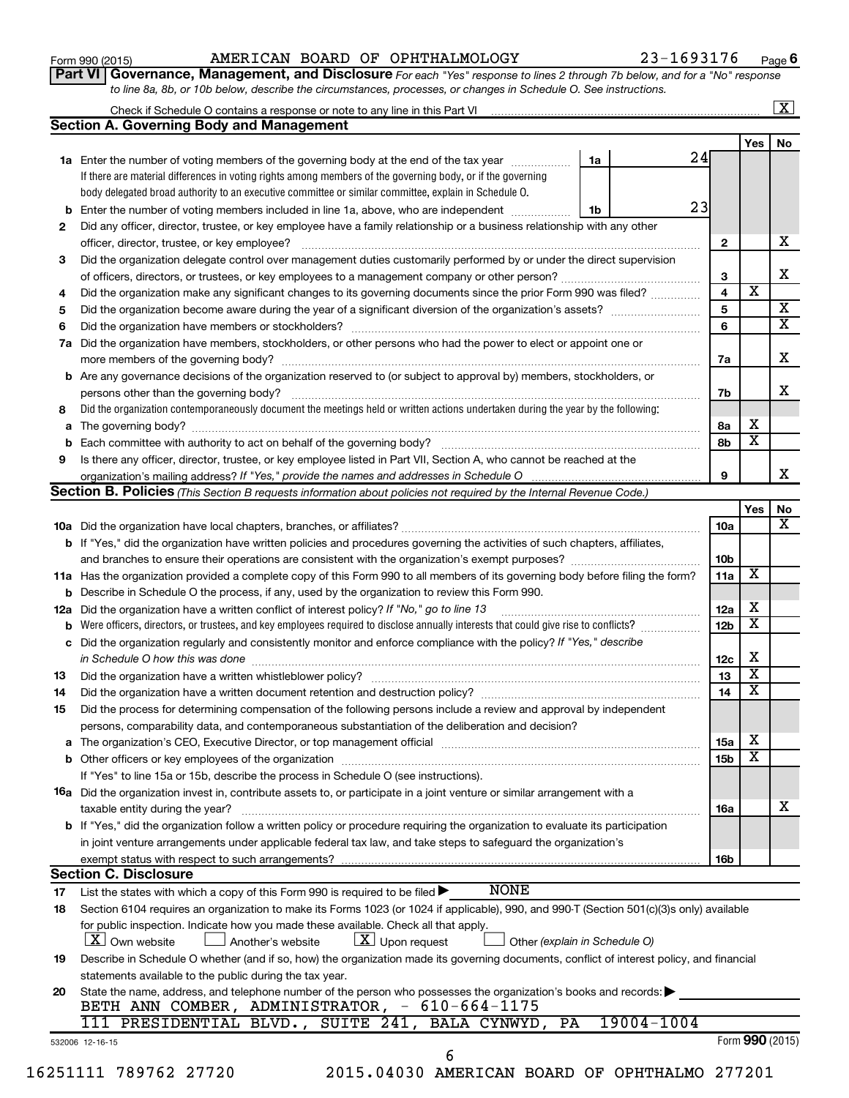| Form 990 (2015) |  |
|-----------------|--|
|-----------------|--|

#### Form 990 (2015) Page AMERICAN BOARD OF OPHTHALMOLOGY 23-1693176

**Part VI** Governance, Management, and Disclosure For each "Yes" response to lines 2 through 7b below, and for a "No" response *to line 8a, 8b, or 10b below, describe the circumstances, processes, or changes in Schedule O. See instructions.*

|          | Check if Schedule O contains a response or note to any line in this Part VI [11] [12] [12] Check if Schedule O contains a response or note to any line in this Part VI   |                               |                         |                         | $\overline{\textbf{X}}$ |
|----------|--------------------------------------------------------------------------------------------------------------------------------------------------------------------------|-------------------------------|-------------------------|-------------------------|-------------------------|
|          | <b>Section A. Governing Body and Management</b>                                                                                                                          |                               |                         |                         |                         |
|          |                                                                                                                                                                          |                               |                         | Yes                     | No.                     |
|          | 1a Enter the number of voting members of the governing body at the end of the tax year                                                                                   | 1a                            | 24                      |                         |                         |
|          | If there are material differences in voting rights among members of the governing body, or if the governing                                                              |                               |                         |                         |                         |
|          | body delegated broad authority to an executive committee or similar committee, explain in Schedule O.                                                                    |                               |                         |                         |                         |
|          | <b>b</b> Enter the number of voting members included in line 1a, above, who are independent <i>manameron</i>                                                             | 1b                            | 23                      |                         |                         |
| 2        | Did any officer, director, trustee, or key employee have a family relationship or a business relationship with any other                                                 |                               |                         |                         |                         |
|          | officer, director, trustee, or key employee?                                                                                                                             |                               | $\mathbf{2}$            |                         | x                       |
| 3        | Did the organization delegate control over management duties customarily performed by or under the direct supervision                                                    |                               |                         |                         |                         |
|          |                                                                                                                                                                          |                               | 3                       |                         |                         |
| 4        | Did the organization make any significant changes to its governing documents since the prior Form 990 was filed?                                                         |                               | $\overline{\mathbf{4}}$ | $\overline{\mathbf{x}}$ |                         |
| 5        |                                                                                                                                                                          |                               | $5\phantom{.0}$         |                         |                         |
| 6        |                                                                                                                                                                          |                               | 6                       |                         |                         |
| 7a       | Did the organization have members, stockholders, or other persons who had the power to elect or appoint one or                                                           |                               |                         |                         |                         |
|          |                                                                                                                                                                          |                               | 7a                      |                         |                         |
|          | <b>b</b> Are any governance decisions of the organization reserved to (or subject to approval by) members, stockholders, or                                              |                               |                         |                         |                         |
|          | persons other than the governing body?                                                                                                                                   |                               | 7b                      |                         |                         |
| 8        | Did the organization contemporaneously document the meetings held or written actions undertaken during the year by the following:                                        |                               |                         |                         |                         |
|          |                                                                                                                                                                          |                               | 8а                      | x                       |                         |
|          |                                                                                                                                                                          |                               | 8b                      | $\overline{\mathbf{x}}$ |                         |
| 9        | Is there any officer, director, trustee, or key employee listed in Part VII, Section A, who cannot be reached at the                                                     |                               |                         |                         |                         |
|          |                                                                                                                                                                          |                               | 9                       |                         |                         |
|          | Section B. Policies (This Section B requests information about policies not required by the Internal Revenue Code.)                                                      |                               |                         |                         |                         |
|          |                                                                                                                                                                          |                               |                         | Yes                     |                         |
|          |                                                                                                                                                                          |                               | 10a                     |                         |                         |
|          | <b>b</b> If "Yes," did the organization have written policies and procedures governing the activities of such chapters, affiliates,                                      |                               |                         |                         |                         |
|          |                                                                                                                                                                          |                               | 10 <sub>b</sub>         |                         |                         |
|          | 11a Has the organization provided a complete copy of this Form 990 to all members of its governing body before filing the form?                                          |                               | 11a                     | X                       |                         |
|          | <b>b</b> Describe in Schedule O the process, if any, used by the organization to review this Form 990.                                                                   |                               |                         |                         |                         |
| 12a      | Did the organization have a written conflict of interest policy? If "No," go to line 13                                                                                  |                               | 12a                     | x                       |                         |
| b        | Were officers, directors, or trustees, and key employees required to disclose annually interests that could give rise to conflicts?                                      |                               | 12 <sub>b</sub>         | $\overline{\textbf{x}}$ |                         |
|          | c Did the organization regularly and consistently monitor and enforce compliance with the policy? If "Yes," describe                                                     |                               |                         |                         |                         |
|          | in Schedule O how this was done manufactured and continuum and contact the way to the set of the set of the schedule O how this was done                                 |                               | 12c                     | х                       |                         |
| 13       |                                                                                                                                                                          |                               | 13                      | $\overline{\textbf{x}}$ |                         |
| 14       | Did the organization have a written document retention and destruction policy? [11] manufaction manufaction in                                                           |                               | 14                      | $\overline{\textbf{x}}$ |                         |
| 15       | Did the process for determining compensation of the following persons include a review and approval by independent                                                       |                               |                         |                         |                         |
|          |                                                                                                                                                                          |                               |                         |                         |                         |
|          | persons, comparability data, and contemporaneous substantiation of the deliberation and decision?                                                                        |                               | <b>15a</b>              | x                       |                         |
|          |                                                                                                                                                                          |                               | 15b                     | $\overline{\textbf{x}}$ |                         |
|          | If "Yes" to line 15a or 15b, describe the process in Schedule O (see instructions).                                                                                      |                               |                         |                         |                         |
|          |                                                                                                                                                                          |                               |                         |                         |                         |
|          | 16a Did the organization invest in, contribute assets to, or participate in a joint venture or similar arrangement with a                                                |                               |                         |                         |                         |
|          | taxable entity during the year?<br><b>b</b> If "Yes," did the organization follow a written policy or procedure requiring the organization to evaluate its participation |                               | 16a                     |                         |                         |
|          |                                                                                                                                                                          |                               |                         |                         |                         |
|          | in joint venture arrangements under applicable federal tax law, and take steps to safeguard the organization's                                                           |                               |                         |                         |                         |
|          | exempt status with respect to such arrangements?                                                                                                                         |                               | 16b                     |                         |                         |
|          | <b>Section C. Disclosure</b><br><b>NONE</b>                                                                                                                              |                               |                         |                         |                         |
| 17       | List the states with which a copy of this Form 990 is required to be filed $\blacktriangleright$                                                                         |                               |                         |                         |                         |
|          | Section 6104 requires an organization to make its Forms 1023 (or 1024 if applicable), 990, and 990-T (Section 501(c)(3)s only) available                                 |                               |                         |                         |                         |
|          |                                                                                                                                                                          |                               |                         |                         |                         |
|          | for public inspection. Indicate how you made these available. Check all that apply.                                                                                      |                               |                         |                         |                         |
|          | $X$ Own website<br>$\lfloor x \rfloor$ Upon request<br>Another's website                                                                                                 | Other (explain in Schedule O) |                         |                         |                         |
|          | Describe in Schedule O whether (and if so, how) the organization made its governing documents, conflict of interest policy, and financial                                |                               |                         |                         |                         |
| 18<br>19 | statements available to the public during the tax year.                                                                                                                  |                               |                         |                         |                         |
|          | State the name, address, and telephone number of the person who possesses the organization's books and records:                                                          |                               |                         |                         |                         |
| 20       | BETH ANN COMBER, ADMINISTRATOR, - 610-664-1175                                                                                                                           |                               |                         |                         |                         |
|          | 111 PRESIDENTIAL BLVD., SUITE 241, BALA CYNWYD, PA                                                                                                                       | 19004-1004                    |                         | Form 990 (2015)         |                         |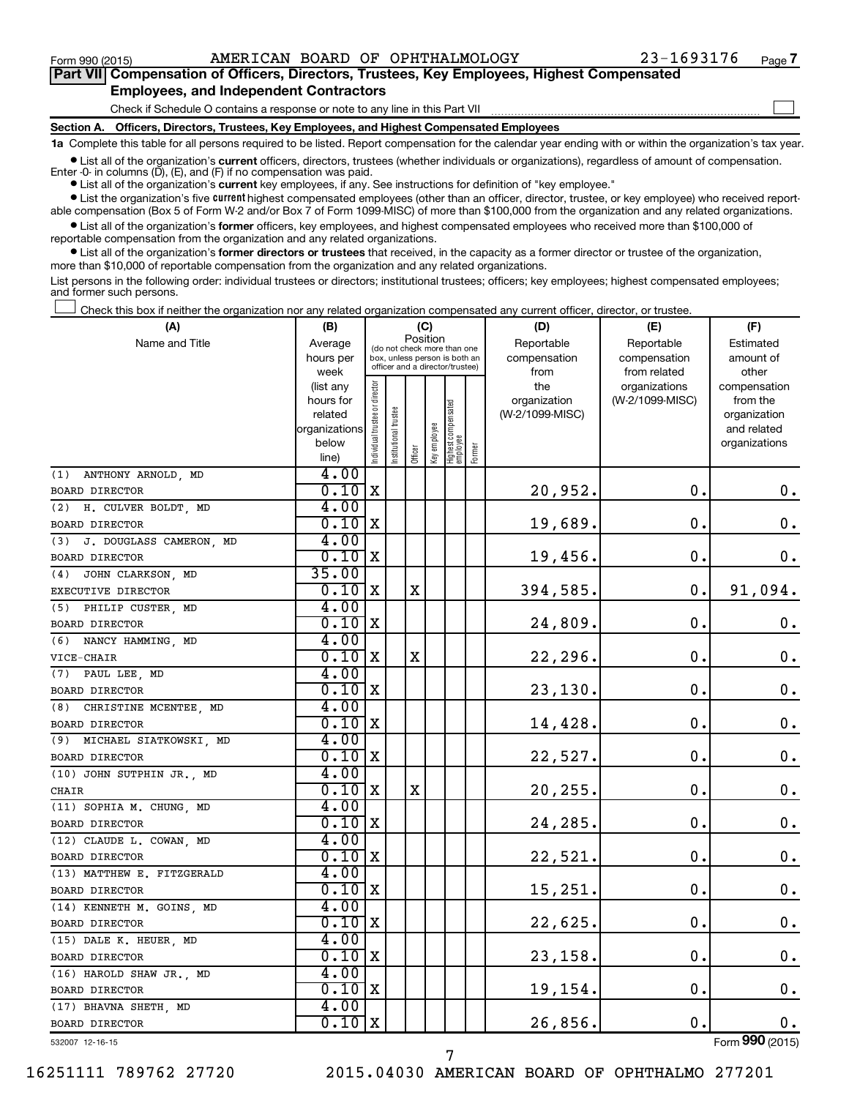$\Box$ 

| Part VII Compensation of Officers, Directors, Trustees, Key Employees, Highest Compensated |
|--------------------------------------------------------------------------------------------|
| <b>Employees, and Independent Contractors</b>                                              |

Check if Schedule O contains a response or note to any line in this Part VII

**Section A. Officers, Directors, Trustees, Key Employees, and Highest Compensated Employees**

**1a**  Complete this table for all persons required to be listed. Report compensation for the calendar year ending with or within the organization's tax year.

**•** List all of the organization's current officers, directors, trustees (whether individuals or organizations), regardless of amount of compensation. Enter -0- in columns  $(D)$ ,  $(E)$ , and  $(F)$  if no compensation was paid.

**•** List all of the organization's **current** key employees, if any. See instructions for definition of "key employee."

**•** List the organization's five current highest compensated employees (other than an officer, director, trustee, or key employee) who received reportable compensation (Box 5 of Form W-2 and/or Box 7 of Form 1099-MISC) of more than \$100,000 from the organization and any related organizations.

**•** List all of the organization's former officers, key employees, and highest compensated employees who received more than \$100,000 of reportable compensation from the organization and any related organizations.

**•** List all of the organization's former directors or trustees that received, in the capacity as a former director or trustee of the organization, more than \$10,000 of reportable compensation from the organization and any related organizations.

List persons in the following order: individual trustees or directors; institutional trustees; officers; key employees; highest compensated employees; and former such persons.

Check this box if neither the organization nor any related organization compensated any current officer, director, or trustee.  $\Box$ 

| (A)                            | (B)                  |                                |                                                                  | (C)         |              |                                   |        | (D)                             | (E)             | (F)                      |
|--------------------------------|----------------------|--------------------------------|------------------------------------------------------------------|-------------|--------------|-----------------------------------|--------|---------------------------------|-----------------|--------------------------|
| Name and Title                 | Average              |                                | (do not check more than one                                      |             | Position     |                                   |        | Reportable                      | Reportable      | Estimated                |
|                                | hours per            |                                | box, unless person is both an<br>officer and a director/trustee) |             |              |                                   |        | compensation                    | compensation    | amount of                |
|                                | week                 |                                |                                                                  |             |              |                                   |        | from                            | from related    | other                    |
|                                | (list any            |                                |                                                                  |             |              |                                   |        | the                             | organizations   | compensation             |
|                                | hours for<br>related |                                |                                                                  |             |              |                                   |        | organization<br>(W-2/1099-MISC) | (W-2/1099-MISC) | from the<br>organization |
|                                | organizations        |                                |                                                                  |             |              |                                   |        |                                 |                 | and related              |
|                                | below                |                                |                                                                  |             |              |                                   |        |                                 |                 | organizations            |
|                                | line)                | Individual trustee or director | nstitutional trustee                                             | Officer     | Key employee | Highest compensated<br>  employee | Former |                                 |                 |                          |
| (1) ANTHONY ARNOLD, MD         | 4.00                 |                                |                                                                  |             |              |                                   |        |                                 |                 |                          |
| BOARD DIRECTOR                 | 0.10                 | X                              |                                                                  |             |              |                                   |        | 20,952.                         | 0.              | 0.                       |
| (2) H. CULVER BOLDT. MD        | 4.00                 |                                |                                                                  |             |              |                                   |        |                                 |                 |                          |
| BOARD DIRECTOR                 | $0.10 \, \mathrm{X}$ |                                |                                                                  |             |              |                                   |        | 19,689.                         | О.              | $\mathbf 0$ .            |
| J. DOUGLASS CAMERON, MD<br>(3) | 4.00                 |                                |                                                                  |             |              |                                   |        |                                 |                 |                          |
| <b>BOARD DIRECTOR</b>          | 0.10                 | X                              |                                                                  |             |              |                                   |        | 19,456.                         | $\mathbf 0$ .   | 0.                       |
| (4) JOHN CLARKSON, MD          | 35.00                |                                |                                                                  |             |              |                                   |        |                                 |                 |                          |
| EXECUTIVE DIRECTOR             | $0.10 \, \text{X}$   |                                |                                                                  | $\mathbf X$ |              |                                   |        | 394,585.                        | $\mathbf 0$ .   | 91,094.                  |
| (5) PHILIP CUSTER, MD          | 4.00                 |                                |                                                                  |             |              |                                   |        |                                 |                 |                          |
| BOARD DIRECTOR                 | $0.10$ X             |                                |                                                                  |             |              |                                   |        | 24,809.                         | О.              | 0.                       |
| (6) NANCY HAMMING, MD          | 4.00                 |                                |                                                                  |             |              |                                   |        |                                 |                 |                          |
| VICE-CHAIR                     | 0.10x                |                                |                                                                  | $\mathbf X$ |              |                                   |        | 22,296.                         | $\mathbf 0$ .   | 0.                       |
| (7) PAUL LEE, MD               | 4.00                 |                                |                                                                  |             |              |                                   |        |                                 |                 |                          |
| BOARD DIRECTOR                 | $0.10$ X             |                                |                                                                  |             |              |                                   |        | 23,130.                         | О.              | 0.                       |
| (8)<br>CHRISTINE MCENTEE, MD   | 4.00                 |                                |                                                                  |             |              |                                   |        |                                 |                 |                          |
| BOARD DIRECTOR                 | $0.10$ X             |                                |                                                                  |             |              |                                   |        | 14,428.                         | О.              | $\mathbf 0$ .            |
| (9) MICHAEL SIATKOWSKI, MD     | 4.00                 |                                |                                                                  |             |              |                                   |        |                                 |                 |                          |
| BOARD DIRECTOR                 | $0.10 \, \mathrm{X}$ |                                |                                                                  |             |              |                                   |        | 22,527.                         | О.              | $\mathbf 0$ .            |
| (10) JOHN SUTPHIN JR., MD      | 4.00                 |                                |                                                                  |             |              |                                   |        |                                 |                 |                          |
| CHAIR                          | $0.10 \, \mathrm{X}$ |                                |                                                                  | $\mathbf X$ |              |                                   |        | 20,255.                         | О.              | 0.                       |
| (11) SOPHIA M. CHUNG, MD       | 4.00                 |                                |                                                                  |             |              |                                   |        |                                 |                 |                          |
| <b>BOARD DIRECTOR</b>          | 0.10                 | X                              |                                                                  |             |              |                                   |        | 24,285.                         | $\mathbf 0$ .   | $\boldsymbol{0}$ .       |
| (12) CLAUDE L. COWAN, MD       | 4.00                 |                                |                                                                  |             |              |                                   |        |                                 |                 |                          |
| <b>BOARD DIRECTOR</b>          | $0.10$ X             |                                |                                                                  |             |              |                                   |        | 22,521.                         | О.              | $\mathbf 0$ .            |
| (13) MATTHEW E. FITZGERALD     | 4.00                 |                                |                                                                  |             |              |                                   |        |                                 |                 |                          |
| BOARD DIRECTOR                 | 0.10x                |                                |                                                                  |             |              |                                   |        | 15,251.                         | $\mathbf 0$ .   | $\mathbf 0$ .            |
| (14) KENNETH M. GOINS, MD      | 4.00                 |                                |                                                                  |             |              |                                   |        |                                 |                 |                          |
| <b>BOARD DIRECTOR</b>          | $0.10$ X             |                                |                                                                  |             |              |                                   |        | 22,625.                         | О.              | $\mathbf 0$ .            |
| (15) DALE K. HEUER, MD         | 4.00                 |                                |                                                                  |             |              |                                   |        |                                 |                 |                          |
| BOARD DIRECTOR                 | 0.10                 | X                              |                                                                  |             |              |                                   |        | 23,158.                         | $\mathbf 0$ .   | $0\cdot$                 |
| (16) HAROLD SHAW JR., MD       | 4.00                 |                                |                                                                  |             |              |                                   |        |                                 |                 |                          |
| BOARD DIRECTOR                 | $0.10 \, \text{X}$   |                                |                                                                  |             |              |                                   |        | 19,154.                         | $\mathbf 0$ .   | 0.                       |
| (17) BHAVNA SHETH, MD          | 4.00                 |                                |                                                                  |             |              |                                   |        |                                 |                 |                          |
| BOARD DIRECTOR                 | $0.10$ X             |                                |                                                                  |             |              |                                   |        | 26,856.                         | $\mathbf 0$ .   | $0$ .                    |
| 532007 12-16-15                |                      |                                |                                                                  |             |              |                                   |        |                                 |                 | Form 990 (2015)          |

7

532007 12-16-15

16251111 789762 27720 2015.04030 AMERICAN BOARD OF OPHTHALMO 277201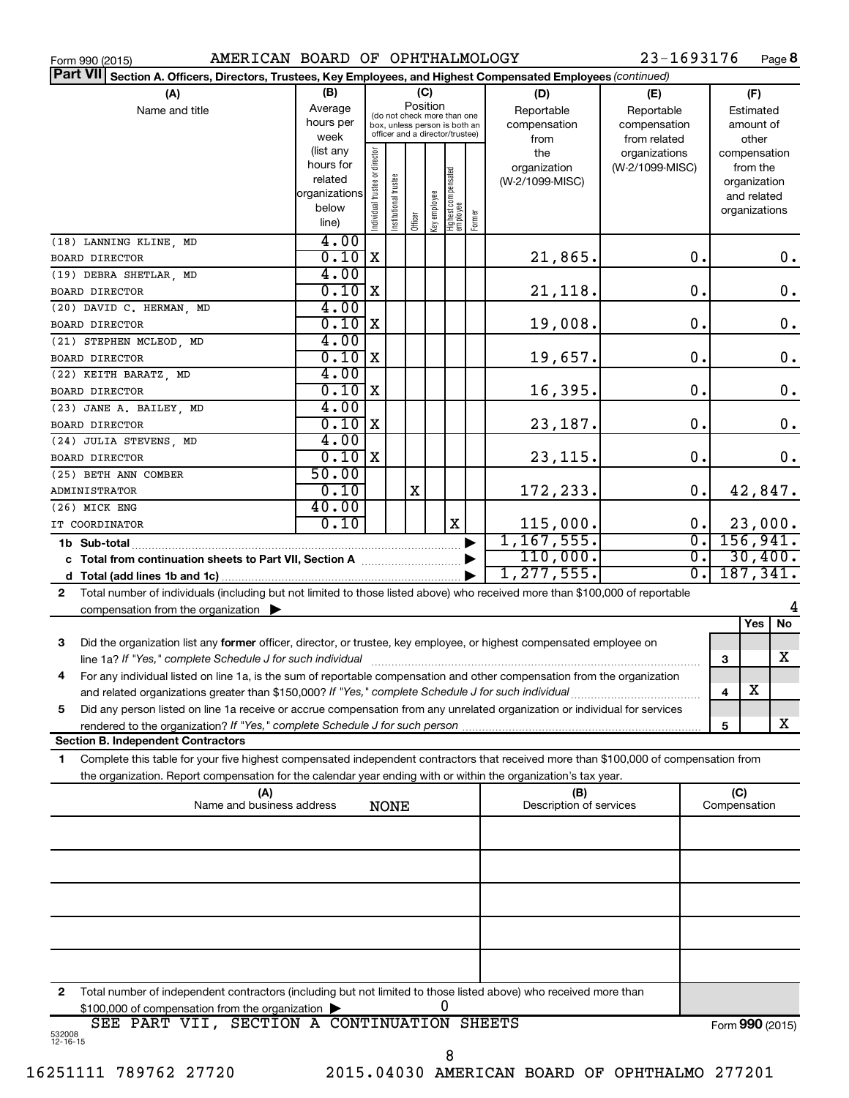| Form 990 (2015) |  |  |
|-----------------|--|--|
|                 |  |  |

Form 990 (2015) Page AMERICAN BOARD OF OPHTHALMOLOGY 23-1693176

23-1693176 Page 8

| Part VII Section A. Officers, Directors, Trustees, Key Employees, and Highest Compensated Employees (continued)                           |                |                                |                       |         |              |                                                              |        |                                |                 |                |                     |           |         |
|-------------------------------------------------------------------------------------------------------------------------------------------|----------------|--------------------------------|-----------------------|---------|--------------|--------------------------------------------------------------|--------|--------------------------------|-----------------|----------------|---------------------|-----------|---------|
| (A)                                                                                                                                       | (B)            |                                |                       | (C)     |              |                                                              |        | (D)                            | (E)             |                |                     | (F)       |         |
| Name and title                                                                                                                            | Average        |                                |                       |         | Position     |                                                              |        | Reportable                     | Reportable      |                |                     | Estimated |         |
|                                                                                                                                           | hours per      |                                |                       |         |              | (do not check more than one<br>box, unless person is both an |        | compensation                   | compensation    |                |                     | amount of |         |
|                                                                                                                                           | week           |                                |                       |         |              | officer and a director/trustee)                              |        | from                           | from related    |                |                     | other     |         |
|                                                                                                                                           | (list any      |                                |                       |         |              |                                                              |        | the                            | organizations   |                | compensation        |           |         |
|                                                                                                                                           | hours for      |                                |                       |         |              |                                                              |        | organization                   | (W-2/1099-MISC) |                |                     | from the  |         |
|                                                                                                                                           | related        | Individual trustee or director | Institutional trustee |         |              | Highest compensated<br> employee                             |        | (W-2/1099-MISC)                |                 |                | organization        |           |         |
|                                                                                                                                           | organizations  |                                |                       |         | Key employee |                                                              |        |                                |                 |                | and related         |           |         |
|                                                                                                                                           | below<br>line) |                                |                       | Officer |              |                                                              | Former |                                |                 |                | organizations       |           |         |
|                                                                                                                                           |                |                                |                       |         |              |                                                              |        |                                |                 |                |                     |           |         |
| (18) LANNING KLINE, MD                                                                                                                    | 4.00           |                                |                       |         |              |                                                              |        |                                |                 |                |                     |           |         |
| <b>BOARD DIRECTOR</b>                                                                                                                     | 0.10           | $\mathbf X$                    |                       |         |              |                                                              |        | 21,865.                        |                 | 0.             |                     |           | $0$ .   |
| (19) DEBRA SHETLAR, MD                                                                                                                    | 4.00           |                                |                       |         |              |                                                              |        |                                |                 |                |                     |           |         |
| BOARD DIRECTOR                                                                                                                            | 0.10           | $\mathbf X$                    |                       |         |              |                                                              |        | 21,118.                        |                 | 0.             |                     |           | 0.      |
| (20) DAVID C. HERMAN, MD                                                                                                                  | 4.00           |                                |                       |         |              |                                                              |        |                                |                 |                |                     |           |         |
| BOARD DIRECTOR                                                                                                                            | 0.10           | X                              |                       |         |              |                                                              |        | 19,008.                        | $\mathbf 0$ .   |                |                     |           | 0.      |
| (21) STEPHEN MCLEOD, MD                                                                                                                   | 4.00           |                                |                       |         |              |                                                              |        |                                |                 |                |                     |           |         |
| <b>BOARD DIRECTOR</b>                                                                                                                     | 0.10           | X                              |                       |         |              |                                                              |        | 19,657.                        | $\mathbf 0$ .   |                |                     |           | 0.      |
| (22) KEITH BARATZ, MD                                                                                                                     | 4.00           |                                |                       |         |              |                                                              |        |                                |                 |                |                     |           |         |
| BOARD DIRECTOR                                                                                                                            | 0.10           | X                              |                       |         |              |                                                              |        | 16,395.                        | $\mathbf 0$ .   |                |                     |           | 0.      |
| (23) JANE A. BAILEY, MD                                                                                                                   | 4.00           |                                |                       |         |              |                                                              |        |                                |                 |                |                     |           |         |
| BOARD DIRECTOR                                                                                                                            | 0.10           | X                              |                       |         |              |                                                              |        | 23,187.                        | $\mathbf 0$ .   |                |                     |           | 0.      |
| (24) JULIA STEVENS, MD                                                                                                                    | 4.00           |                                |                       |         |              |                                                              |        |                                |                 |                |                     |           |         |
| <b>BOARD DIRECTOR</b>                                                                                                                     | $0.10$ X       |                                |                       |         |              |                                                              |        | 23,115.                        | $\mathbf 0$ .   |                |                     |           | 0.      |
|                                                                                                                                           | 50.00          |                                |                       |         |              |                                                              |        |                                |                 |                |                     |           |         |
| (25) BETH ANN COMBER                                                                                                                      | 0.10           |                                |                       | Χ       |              |                                                              |        |                                |                 | 0.             |                     |           |         |
| ADMINISTRATOR                                                                                                                             |                |                                |                       |         |              |                                                              |        | 172,233.                       |                 |                |                     |           | 42,847. |
| (26) MICK ENG                                                                                                                             | 40.00          |                                |                       |         |              |                                                              |        |                                |                 |                |                     |           |         |
| IT COORDINATOR                                                                                                                            | 0.10           |                                |                       |         |              | X                                                            |        | 115,000.                       |                 | 0.             |                     |           | 23,000. |
| 1b Sub-total                                                                                                                              |                |                                |                       |         |              |                                                              |        | 1,167,555.                     |                 | 0.             | 156, 941.           |           |         |
| c Total from continuation sheets to Part VII, Section A manuscreen continuum                                                              |                |                                |                       |         |              |                                                              |        | 110,000.                       |                 | $\mathbf{0}$ . |                     |           | 30,400. |
|                                                                                                                                           |                |                                |                       |         |              |                                                              |        | 1, 277, 555.                   |                 | σ.             | 187, 341.           |           |         |
| Total number of individuals (including but not limited to those listed above) who received more than \$100,000 of reportable<br>2         |                |                                |                       |         |              |                                                              |        |                                |                 |                |                     |           |         |
| compensation from the organization $\blacktriangleright$                                                                                  |                |                                |                       |         |              |                                                              |        |                                |                 |                |                     |           | 4       |
|                                                                                                                                           |                |                                |                       |         |              |                                                              |        |                                |                 |                |                     | Yes       | No      |
| Did the organization list any former officer, director, or trustee, key employee, or highest compensated employee on<br>3                 |                |                                |                       |         |              |                                                              |        |                                |                 |                |                     |           |         |
| line 1a? If "Yes," complete Schedule J for such individual                                                                                |                |                                |                       |         |              |                                                              |        |                                |                 |                | 3                   |           | x       |
| For any individual listed on line 1a, is the sum of reportable compensation and other compensation from the organization<br>4             |                |                                |                       |         |              |                                                              |        |                                |                 |                |                     |           |         |
| and related organizations greater than \$150,000? If "Yes," complete Schedule J for such individual                                       |                |                                |                       |         |              |                                                              |        |                                |                 |                | 4                   | X         |         |
| Did any person listed on line 1a receive or accrue compensation from any unrelated organization or individual for services<br>5           |                |                                |                       |         |              |                                                              |        |                                |                 |                |                     |           |         |
| rendered to the organization? If "Yes," complete Schedule J for such person.                                                              |                |                                |                       |         |              |                                                              |        |                                |                 |                | 5                   |           | x       |
| <b>Section B. Independent Contractors</b>                                                                                                 |                |                                |                       |         |              |                                                              |        |                                |                 |                |                     |           |         |
| Complete this table for your five highest compensated independent contractors that received more than \$100,000 of compensation from<br>1 |                |                                |                       |         |              |                                                              |        |                                |                 |                |                     |           |         |
| the organization. Report compensation for the calendar year ending with or within the organization's tax year.                            |                |                                |                       |         |              |                                                              |        |                                |                 |                |                     |           |         |
|                                                                                                                                           |                |                                |                       |         |              |                                                              |        |                                |                 |                |                     |           |         |
| (A)<br>Name and business address                                                                                                          |                |                                | <b>NONE</b>           |         |              |                                                              |        | (B)<br>Description of services |                 |                | (C)<br>Compensation |           |         |
|                                                                                                                                           |                |                                |                       |         |              |                                                              |        |                                |                 |                |                     |           |         |
|                                                                                                                                           |                |                                |                       |         |              |                                                              |        |                                |                 |                |                     |           |         |
|                                                                                                                                           |                |                                |                       |         |              |                                                              |        |                                |                 |                |                     |           |         |
|                                                                                                                                           |                |                                |                       |         |              |                                                              |        |                                |                 |                |                     |           |         |
|                                                                                                                                           |                |                                |                       |         |              |                                                              |        |                                |                 |                |                     |           |         |
|                                                                                                                                           |                |                                |                       |         |              |                                                              |        |                                |                 |                |                     |           |         |
|                                                                                                                                           |                |                                |                       |         |              |                                                              |        |                                |                 |                |                     |           |         |
|                                                                                                                                           |                |                                |                       |         |              |                                                              |        |                                |                 |                |                     |           |         |
|                                                                                                                                           |                |                                |                       |         |              |                                                              |        |                                |                 |                |                     |           |         |
|                                                                                                                                           |                |                                |                       |         |              |                                                              |        |                                |                 |                |                     |           |         |
|                                                                                                                                           |                |                                |                       |         |              |                                                              |        |                                |                 |                |                     |           |         |
| Total number of independent contractors (including but not limited to those listed above) who received more than<br>2                     |                |                                |                       |         |              |                                                              |        |                                |                 |                |                     |           |         |
| \$100,000 of compensation from the organization                                                                                           |                |                                |                       |         |              | 0                                                            |        |                                |                 |                |                     |           |         |
| SEE PART VII, SECTION A CONTINUATION SHEETS                                                                                               |                |                                |                       |         |              |                                                              |        |                                |                 |                | Form 990 (2015)     |           |         |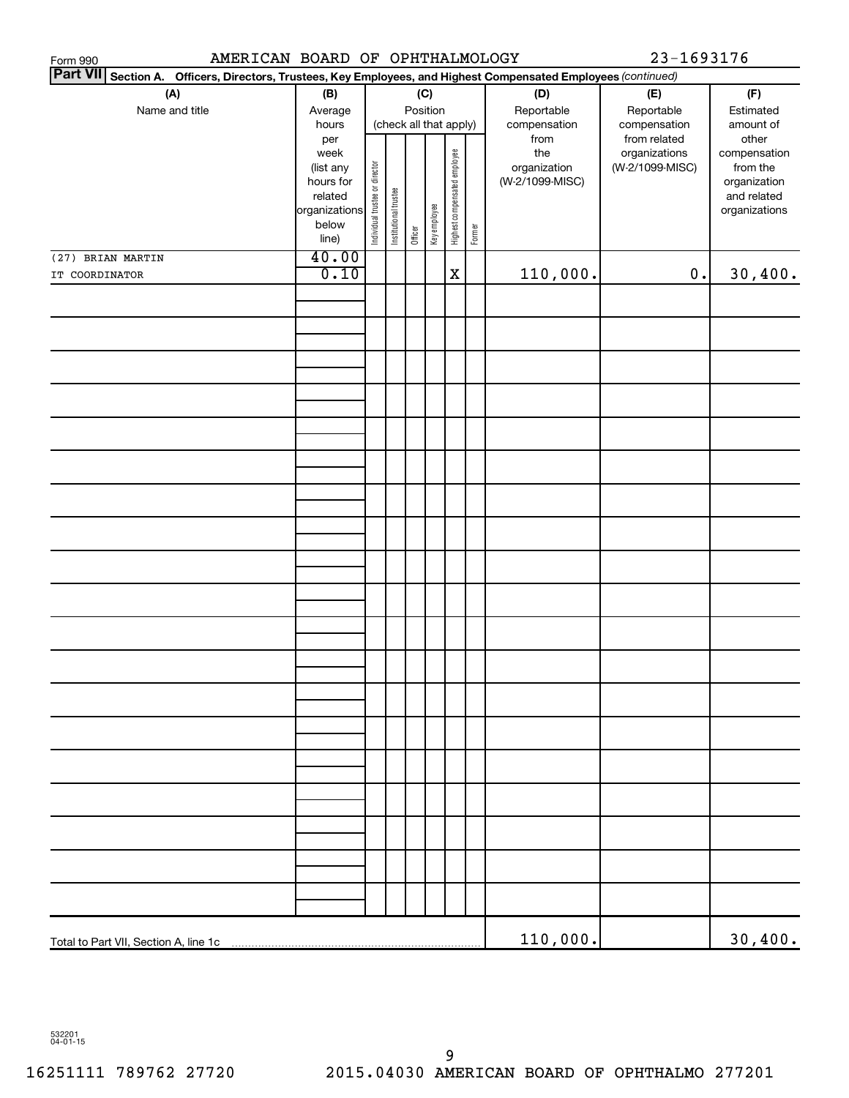| Form 990                                                                                                           | 23-1693176<br>AMERICAN BOARD OF OPHTHALMOLOGY |                                |                       |         |              |                              |        |                 |                               |                       |
|--------------------------------------------------------------------------------------------------------------------|-----------------------------------------------|--------------------------------|-----------------------|---------|--------------|------------------------------|--------|-----------------|-------------------------------|-----------------------|
| Part VII Section A.<br>Officers, Directors, Trustees, Key Employees, and Highest Compensated Employees (continued) |                                               |                                |                       |         |              |                              |        |                 |                               |                       |
| (A)                                                                                                                | (B)                                           |                                | (C)<br>(D)            |         |              |                              |        |                 | (E)                           | (F)                   |
| Name and title                                                                                                     | Average                                       |                                |                       |         | Position     |                              |        | Reportable      | Reportable                    | Estimated             |
|                                                                                                                    | hours                                         |                                |                       |         |              | (check all that apply)       |        | compensation    | compensation                  | amount of             |
|                                                                                                                    | per<br>week                                   |                                |                       |         |              |                              |        | from<br>the     | from related<br>organizations | other<br>compensation |
|                                                                                                                    | (list any                                     |                                |                       |         |              |                              |        | organization    | (W-2/1099-MISC)               | from the              |
|                                                                                                                    | hours for                                     |                                |                       |         |              |                              |        | (W-2/1099-MISC) |                               | organization          |
|                                                                                                                    | related                                       |                                |                       |         |              |                              |        |                 |                               | and related           |
|                                                                                                                    | organizations                                 |                                |                       |         |              |                              |        |                 |                               | organizations         |
|                                                                                                                    | below<br>line)                                | Individual trustee or director | Institutional trustee | Officer | Key employee | Highest compensated employee | Former |                 |                               |                       |
| (27) BRIAN MARTIN                                                                                                  | 40.00                                         |                                |                       |         |              |                              |        |                 |                               |                       |
| IT COORDINATOR                                                                                                     | 0.10                                          |                                |                       |         |              | $\mathbf x$                  |        | 110,000.        | $0$ .                         | 30,400.               |
|                                                                                                                    |                                               |                                |                       |         |              |                              |        |                 |                               |                       |
|                                                                                                                    |                                               |                                |                       |         |              |                              |        |                 |                               |                       |
|                                                                                                                    |                                               |                                |                       |         |              |                              |        |                 |                               |                       |
|                                                                                                                    |                                               |                                |                       |         |              |                              |        |                 |                               |                       |
|                                                                                                                    |                                               |                                |                       |         |              |                              |        |                 |                               |                       |
|                                                                                                                    |                                               |                                |                       |         |              |                              |        |                 |                               |                       |
|                                                                                                                    |                                               |                                |                       |         |              |                              |        |                 |                               |                       |
|                                                                                                                    |                                               |                                |                       |         |              |                              |        |                 |                               |                       |
|                                                                                                                    |                                               |                                |                       |         |              |                              |        |                 |                               |                       |
|                                                                                                                    |                                               |                                |                       |         |              |                              |        |                 |                               |                       |
|                                                                                                                    |                                               |                                |                       |         |              |                              |        |                 |                               |                       |
|                                                                                                                    |                                               |                                |                       |         |              |                              |        |                 |                               |                       |
|                                                                                                                    |                                               |                                |                       |         |              |                              |        |                 |                               |                       |
|                                                                                                                    |                                               |                                |                       |         |              |                              |        |                 |                               |                       |
|                                                                                                                    |                                               |                                |                       |         |              |                              |        |                 |                               |                       |
|                                                                                                                    |                                               |                                |                       |         |              |                              |        |                 |                               |                       |
|                                                                                                                    |                                               |                                |                       |         |              |                              |        |                 |                               |                       |
|                                                                                                                    |                                               |                                |                       |         |              |                              |        |                 |                               |                       |
|                                                                                                                    |                                               |                                |                       |         |              |                              |        |                 |                               |                       |
|                                                                                                                    |                                               |                                |                       |         |              |                              |        |                 |                               |                       |
|                                                                                                                    |                                               |                                |                       |         |              |                              |        |                 |                               |                       |
|                                                                                                                    |                                               |                                |                       |         |              |                              |        |                 |                               |                       |
|                                                                                                                    |                                               |                                |                       |         |              |                              |        |                 |                               |                       |
|                                                                                                                    |                                               |                                |                       |         |              |                              |        |                 |                               |                       |
|                                                                                                                    |                                               |                                |                       |         |              |                              |        |                 |                               |                       |
|                                                                                                                    |                                               |                                |                       |         |              |                              |        |                 |                               |                       |
|                                                                                                                    |                                               |                                |                       |         |              |                              |        |                 |                               |                       |
|                                                                                                                    |                                               |                                |                       |         |              |                              |        |                 |                               |                       |
|                                                                                                                    |                                               |                                |                       |         |              |                              |        |                 |                               |                       |
|                                                                                                                    |                                               |                                |                       |         |              |                              |        |                 |                               |                       |
|                                                                                                                    |                                               |                                |                       |         |              |                              |        |                 |                               |                       |
|                                                                                                                    |                                               |                                |                       |         |              |                              |        |                 |                               |                       |
|                                                                                                                    |                                               |                                |                       |         |              |                              |        |                 |                               |                       |
|                                                                                                                    |                                               |                                |                       |         |              |                              |        |                 |                               |                       |
|                                                                                                                    |                                               |                                |                       |         |              |                              |        |                 |                               |                       |
|                                                                                                                    |                                               |                                |                       |         |              |                              |        |                 |                               |                       |
|                                                                                                                    |                                               |                                |                       |         |              |                              |        | 110,000.        |                               | 30,400.               |

532201 04-01-15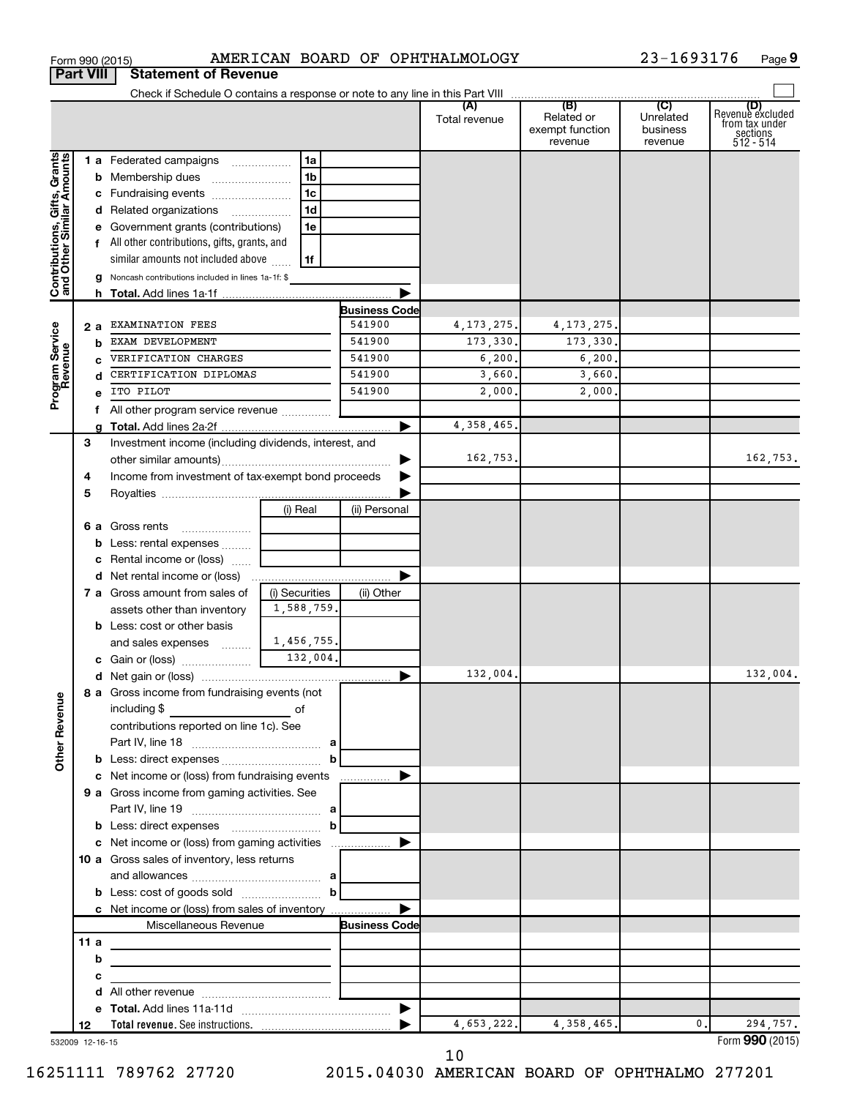|                                                           | <b>Part VIII</b> |    | <b>Statement of Revenue</b>                                                                                          |                |                      |                   |                                          |                                  |                                                                    |
|-----------------------------------------------------------|------------------|----|----------------------------------------------------------------------------------------------------------------------|----------------|----------------------|-------------------|------------------------------------------|----------------------------------|--------------------------------------------------------------------|
|                                                           |                  |    |                                                                                                                      |                |                      |                   |                                          |                                  |                                                                    |
|                                                           |                  |    |                                                                                                                      |                |                      | Total revenue     | Related or<br>exempt function<br>revenue | Unrelated<br>business<br>revenue | (D)<br>Revenue excluded<br>from tax under<br>sections<br>512 - 514 |
| Contributions, Gifts, Grants<br>and Other Similar Amounts |                  |    | 1 a Federated campaigns                                                                                              | 1a             |                      |                   |                                          |                                  |                                                                    |
|                                                           |                  |    | <b>b</b> Membership dues                                                                                             | 1 <sub>b</sub> |                      |                   |                                          |                                  |                                                                    |
|                                                           |                  |    | c Fundraising events                                                                                                 | 1 <sub>c</sub> |                      |                   |                                          |                                  |                                                                    |
|                                                           |                  |    | d Related organizations                                                                                              | 1 <sub>d</sub> |                      |                   |                                          |                                  |                                                                    |
|                                                           |                  |    | e Government grants (contributions)                                                                                  | 1e             |                      |                   |                                          |                                  |                                                                    |
|                                                           |                  |    | f All other contributions, gifts, grants, and                                                                        |                |                      |                   |                                          |                                  |                                                                    |
|                                                           |                  |    | similar amounts not included above                                                                                   | 1f             |                      |                   |                                          |                                  |                                                                    |
|                                                           |                  |    | Noncash contributions included in lines 1a-1f: \$                                                                    |                |                      |                   |                                          |                                  |                                                                    |
|                                                           |                  |    |                                                                                                                      |                |                      |                   |                                          |                                  |                                                                    |
|                                                           |                  |    |                                                                                                                      |                | <b>Business Code</b> |                   |                                          |                                  |                                                                    |
|                                                           | 2а               |    | EXAMINATION FEES                                                                                                     |                | 541900<br>541900     | 4, 173, 275.      | 4, 173, 275.                             |                                  |                                                                    |
|                                                           |                  | b  | EXAM DEVELOPMENT                                                                                                     |                |                      | 173,330.          | 173,330.                                 |                                  |                                                                    |
|                                                           |                  |    | VERIFICATION CHARGES<br>CERTIFICATION DIPLOMAS                                                                       |                | 541900<br>541900     | 6, 200.<br>3,660. | 6, 200.<br>3,660.                        |                                  |                                                                    |
|                                                           |                  |    | ITO PILOT                                                                                                            |                | 541900               | 2,000,            | 2,000.                                   |                                  |                                                                    |
| Program Service<br>Revenue                                |                  |    | All other program service revenue                                                                                    |                |                      |                   |                                          |                                  |                                                                    |
|                                                           |                  | f. |                                                                                                                      |                |                      | 4, 358, 465.      |                                          |                                  |                                                                    |
|                                                           | 3                |    | Investment income (including dividends, interest, and                                                                |                |                      |                   |                                          |                                  |                                                                    |
|                                                           |                  |    |                                                                                                                      |                |                      | 162,753.          |                                          |                                  | 162,753.                                                           |
|                                                           | 4                |    | Income from investment of tax-exempt bond proceeds                                                                   |                |                      |                   |                                          |                                  |                                                                    |
|                                                           | 5                |    |                                                                                                                      |                |                      |                   |                                          |                                  |                                                                    |
|                                                           |                  |    |                                                                                                                      | (i) Real       | (ii) Personal        |                   |                                          |                                  |                                                                    |
|                                                           |                  |    | 6 a Gross rents                                                                                                      |                |                      |                   |                                          |                                  |                                                                    |
|                                                           |                  |    | <b>b</b> Less: rental expenses                                                                                       |                |                      |                   |                                          |                                  |                                                                    |
|                                                           |                  |    | c Rental income or (loss)                                                                                            |                |                      |                   |                                          |                                  |                                                                    |
|                                                           |                  |    |                                                                                                                      |                |                      |                   |                                          |                                  |                                                                    |
|                                                           |                  |    | 7 a Gross amount from sales of                                                                                       | (i) Securities | (ii) Other           |                   |                                          |                                  |                                                                    |
|                                                           |                  |    | assets other than inventory                                                                                          | 1,588,759.     |                      |                   |                                          |                                  |                                                                    |
|                                                           |                  |    | <b>b</b> Less: cost or other basis                                                                                   |                |                      |                   |                                          |                                  |                                                                    |
|                                                           |                  |    | and sales expenses                                                                                                   | 1,456,755.     |                      |                   |                                          |                                  |                                                                    |
|                                                           |                  |    |                                                                                                                      | 132,004.       |                      |                   |                                          |                                  |                                                                    |
|                                                           |                  |    |                                                                                                                      |                | ▶                    | 132,004.          |                                          |                                  | 132,004.                                                           |
| <b>Other Revenue</b>                                      |                  |    | 8 a Gross income from fundraising events (not<br>including \$<br><u> 1990 - John Barn Barn, amerikansk politiker</u> | of             |                      |                   |                                          |                                  |                                                                    |
|                                                           |                  |    | contributions reported on line 1c). See                                                                              |                |                      |                   |                                          |                                  |                                                                    |
|                                                           |                  |    |                                                                                                                      |                |                      |                   |                                          |                                  |                                                                    |
|                                                           |                  |    |                                                                                                                      |                |                      |                   |                                          |                                  |                                                                    |
|                                                           |                  |    | 9 a Gross income from gaming activities. See                                                                         |                |                      |                   |                                          |                                  |                                                                    |
|                                                           |                  |    |                                                                                                                      |                |                      |                   |                                          |                                  |                                                                    |
|                                                           |                  |    |                                                                                                                      |                |                      |                   |                                          |                                  |                                                                    |
|                                                           |                  |    |                                                                                                                      |                |                      |                   |                                          |                                  |                                                                    |
|                                                           |                  |    | 10 a Gross sales of inventory, less returns                                                                          |                |                      |                   |                                          |                                  |                                                                    |
|                                                           |                  |    | and allowances $\ldots$ , $\ldots$ , $\ldots$ , $\ldots$ , $\ldots$ , $\ldots$ , $\ldots$                            |                |                      |                   |                                          |                                  |                                                                    |
|                                                           |                  |    | <b>b</b> Less: cost of goods sold $\ldots$ <b>b</b>                                                                  |                |                      |                   |                                          |                                  |                                                                    |
|                                                           |                  |    | c Net income or (loss) from sales of inventory                                                                       |                |                      |                   |                                          |                                  |                                                                    |
|                                                           |                  |    | Miscellaneous Revenue                                                                                                |                | <b>Business Code</b> |                   |                                          |                                  |                                                                    |
|                                                           | 11 a             |    |                                                                                                                      |                |                      |                   |                                          |                                  |                                                                    |
|                                                           |                  | b  | <u> 1989 - John Harry Harry Harry Harry Harry Harry Harry Harry Harry Harry Harry Harry Harry Harry Harry Harry</u>  |                |                      |                   |                                          |                                  |                                                                    |
|                                                           |                  | с  | <u> 1989 - Johann Barbara, martxa alemaniar a</u>                                                                    |                |                      |                   |                                          |                                  |                                                                    |
|                                                           |                  | d  |                                                                                                                      |                |                      |                   |                                          |                                  |                                                                    |
|                                                           |                  |    |                                                                                                                      |                |                      |                   |                                          |                                  |                                                                    |
|                                                           | 12               |    |                                                                                                                      |                |                      | 4,653,222.        | 4, 358, 465.                             | $\mathbf{0}$ .                   | 294,757.                                                           |
| 532009 12-16-15                                           |                  |    |                                                                                                                      |                |                      |                   |                                          |                                  | Form 990 (2015)                                                    |

Form 990 (2015) Page AMERICAN BOARD OF OPHTHALMOLOGY 23-1693176

**9**

532009 12-16-15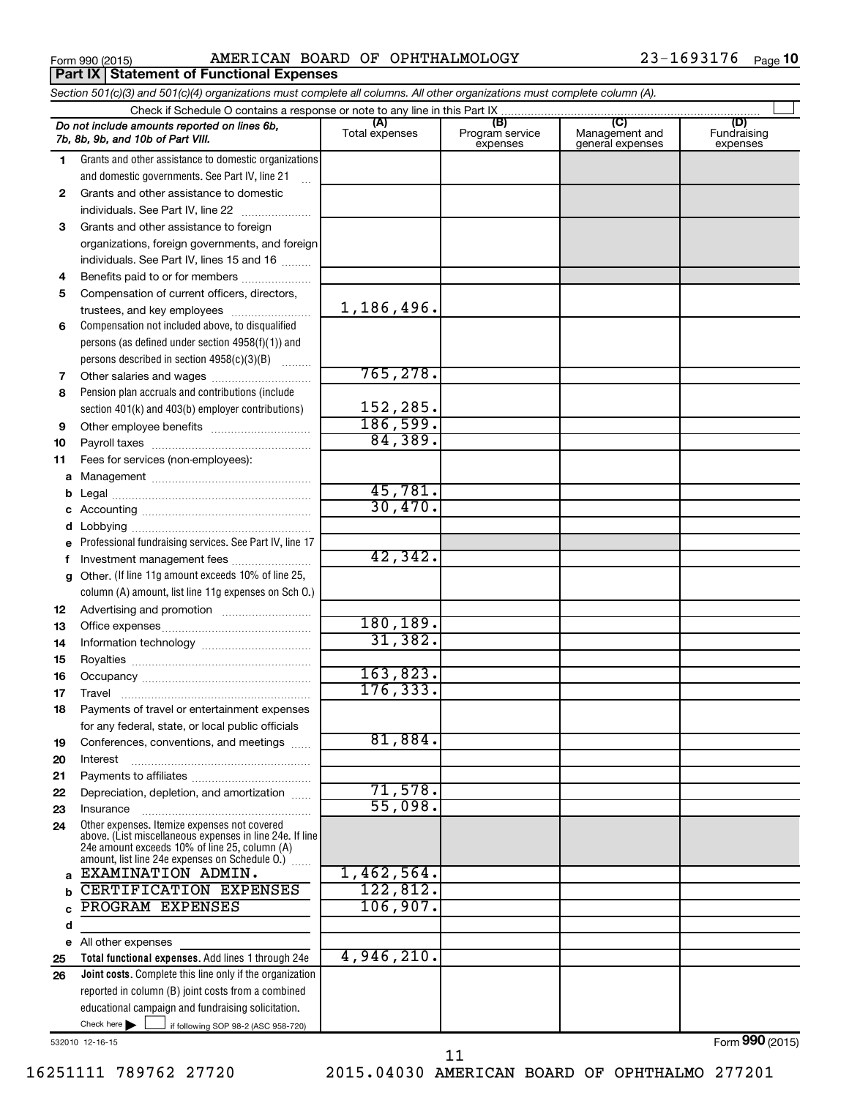**Part IX | Statement of Functional Expenses** 

Form 990 (2015) Page AMERICAN BOARD OF OPHTHALMOLOGY 23-1693176

|          | Section 501(c)(3) and 501(c)(4) organizations must complete all columns. All other organizations must complete column (A). |                       |                                    |                                    |                                |  |  |  |  |  |  |
|----------|----------------------------------------------------------------------------------------------------------------------------|-----------------------|------------------------------------|------------------------------------|--------------------------------|--|--|--|--|--|--|
|          | (C)                                                                                                                        |                       |                                    |                                    |                                |  |  |  |  |  |  |
|          | Do not include amounts reported on lines 6b,<br>7b, 8b, 9b, and 10b of Part VIII.                                          | (A)<br>Total expenses | (B)<br>Program service<br>expenses | Management and<br>general expenses | (D)<br>Fundraising<br>expenses |  |  |  |  |  |  |
| 1.       | Grants and other assistance to domestic organizations                                                                      |                       |                                    |                                    |                                |  |  |  |  |  |  |
|          | and domestic governments. See Part IV, line 21<br>$\mathbf{r}$                                                             |                       |                                    |                                    |                                |  |  |  |  |  |  |
| 2        | Grants and other assistance to domestic                                                                                    |                       |                                    |                                    |                                |  |  |  |  |  |  |
|          | individuals. See Part IV, line 22                                                                                          |                       |                                    |                                    |                                |  |  |  |  |  |  |
| 3        | Grants and other assistance to foreign                                                                                     |                       |                                    |                                    |                                |  |  |  |  |  |  |
|          | organizations, foreign governments, and foreign                                                                            |                       |                                    |                                    |                                |  |  |  |  |  |  |
|          | individuals. See Part IV, lines 15 and 16                                                                                  |                       |                                    |                                    |                                |  |  |  |  |  |  |
| 4        | Benefits paid to or for members                                                                                            |                       |                                    |                                    |                                |  |  |  |  |  |  |
| 5        | Compensation of current officers, directors,                                                                               |                       |                                    |                                    |                                |  |  |  |  |  |  |
|          | trustees, and key employees                                                                                                | 1,186,496.            |                                    |                                    |                                |  |  |  |  |  |  |
| 6        | Compensation not included above, to disqualified                                                                           |                       |                                    |                                    |                                |  |  |  |  |  |  |
|          | persons (as defined under section 4958(f)(1)) and                                                                          |                       |                                    |                                    |                                |  |  |  |  |  |  |
|          | persons described in section 4958(c)(3)(B)                                                                                 | 765,278.              |                                    |                                    |                                |  |  |  |  |  |  |
| 7<br>8   | Pension plan accruals and contributions (include                                                                           |                       |                                    |                                    |                                |  |  |  |  |  |  |
|          | section 401(k) and 403(b) employer contributions)                                                                          | 152,285.              |                                    |                                    |                                |  |  |  |  |  |  |
| 9        | Other employee benefits                                                                                                    | 186,599.              |                                    |                                    |                                |  |  |  |  |  |  |
| 10       |                                                                                                                            | 84,389.               |                                    |                                    |                                |  |  |  |  |  |  |
| 11       | Fees for services (non-employees):                                                                                         |                       |                                    |                                    |                                |  |  |  |  |  |  |
|          |                                                                                                                            |                       |                                    |                                    |                                |  |  |  |  |  |  |
| b        |                                                                                                                            | 45,781.               |                                    |                                    |                                |  |  |  |  |  |  |
| c        |                                                                                                                            | 30,470.               |                                    |                                    |                                |  |  |  |  |  |  |
| d        |                                                                                                                            |                       |                                    |                                    |                                |  |  |  |  |  |  |
|          | Professional fundraising services. See Part IV, line 17                                                                    |                       |                                    |                                    |                                |  |  |  |  |  |  |
| f        | Investment management fees                                                                                                 | 42,342.               |                                    |                                    |                                |  |  |  |  |  |  |
| g        | Other. (If line 11g amount exceeds 10% of line 25,                                                                         |                       |                                    |                                    |                                |  |  |  |  |  |  |
|          | column (A) amount, list line 11g expenses on Sch O.)                                                                       |                       |                                    |                                    |                                |  |  |  |  |  |  |
| 12       |                                                                                                                            |                       |                                    |                                    |                                |  |  |  |  |  |  |
| 13       |                                                                                                                            | 180, 189.             |                                    |                                    |                                |  |  |  |  |  |  |
| 14       |                                                                                                                            | 31,382.               |                                    |                                    |                                |  |  |  |  |  |  |
| 15       |                                                                                                                            |                       |                                    |                                    |                                |  |  |  |  |  |  |
| 16       |                                                                                                                            | 163,823.              |                                    |                                    |                                |  |  |  |  |  |  |
| 17       |                                                                                                                            | 176, 333.             |                                    |                                    |                                |  |  |  |  |  |  |
| 18       | Payments of travel or entertainment expenses                                                                               |                       |                                    |                                    |                                |  |  |  |  |  |  |
|          | for any federal, state, or local public officials                                                                          |                       |                                    |                                    |                                |  |  |  |  |  |  |
| 19       | Conferences, conventions, and meetings                                                                                     | 81,884.               |                                    |                                    |                                |  |  |  |  |  |  |
| 20       | Interest                                                                                                                   |                       |                                    |                                    |                                |  |  |  |  |  |  |
| 21<br>22 | Depreciation, depletion, and amortization                                                                                  | 71,578.               |                                    |                                    |                                |  |  |  |  |  |  |
| 23       | Insurance                                                                                                                  | 55,098.               |                                    |                                    |                                |  |  |  |  |  |  |
| 24       | Other expenses. Itemize expenses not covered                                                                               |                       |                                    |                                    |                                |  |  |  |  |  |  |
|          | above. (List miscellaneous expenses in line 24e. If line                                                                   |                       |                                    |                                    |                                |  |  |  |  |  |  |
|          | 24e amount exceeds 10% of line 25, column (A)<br>amount, list line 24e expenses on Schedule O.)                            |                       |                                    |                                    |                                |  |  |  |  |  |  |
| a        | EXAMINATION ADMIN.                                                                                                         | 1,462,564.            |                                    |                                    |                                |  |  |  |  |  |  |
| b        | CERTIFICATION EXPENSES                                                                                                     | 122,812.              |                                    |                                    |                                |  |  |  |  |  |  |
|          | PROGRAM EXPENSES                                                                                                           | 106,907.              |                                    |                                    |                                |  |  |  |  |  |  |
| d        |                                                                                                                            |                       |                                    |                                    |                                |  |  |  |  |  |  |
|          | e All other expenses                                                                                                       |                       |                                    |                                    |                                |  |  |  |  |  |  |
| 25       | Total functional expenses. Add lines 1 through 24e                                                                         | 4,946,210.            |                                    |                                    |                                |  |  |  |  |  |  |
| 26       | Joint costs. Complete this line only if the organization                                                                   |                       |                                    |                                    |                                |  |  |  |  |  |  |
|          | reported in column (B) joint costs from a combined                                                                         |                       |                                    |                                    |                                |  |  |  |  |  |  |
|          | educational campaign and fundraising solicitation.                                                                         |                       |                                    |                                    |                                |  |  |  |  |  |  |
|          | Check here $\blacktriangleright$<br>if following SOP 98-2 (ASC 958-720)                                                    |                       |                                    |                                    |                                |  |  |  |  |  |  |

532010 12-16-15

Form (2015) **990**

16251111 789762 27720 2015.04030 AMERICAN BOARD OF OPHTHALMO 277201 11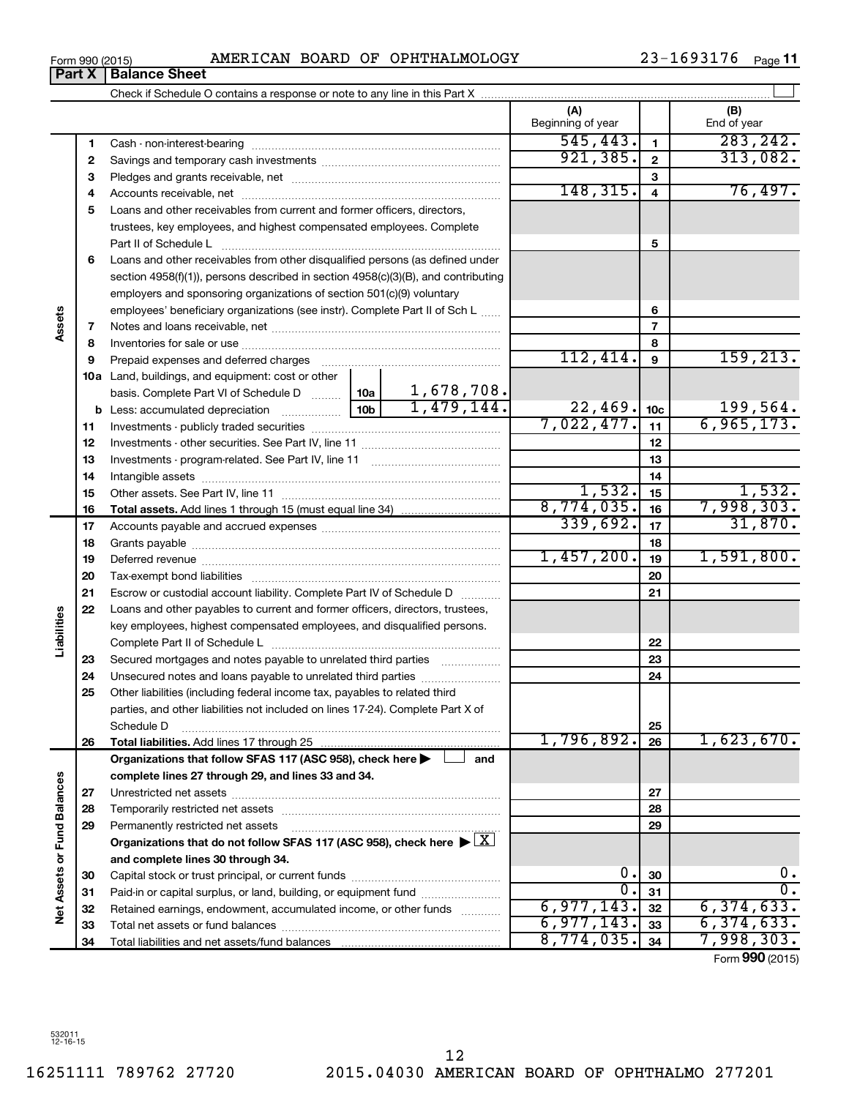16251111 789762 27720 2015.04030 AMERICAN BOARD OF OPHTHALMO 277201 12

|                             |    |                                                                                                                                                                                                                               | (A)<br>Beginning of year |                          | (B)<br>End of year    |
|-----------------------------|----|-------------------------------------------------------------------------------------------------------------------------------------------------------------------------------------------------------------------------------|--------------------------|--------------------------|-----------------------|
|                             | 1  |                                                                                                                                                                                                                               | 545, 443.                | $\mathbf{1}$             | 283, 242.             |
|                             | 2  |                                                                                                                                                                                                                               | 921, 385.                | $\mathbf{2}$             | 313,082.              |
|                             | З  |                                                                                                                                                                                                                               |                          | З                        |                       |
|                             | 4  |                                                                                                                                                                                                                               | 148, 315.                | $\overline{4}$           | 76,497.               |
|                             | 5  | Loans and other receivables from current and former officers, directors,                                                                                                                                                      |                          |                          |                       |
|                             |    | trustees, key employees, and highest compensated employees. Complete                                                                                                                                                          |                          |                          |                       |
|                             |    | Part II of Schedule L                                                                                                                                                                                                         |                          | 5                        |                       |
|                             | 6  | Loans and other receivables from other disqualified persons (as defined under                                                                                                                                                 |                          |                          |                       |
|                             |    | section 4958(f)(1)), persons described in section 4958(c)(3)(B), and contributing                                                                                                                                             |                          |                          |                       |
|                             |    | employers and sponsoring organizations of section 501(c)(9) voluntary                                                                                                                                                         |                          |                          |                       |
|                             |    | employees' beneficiary organizations (see instr). Complete Part II of Sch L                                                                                                                                                   |                          | 6                        |                       |
| Assets                      | 7  |                                                                                                                                                                                                                               |                          | $\overline{\phantom{a}}$ |                       |
|                             | 8  |                                                                                                                                                                                                                               |                          | 8                        |                       |
|                             | 9  | Prepaid expenses and deferred charges [11] [11] Prepaid expenses and deferred charges [11] [11] Martin Marian Marian Marian Marian Marian Marian Marian Marian Marian Marian Marian Marian Marian Marian Marian Marian Marian | 112,414.                 | $\boldsymbol{9}$         | 159, 213.             |
|                             |    | 10a Land, buildings, and equipment: cost or other                                                                                                                                                                             |                          |                          |                       |
|                             |    | 1,678,708.<br>basis. Complete Part VI of Schedule D  10a                                                                                                                                                                      |                          |                          |                       |
|                             |    | $\boxed{10b}$ $1,479,144.$<br><b>b</b> Less: accumulated depreciation <i>mimimimini</i>                                                                                                                                       | 22,469.                  | 10 <sub>c</sub>          | 199,564.              |
|                             | 11 |                                                                                                                                                                                                                               | 7,022,477.               | 11                       | 6,965,173.            |
|                             | 12 |                                                                                                                                                                                                                               |                          | 12                       |                       |
|                             | 13 |                                                                                                                                                                                                                               |                          | 13                       |                       |
|                             | 14 |                                                                                                                                                                                                                               |                          | 14                       |                       |
|                             | 15 |                                                                                                                                                                                                                               | 1,532.<br>8,774,035.     | 15                       | 1,532.                |
|                             | 16 |                                                                                                                                                                                                                               | 339,692.                 | 16                       | 7,998,303.<br>31,870. |
|                             | 17 |                                                                                                                                                                                                                               |                          | 17                       |                       |
|                             | 18 |                                                                                                                                                                                                                               | 1,457,200.               | 18                       | 1,591,800.            |
|                             | 19 |                                                                                                                                                                                                                               |                          | 19                       |                       |
|                             | 20 |                                                                                                                                                                                                                               |                          | 20                       |                       |
|                             | 21 | Escrow or custodial account liability. Complete Part IV of Schedule D                                                                                                                                                         |                          | 21                       |                       |
| Liabilities                 | 22 | Loans and other payables to current and former officers, directors, trustees,                                                                                                                                                 |                          |                          |                       |
|                             |    | key employees, highest compensated employees, and disqualified persons.                                                                                                                                                       |                          | 22                       |                       |
|                             | 23 | Secured mortgages and notes payable to unrelated third parties                                                                                                                                                                |                          | 23                       |                       |
|                             | 24 | Unsecured notes and loans payable to unrelated third parties                                                                                                                                                                  |                          | 24                       |                       |
|                             | 25 | Other liabilities (including federal income tax, payables to related third                                                                                                                                                    |                          |                          |                       |
|                             |    | parties, and other liabilities not included on lines 17-24). Complete Part X of                                                                                                                                               |                          |                          |                       |
|                             |    | Schedule D                                                                                                                                                                                                                    |                          | 25                       |                       |
|                             | 26 |                                                                                                                                                                                                                               | 1,796,892.               | 26                       | 1,623,670.            |
|                             |    | Organizations that follow SFAS 117 (ASC 958), check here ><br>and                                                                                                                                                             |                          |                          |                       |
|                             |    | complete lines 27 through 29, and lines 33 and 34.                                                                                                                                                                            |                          |                          |                       |
| Net Assets or Fund Balances | 27 |                                                                                                                                                                                                                               |                          | 27                       |                       |
|                             | 28 |                                                                                                                                                                                                                               |                          | 28                       |                       |
|                             | 29 | Permanently restricted net assets                                                                                                                                                                                             |                          | 29                       |                       |
|                             |    | Organizations that do not follow SFAS 117 (ASC 958), check here $\blacktriangleright \boxed{X}$                                                                                                                               |                          |                          |                       |
|                             |    | and complete lines 30 through 34.                                                                                                                                                                                             |                          |                          |                       |
|                             | 30 |                                                                                                                                                                                                                               | 0.                       | 30                       | 0.                    |
|                             | 31 | Paid-in or capital surplus, or land, building, or equipment fund                                                                                                                                                              | $\overline{0}$ .         | 31                       | $\overline{0}$ .      |
|                             | 32 | Retained earnings, endowment, accumulated income, or other funds                                                                                                                                                              | 6,977,143.               | 32                       | 6, 374, 633.          |
|                             | 33 |                                                                                                                                                                                                                               | 6,977,143.               | 33                       | 6, 374, 633.          |
|                             | 34 |                                                                                                                                                                                                                               | 8,774,035.               | 34                       | 7,998,303.            |

Form (2015) **990**

**Part X Balance Sheet**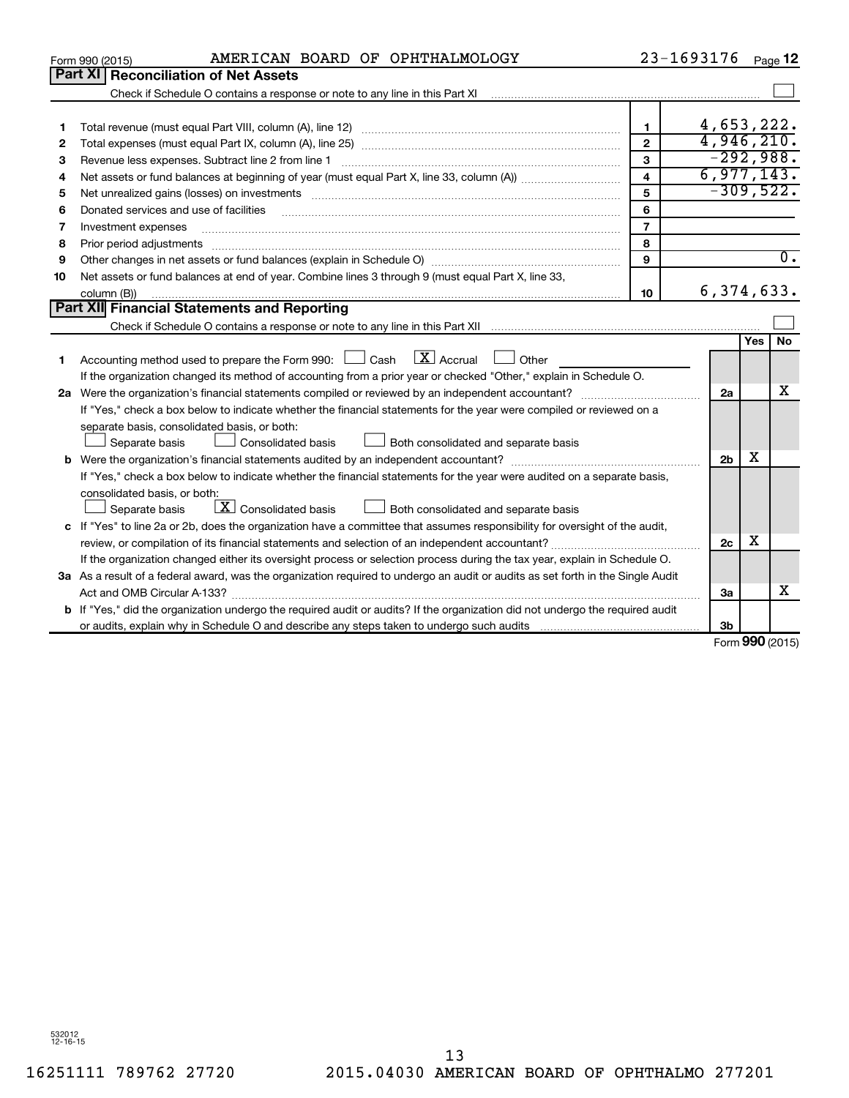|    | AMERICAN BOARD OF OPHTHALMOLOGY<br>Form 990 (2015)                                                                                                                                                                             |                         | 23-1693176     |     | Page 12             |
|----|--------------------------------------------------------------------------------------------------------------------------------------------------------------------------------------------------------------------------------|-------------------------|----------------|-----|---------------------|
|    | Part XI Reconciliation of Net Assets                                                                                                                                                                                           |                         |                |     |                     |
|    | Check if Schedule O contains a response or note to any line in this Part XI [11] [12] Check if Schedule O contains a response or note to any line in this Part XI                                                              |                         |                |     |                     |
|    |                                                                                                                                                                                                                                |                         |                |     |                     |
| 1  |                                                                                                                                                                                                                                | 1                       | 4,653,222.     |     |                     |
| 2  |                                                                                                                                                                                                                                | $\overline{2}$          | 4,946,210.     |     |                     |
| 3  |                                                                                                                                                                                                                                | 3                       | $-292,988.$    |     |                     |
| 4  |                                                                                                                                                                                                                                | $\overline{\mathbf{4}}$ | 6,977,143.     |     |                     |
| 5  | Net unrealized gains (losses) on investments [111] www.martime.community.community.community.community.communi                                                                                                                 | 5                       | $-309,522.$    |     |                     |
| 6  | Donated services and use of facilities                                                                                                                                                                                         | 6                       |                |     |                     |
| 7  | Investment expenses                                                                                                                                                                                                            | $\overline{7}$          |                |     |                     |
| 8  | Prior period adjustments material contents and content and content and content and content and content and content and content and content and content and content and content and content and content and content and content | 8                       |                |     |                     |
| 9  |                                                                                                                                                                                                                                | 9                       |                |     | $\overline{0}$ .    |
| 10 | Net assets or fund balances at end of year. Combine lines 3 through 9 (must equal Part X, line 33,                                                                                                                             |                         |                |     |                     |
|    | column (B))                                                                                                                                                                                                                    | 10                      | 6, 374, 633.   |     |                     |
|    | Part XII Financial Statements and Reporting                                                                                                                                                                                    |                         |                |     |                     |
|    |                                                                                                                                                                                                                                |                         |                |     |                     |
|    |                                                                                                                                                                                                                                |                         |                | Yes | No                  |
| 1  | $\mathbf{X}$ Accrual<br>Accounting method used to prepare the Form 990: [130] Cash<br>Other                                                                                                                                    |                         |                |     |                     |
|    | If the organization changed its method of accounting from a prior year or checked "Other," explain in Schedule O.                                                                                                              |                         |                |     |                     |
|    |                                                                                                                                                                                                                                |                         | 2a             |     | x                   |
|    | If "Yes," check a box below to indicate whether the financial statements for the year were compiled or reviewed on a                                                                                                           |                         |                |     |                     |
|    | separate basis, consolidated basis, or both:                                                                                                                                                                                   |                         |                |     |                     |
|    | Both consolidated and separate basis<br>Separate basis<br><b>Consolidated basis</b>                                                                                                                                            |                         |                |     |                     |
|    |                                                                                                                                                                                                                                |                         | 2 <sub>b</sub> | х   |                     |
|    | If "Yes," check a box below to indicate whether the financial statements for the year were audited on a separate basis,                                                                                                        |                         |                |     |                     |
|    | consolidated basis, or both:                                                                                                                                                                                                   |                         |                |     |                     |
|    | $\boxed{\text{X}}$ Consolidated basis<br>Both consolidated and separate basis<br>Separate basis                                                                                                                                |                         |                |     |                     |
|    | c If "Yes" to line 2a or 2b, does the organization have a committee that assumes responsibility for oversight of the audit,                                                                                                    |                         |                |     |                     |
|    | review, or compilation of its financial statements and selection of an independent accountant?                                                                                                                                 |                         | 2 <sub>c</sub> | х   |                     |
|    | If the organization changed either its oversight process or selection process during the tax year, explain in Schedule O.                                                                                                      |                         |                |     |                     |
|    | 3a As a result of a federal award, was the organization required to undergo an audit or audits as set forth in the Single Audit                                                                                                |                         |                |     |                     |
|    | Act and OMB Circular A-133?                                                                                                                                                                                                    |                         | 3a             |     | x                   |
|    | <b>b</b> If "Yes," did the organization undergo the required audit or audits? If the organization did not undergo the required audit                                                                                           |                         |                |     |                     |
|    |                                                                                                                                                                                                                                |                         | 3b             |     |                     |
|    |                                                                                                                                                                                                                                |                         | c.             |     | $000 \text{ hours}$ |

Form (2015) **990**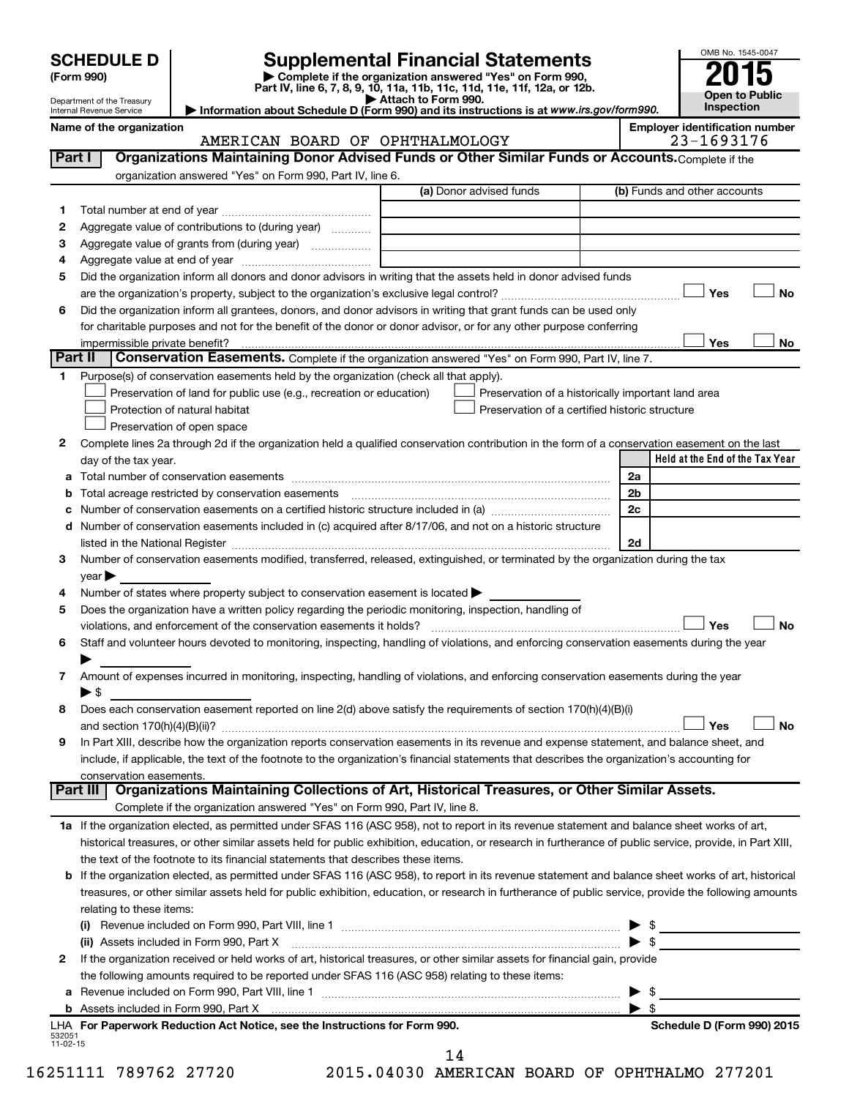| <b>SCHEDULE D</b> |  |
|-------------------|--|
|-------------------|--|

| (Form 990) |  |
|------------|--|
|------------|--|

# **SCHEDULE D Supplemental Financial Statements**<br> **Form 990 2015**<br> **Part IV** line 6.7.8.9.10, 11a, 11b, 11d, 11d, 11d, 11d, 11d, 12a, 0r, 12b

**(Form 990) | Complete if the organization answered "Yes" on Form 990, Part IV, line 6, 7, 8, 9, 10, 11a, 11b, 11c, 11d, 11e, 11f, 12a, or 12b.**

**| Attach to Form 990. | Information about Schedule D (Form 990) and its instructions is at**  *www.irs.gov/form990.*



|          | Department of the Treasury<br>Internal Revenue Service                                                                                                    | ► Attach to Form 990.<br>Information about Schedule D (Form 990) and its instructions is at www.irs.gov/form990. |                         | Inspection                            |
|----------|-----------------------------------------------------------------------------------------------------------------------------------------------------------|------------------------------------------------------------------------------------------------------------------|-------------------------|---------------------------------------|
|          | Name of the organization                                                                                                                                  |                                                                                                                  |                         | <b>Employer identification number</b> |
|          | AMERICAN BOARD OF OPHTHALMOLOGY                                                                                                                           |                                                                                                                  |                         | 23-1693176                            |
| Part I   | Organizations Maintaining Donor Advised Funds or Other Similar Funds or Accounts. Complete if the                                                         |                                                                                                                  |                         |                                       |
|          | organization answered "Yes" on Form 990, Part IV, line 6.                                                                                                 |                                                                                                                  |                         |                                       |
|          |                                                                                                                                                           | (a) Donor advised funds                                                                                          |                         | (b) Funds and other accounts          |
| 1.       |                                                                                                                                                           |                                                                                                                  |                         |                                       |
| 2        | Aggregate value of contributions to (during year)                                                                                                         |                                                                                                                  |                         |                                       |
| З        | Aggregate value of grants from (during year)                                                                                                              |                                                                                                                  |                         |                                       |
| 4        |                                                                                                                                                           |                                                                                                                  |                         |                                       |
| 5        | Did the organization inform all donors and donor advisors in writing that the assets held in donor advised funds                                          |                                                                                                                  |                         |                                       |
|          |                                                                                                                                                           |                                                                                                                  |                         | Yes<br>No                             |
| 6        | Did the organization inform all grantees, donors, and donor advisors in writing that grant funds can be used only                                         |                                                                                                                  |                         |                                       |
|          | for charitable purposes and not for the benefit of the donor or donor advisor, or for any other purpose conferring                                        |                                                                                                                  |                         |                                       |
| Part II  | impermissible private benefit?<br>Conservation Easements. Complete if the organization answered "Yes" on Form 990, Part IV, line 7.                       |                                                                                                                  |                         | Yes<br>No                             |
|          | Purpose(s) of conservation easements held by the organization (check all that apply).                                                                     |                                                                                                                  |                         |                                       |
| 1.       | Preservation of land for public use (e.g., recreation or education)                                                                                       | Preservation of a historically important land area                                                               |                         |                                       |
|          | Protection of natural habitat                                                                                                                             | Preservation of a certified historic structure                                                                   |                         |                                       |
|          | Preservation of open space                                                                                                                                |                                                                                                                  |                         |                                       |
| 2        | Complete lines 2a through 2d if the organization held a qualified conservation contribution in the form of a conservation easement on the last            |                                                                                                                  |                         |                                       |
|          | day of the tax year.                                                                                                                                      |                                                                                                                  |                         | Held at the End of the Tax Year       |
| а        |                                                                                                                                                           |                                                                                                                  | 2a                      |                                       |
| b        | Total acreage restricted by conservation easements                                                                                                        |                                                                                                                  | 2b                      |                                       |
|          |                                                                                                                                                           |                                                                                                                  | 2c                      |                                       |
| d        | Number of conservation easements included in (c) acquired after 8/17/06, and not on a historic structure                                                  |                                                                                                                  |                         |                                       |
|          |                                                                                                                                                           |                                                                                                                  | 2d                      |                                       |
| 3        | Number of conservation easements modified, transferred, released, extinguished, or terminated by the organization during the tax                          |                                                                                                                  |                         |                                       |
|          | $year \triangleright$                                                                                                                                     |                                                                                                                  |                         |                                       |
| 4        | Number of states where property subject to conservation easement is located >                                                                             |                                                                                                                  |                         |                                       |
| 5        | Does the organization have a written policy regarding the periodic monitoring, inspection, handling of                                                    |                                                                                                                  |                         |                                       |
|          | violations, and enforcement of the conservation easements it holds?                                                                                       |                                                                                                                  |                         | Yes<br>No                             |
| 6        | Staff and volunteer hours devoted to monitoring, inspecting, handling of violations, and enforcing conservation easements during the year                 |                                                                                                                  |                         |                                       |
|          |                                                                                                                                                           |                                                                                                                  |                         |                                       |
| 7        | Amount of expenses incurred in monitoring, inspecting, handling of violations, and enforcing conservation easements during the year                       |                                                                                                                  |                         |                                       |
|          | $\blacktriangleright$ S                                                                                                                                   |                                                                                                                  |                         |                                       |
| 8        | Does each conservation easement reported on line 2(d) above satisfy the requirements of section 170(h)(4)(B)(i)                                           |                                                                                                                  |                         |                                       |
|          |                                                                                                                                                           |                                                                                                                  |                         | J No<br>Yes                           |
| 9        | In Part XIII, describe how the organization reports conservation easements in its revenue and expense statement, and balance sheet, and                   |                                                                                                                  |                         |                                       |
|          | include, if applicable, the text of the footnote to the organization's financial statements that describes the organization's accounting for              |                                                                                                                  |                         |                                       |
| Part III | conservation easements.<br>Organizations Maintaining Collections of Art, Historical Treasures, or Other Similar Assets.                                   |                                                                                                                  |                         |                                       |
|          | Complete if the organization answered "Yes" on Form 990, Part IV, line 8.                                                                                 |                                                                                                                  |                         |                                       |
|          | 1a If the organization elected, as permitted under SFAS 116 (ASC 958), not to report in its revenue statement and balance sheet works of art,             |                                                                                                                  |                         |                                       |
|          | historical treasures, or other similar assets held for public exhibition, education, or research in furtherance of public service, provide, in Part XIII, |                                                                                                                  |                         |                                       |
|          | the text of the footnote to its financial statements that describes these items.                                                                          |                                                                                                                  |                         |                                       |
| b        | If the organization elected, as permitted under SFAS 116 (ASC 958), to report in its revenue statement and balance sheet works of art, historical         |                                                                                                                  |                         |                                       |
|          | treasures, or other similar assets held for public exhibition, education, or research in furtherance of public service, provide the following amounts     |                                                                                                                  |                         |                                       |
|          | relating to these items:                                                                                                                                  |                                                                                                                  |                         |                                       |
|          |                                                                                                                                                           |                                                                                                                  |                         |                                       |
|          |                                                                                                                                                           |                                                                                                                  | $\blacktriangleright$ s |                                       |
| 2        | If the organization received or held works of art, historical treasures, or other similar assets for financial gain, provide                              |                                                                                                                  |                         |                                       |
|          | the following amounts required to be reported under SFAS 116 (ASC 958) relating to these items:                                                           |                                                                                                                  |                         |                                       |
|          |                                                                                                                                                           |                                                                                                                  | - \$                    |                                       |
|          |                                                                                                                                                           |                                                                                                                  | $\blacktriangleright$ s |                                       |
|          | LHA For Paperwork Reduction Act Notice, see the Instructions for Form 990.                                                                                |                                                                                                                  |                         | Schedule D (Form 990) 2015            |

14

532051 11-02-15

16251111 789762 27720 2015.04030 AMERICAN BOARD OF OPHTHALMO 277201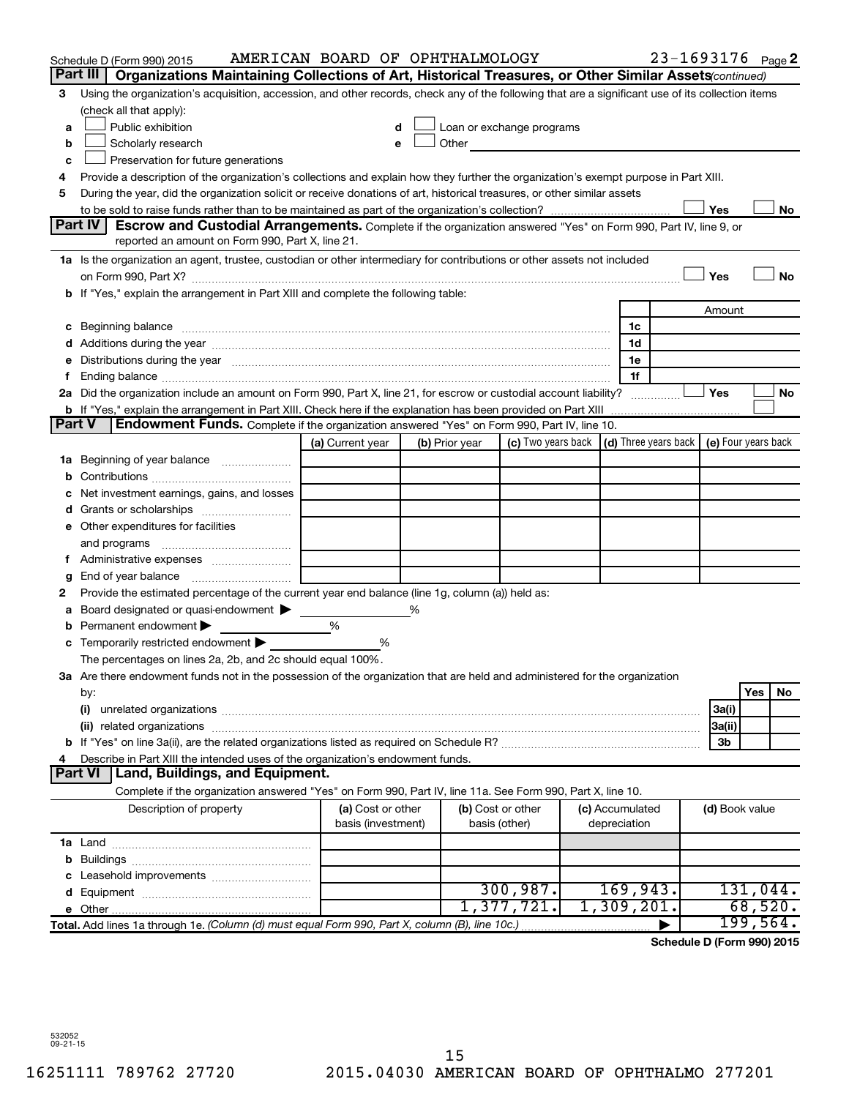|               | Schedule D (Form 990) 2015                                                                                                                        | AMERICAN BOARD OF OPHTHALMOLOGY         |   |                |                                                                             |                                 | 23-1693176 Page 2 |                |                  |     |
|---------------|---------------------------------------------------------------------------------------------------------------------------------------------------|-----------------------------------------|---|----------------|-----------------------------------------------------------------------------|---------------------------------|-------------------|----------------|------------------|-----|
|               | Part III<br>Organizations Maintaining Collections of Art, Historical Treasures, or Other Similar Assets (continued)                               |                                         |   |                |                                                                             |                                 |                   |                |                  |     |
| З             | Using the organization's acquisition, accession, and other records, check any of the following that are a significant use of its collection items |                                         |   |                |                                                                             |                                 |                   |                |                  |     |
|               | (check all that apply):                                                                                                                           |                                         |   |                |                                                                             |                                 |                   |                |                  |     |
| a             | Public exhibition                                                                                                                                 |                                         |   |                | Loan or exchange programs                                                   |                                 |                   |                |                  |     |
| b             | Scholarly research                                                                                                                                |                                         |   | Other          |                                                                             |                                 |                   |                |                  |     |
| c             | Preservation for future generations                                                                                                               |                                         |   |                |                                                                             |                                 |                   |                |                  |     |
|               | Provide a description of the organization's collections and explain how they further the organization's exempt purpose in Part XIII.              |                                         |   |                |                                                                             |                                 |                   |                |                  |     |
| 5             | During the year, did the organization solicit or receive donations of art, historical treasures, or other similar assets                          |                                         |   |                |                                                                             |                                 |                   |                |                  |     |
|               |                                                                                                                                                   |                                         |   |                |                                                                             |                                 |                   | Yes            |                  | No  |
|               | <b>Part IV</b><br>Escrow and Custodial Arrangements. Complete if the organization answered "Yes" on Form 990, Part IV, line 9, or                 |                                         |   |                |                                                                             |                                 |                   |                |                  |     |
|               | reported an amount on Form 990, Part X, line 21.                                                                                                  |                                         |   |                |                                                                             |                                 |                   |                |                  |     |
|               | 1a Is the organization an agent, trustee, custodian or other intermediary for contributions or other assets not included                          |                                         |   |                |                                                                             |                                 |                   |                |                  |     |
|               |                                                                                                                                                   |                                         |   |                |                                                                             |                                 |                   | Yes            |                  | No  |
|               | b If "Yes," explain the arrangement in Part XIII and complete the following table:                                                                |                                         |   |                |                                                                             |                                 |                   |                |                  |     |
|               |                                                                                                                                                   |                                         |   |                |                                                                             |                                 |                   | Amount         |                  |     |
|               |                                                                                                                                                   |                                         |   |                |                                                                             | 1c                              |                   |                |                  |     |
|               |                                                                                                                                                   |                                         |   |                |                                                                             | 1d                              |                   |                |                  |     |
|               | e Distributions during the year measurement contained and all the year measurement of the year measurement of                                     |                                         |   |                |                                                                             | 1e<br>1f                        |                   |                |                  |     |
|               | 2a Did the organization include an amount on Form 990, Part X, line 21, for escrow or custodial account liability?                                |                                         |   |                |                                                                             |                                 |                   | Yes            |                  | No  |
|               |                                                                                                                                                   |                                         |   |                |                                                                             |                                 |                   |                |                  |     |
| <b>Part V</b> | Endowment Funds. Complete if the organization answered "Yes" on Form 990, Part IV, line 10.                                                       |                                         |   |                |                                                                             |                                 |                   |                |                  |     |
|               |                                                                                                                                                   | (a) Current year                        |   | (b) Prior year | (c) Two years back $\vert$ (d) Three years back $\vert$ (e) Four years back |                                 |                   |                |                  |     |
| 1a            | Beginning of year balance                                                                                                                         |                                         |   |                |                                                                             |                                 |                   |                |                  |     |
|               |                                                                                                                                                   |                                         |   |                |                                                                             |                                 |                   |                |                  |     |
|               | Net investment earnings, gains, and losses                                                                                                        |                                         |   |                |                                                                             |                                 |                   |                |                  |     |
|               |                                                                                                                                                   |                                         |   |                |                                                                             |                                 |                   |                |                  |     |
|               | e Other expenditures for facilities                                                                                                               |                                         |   |                |                                                                             |                                 |                   |                |                  |     |
|               | and programs                                                                                                                                      |                                         |   |                |                                                                             |                                 |                   |                |                  |     |
|               |                                                                                                                                                   |                                         |   |                |                                                                             |                                 |                   |                |                  |     |
| g             |                                                                                                                                                   |                                         |   |                |                                                                             |                                 |                   |                |                  |     |
| 2             | Provide the estimated percentage of the current year end balance (line 1g, column (a)) held as:                                                   |                                         |   |                |                                                                             |                                 |                   |                |                  |     |
|               | Board designated or quasi-endowment                                                                                                               |                                         | % |                |                                                                             |                                 |                   |                |                  |     |
|               | Permanent endowment                                                                                                                               | %                                       |   |                |                                                                             |                                 |                   |                |                  |     |
|               | c Temporarily restricted endowment $\blacktriangleright$                                                                                          | %                                       |   |                |                                                                             |                                 |                   |                |                  |     |
|               | The percentages on lines 2a, 2b, and 2c should equal 100%.                                                                                        |                                         |   |                |                                                                             |                                 |                   |                |                  |     |
|               | 3a Are there endowment funds not in the possession of the organization that are held and administered for the organization                        |                                         |   |                |                                                                             |                                 |                   |                |                  |     |
|               | by:                                                                                                                                               |                                         |   |                |                                                                             |                                 |                   |                | Yes              | No. |
|               | (i)                                                                                                                                               |                                         |   |                |                                                                             |                                 |                   | 3a(i)          |                  |     |
|               |                                                                                                                                                   |                                         |   |                |                                                                             |                                 |                   | 3a(ii)         |                  |     |
|               |                                                                                                                                                   |                                         |   |                |                                                                             |                                 |                   | 3b             |                  |     |
|               | Describe in Part XIII the intended uses of the organization's endowment funds.                                                                    |                                         |   |                |                                                                             |                                 |                   |                |                  |     |
|               | <b>Land, Buildings, and Equipment.</b><br><b>Part VI</b>                                                                                          |                                         |   |                |                                                                             |                                 |                   |                |                  |     |
|               | Complete if the organization answered "Yes" on Form 990, Part IV, line 11a. See Form 990, Part X, line 10.                                        |                                         |   |                |                                                                             |                                 |                   |                |                  |     |
|               | Description of property                                                                                                                           | (a) Cost or other<br>basis (investment) |   |                | (b) Cost or other<br>basis (other)                                          | (c) Accumulated<br>depreciation |                   | (d) Book value |                  |     |
|               |                                                                                                                                                   |                                         |   |                |                                                                             |                                 |                   |                |                  |     |
| b             |                                                                                                                                                   |                                         |   |                |                                                                             |                                 |                   |                |                  |     |
|               |                                                                                                                                                   |                                         |   |                |                                                                             |                                 |                   |                |                  |     |
|               |                                                                                                                                                   |                                         |   |                | 300, 987.                                                                   | 169,943.                        |                   |                | 131,044.         |     |
|               |                                                                                                                                                   |                                         |   |                | 1,377,721.                                                                  | 1,309,201.                      |                   |                | 68,520.          |     |
|               | Total. Add lines 1a through 1e. (Column (d) must equal Form 990, Part X, column (B), line 10c.)                                                   |                                         |   |                |                                                                             |                                 |                   |                | 199,564 <b>.</b> |     |

**Schedule D (Form 990) 2015**

532052 09-21-15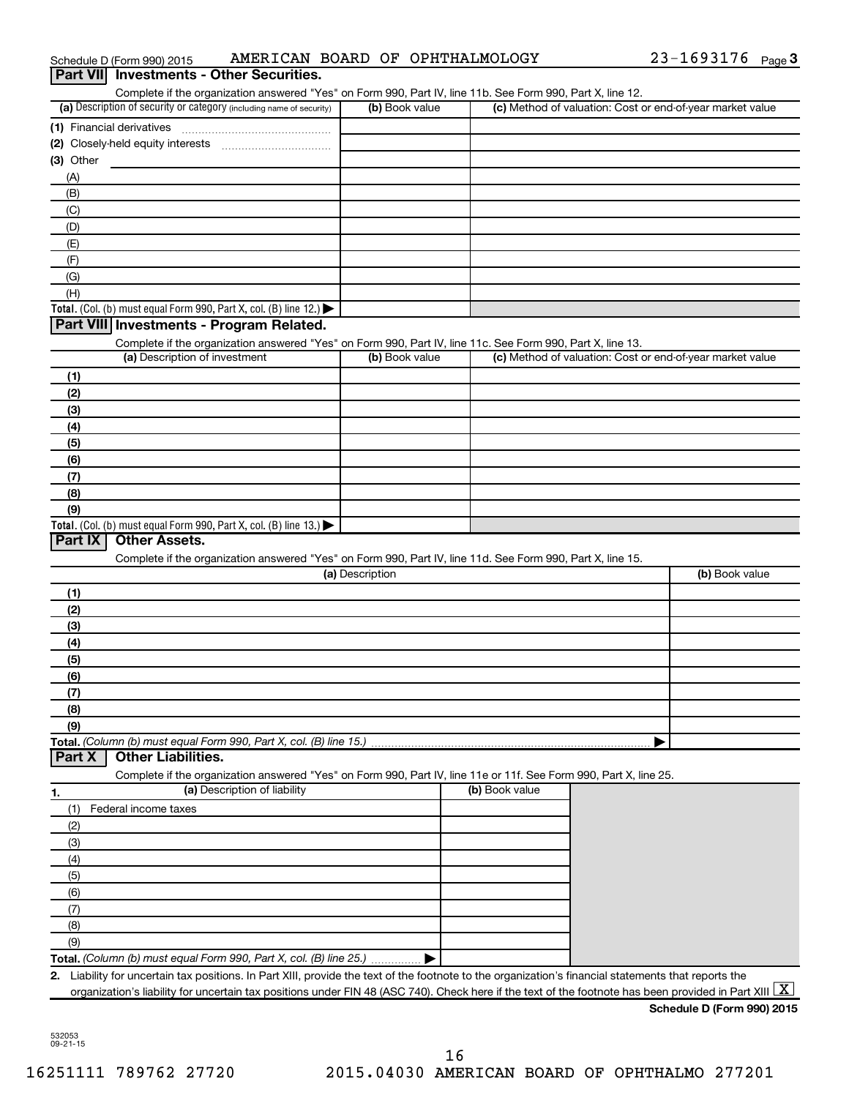|            | AMERICAN BOARD OF OPHTHALMOLOGY<br>Schedule D (Form 990) 2015                                                                                        |                 |                | 23-1693176 Page 3                                         |
|------------|------------------------------------------------------------------------------------------------------------------------------------------------------|-----------------|----------------|-----------------------------------------------------------|
| Part VIII  | <b>Investments - Other Securities.</b>                                                                                                               |                 |                |                                                           |
|            | Complete if the organization answered "Yes" on Form 990, Part IV, line 11b. See Form 990, Part X, line 12.                                           |                 |                |                                                           |
|            | (a) Description of security or category (including name of security)                                                                                 | (b) Book value  |                | (c) Method of valuation: Cost or end-of-year market value |
|            |                                                                                                                                                      |                 |                |                                                           |
|            | (2) Closely-held equity interests                                                                                                                    |                 |                |                                                           |
| (3) Other  |                                                                                                                                                      |                 |                |                                                           |
| (A)        |                                                                                                                                                      |                 |                |                                                           |
| (B)        |                                                                                                                                                      |                 |                |                                                           |
| (C)        |                                                                                                                                                      |                 |                |                                                           |
| (D)        |                                                                                                                                                      |                 |                |                                                           |
| (E)        |                                                                                                                                                      |                 |                |                                                           |
| (F)<br>(G) |                                                                                                                                                      |                 |                |                                                           |
| (H)        |                                                                                                                                                      |                 |                |                                                           |
|            | Total. (Col. (b) must equal Form 990, Part X, col. (B) line 12.) $\blacktriangleright$                                                               |                 |                |                                                           |
|            | Part VIII Investments - Program Related.                                                                                                             |                 |                |                                                           |
|            | Complete if the organization answered "Yes" on Form 990, Part IV, line 11c. See Form 990, Part X, line 13.                                           |                 |                |                                                           |
|            | (a) Description of investment                                                                                                                        | (b) Book value  |                | (c) Method of valuation: Cost or end-of-year market value |
| (1)        |                                                                                                                                                      |                 |                |                                                           |
| (2)        |                                                                                                                                                      |                 |                |                                                           |
| (3)        |                                                                                                                                                      |                 |                |                                                           |
| (4)        |                                                                                                                                                      |                 |                |                                                           |
| (5)        |                                                                                                                                                      |                 |                |                                                           |
| (6)        |                                                                                                                                                      |                 |                |                                                           |
| (7)        |                                                                                                                                                      |                 |                |                                                           |
| (8)        |                                                                                                                                                      |                 |                |                                                           |
| (9)        |                                                                                                                                                      |                 |                |                                                           |
|            | Total. (Col. (b) must equal Form 990, Part X, col. (B) line 13.) $\blacktriangleright$                                                               |                 |                |                                                           |
| Part IX    | <b>Other Assets.</b>                                                                                                                                 |                 |                |                                                           |
|            | Complete if the organization answered "Yes" on Form 990, Part IV, line 11d. See Form 990, Part X, line 15.                                           |                 |                |                                                           |
|            |                                                                                                                                                      | (a) Description |                | (b) Book value                                            |
| (1)        |                                                                                                                                                      |                 |                |                                                           |
| (2)        |                                                                                                                                                      |                 |                |                                                           |
| (3)        |                                                                                                                                                      |                 |                |                                                           |
| (4)<br>(5) |                                                                                                                                                      |                 |                |                                                           |
| (6)        |                                                                                                                                                      |                 |                |                                                           |
| (7)        |                                                                                                                                                      |                 |                |                                                           |
| (8)        |                                                                                                                                                      |                 |                |                                                           |
| (9)        |                                                                                                                                                      |                 |                |                                                           |
|            | Total. (Column (b) must equal Form 990, Part X, col. (B) line 15.)                                                                                   |                 |                |                                                           |
| Part X     | <b>Other Liabilities.</b>                                                                                                                            |                 |                |                                                           |
|            | Complete if the organization answered "Yes" on Form 990, Part IV, line 11e or 11f. See Form 990, Part X, line 25.                                    |                 |                |                                                           |
| 1.         | (a) Description of liability                                                                                                                         |                 | (b) Book value |                                                           |
| (1)        | Federal income taxes                                                                                                                                 |                 |                |                                                           |
| (2)        |                                                                                                                                                      |                 |                |                                                           |
| (3)        |                                                                                                                                                      |                 |                |                                                           |
| (4)        |                                                                                                                                                      |                 |                |                                                           |
| (5)        |                                                                                                                                                      |                 |                |                                                           |
| (6)        |                                                                                                                                                      |                 |                |                                                           |
| (7)        |                                                                                                                                                      |                 |                |                                                           |
| (8)        |                                                                                                                                                      |                 |                |                                                           |
| (9)        |                                                                                                                                                      |                 |                |                                                           |
|            | Total. (Column (b) must equal Form 990, Part X, col. (B) line 25.)                                                                                   |                 |                |                                                           |
|            | 2. Liability for uncertain tax positions. In Part XIII, provide the text of the footnote to the organization's financial statements that reports the |                 |                |                                                           |
|            | organization's liability for uncertain tax positions under FIN 48 (ASC 740). Check here if the text of the footnote has been provided in Part XIII   |                 |                | X                                                         |
|            |                                                                                                                                                      |                 |                | Schedule D (Form 990) 2015                                |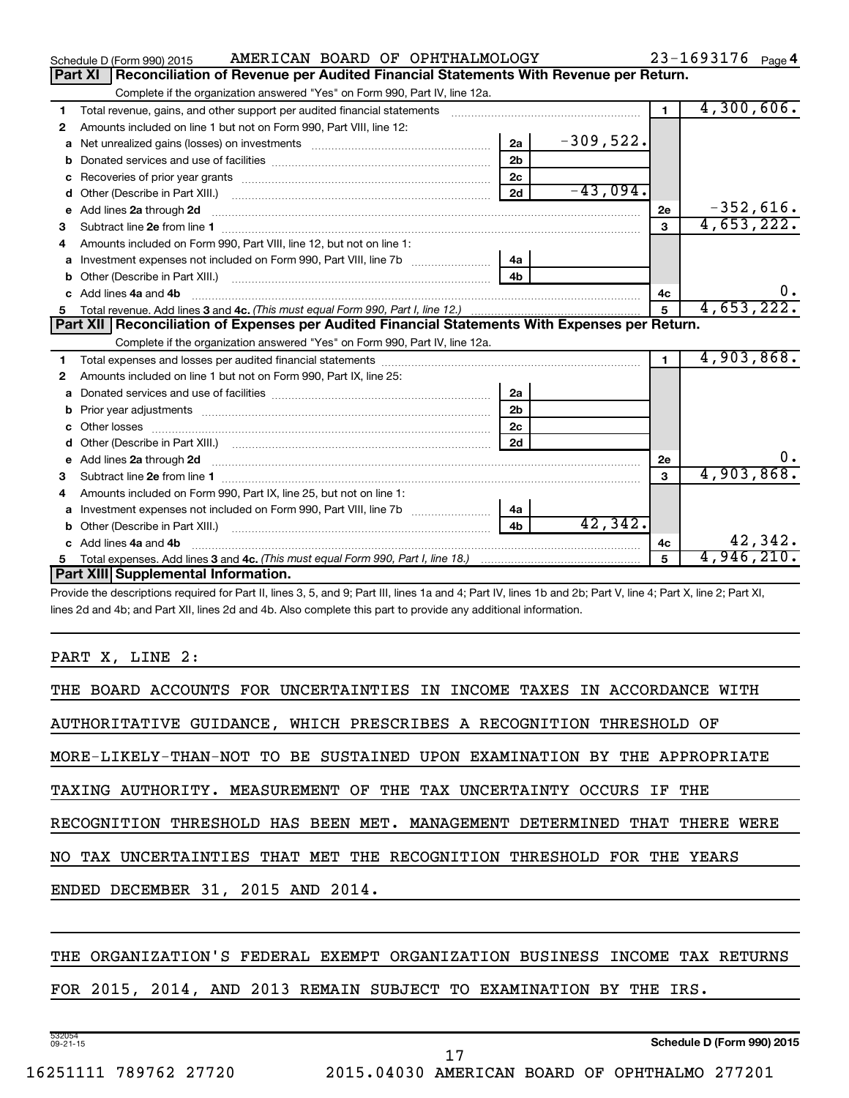|    | AMERICAN BOARD OF OPHTHALMOLOGY<br>Schedule D (Form 990) 2015                                                                                                                                                                                         |                |             |                | $23 - 1693176$ Page 4 |  |  |  |
|----|-------------------------------------------------------------------------------------------------------------------------------------------------------------------------------------------------------------------------------------------------------|----------------|-------------|----------------|-----------------------|--|--|--|
|    | Reconciliation of Revenue per Audited Financial Statements With Revenue per Return.<br>Part XI                                                                                                                                                        |                |             |                |                       |  |  |  |
|    | Complete if the organization answered "Yes" on Form 990, Part IV, line 12a.                                                                                                                                                                           |                |             |                |                       |  |  |  |
| 1  | Total revenue, gains, and other support per audited financial statements                                                                                                                                                                              |                |             | $\blacksquare$ | 4,300,606.            |  |  |  |
| 2  | Amounts included on line 1 but not on Form 990, Part VIII, line 12:                                                                                                                                                                                   |                |             |                |                       |  |  |  |
| a  |                                                                                                                                                                                                                                                       | 2a             | $-309,522.$ |                |                       |  |  |  |
|    | 2 <sub>b</sub>                                                                                                                                                                                                                                        |                |             |                |                       |  |  |  |
| c  | 2 <sub>c</sub>                                                                                                                                                                                                                                        |                |             |                |                       |  |  |  |
|    |                                                                                                                                                                                                                                                       | 2d             | $-43,094$ . |                |                       |  |  |  |
|    | e Add lines 2a through 2d <b>[10]</b> [10] <b>All the Add lines 2a</b> through 2d <b>[10] All the Add lines 2a</b> through 2d <b>[10] All the Add lines 2a</b> through 2d <b>[10] All the Add lines 2a</b> through 2d <b>[10] All the Add Lines 2</b> |                |             | <b>2e</b>      | $-352,616.$           |  |  |  |
| 3  |                                                                                                                                                                                                                                                       |                |             | 3              | 4,653,222.            |  |  |  |
| 4  | Amounts included on Form 990, Part VIII, line 12, but not on line 1:                                                                                                                                                                                  |                |             |                |                       |  |  |  |
|    |                                                                                                                                                                                                                                                       | 4a             |             |                |                       |  |  |  |
|    |                                                                                                                                                                                                                                                       | 4 <sub>b</sub> |             |                |                       |  |  |  |
| c. | Add lines 4a and 4b                                                                                                                                                                                                                                   |                |             | 4с             | $0 \cdot$             |  |  |  |
|    |                                                                                                                                                                                                                                                       |                |             | 5              | 4,653,222.            |  |  |  |
| 5  |                                                                                                                                                                                                                                                       |                |             |                |                       |  |  |  |
|    | Part XII   Reconciliation of Expenses per Audited Financial Statements With Expenses per Return.                                                                                                                                                      |                |             |                |                       |  |  |  |
|    | Complete if the organization answered "Yes" on Form 990, Part IV, line 12a.                                                                                                                                                                           |                |             |                |                       |  |  |  |
| 1. |                                                                                                                                                                                                                                                       |                |             | $\mathbf{1}$   | 4,903,868.            |  |  |  |
| 2  | Amounts included on line 1 but not on Form 990, Part IX, line 25:                                                                                                                                                                                     |                |             |                |                       |  |  |  |
| a  | Donated services and use of facilities [111] matter contracts and use of facilities [11] matter contracts and use of facilities [11] matter contracts and use of facilities [11] matter contracts and the Donate Service and D                        | 2a             |             |                |                       |  |  |  |
|    |                                                                                                                                                                                                                                                       | 2 <sub>b</sub> |             |                |                       |  |  |  |
| C. |                                                                                                                                                                                                                                                       | 2 <sub>c</sub> |             |                |                       |  |  |  |
|    |                                                                                                                                                                                                                                                       | 2d             |             |                |                       |  |  |  |
|    |                                                                                                                                                                                                                                                       |                |             | 2e             | 0.                    |  |  |  |
| 3  |                                                                                                                                                                                                                                                       |                |             | 3              | 4,903,868.            |  |  |  |
| 4  | Amounts included on Form 990, Part IX, line 25, but not on line 1:                                                                                                                                                                                    |                |             |                |                       |  |  |  |
|    | a Investment expenses not included on Form 990, Part VIII, line 7b [11, 11, 11, 11, 11]                                                                                                                                                               | 4a             |             |                |                       |  |  |  |
|    |                                                                                                                                                                                                                                                       | 4 <sub>b</sub> | 42,342.     |                |                       |  |  |  |
|    | c Add lines 4a and 4b                                                                                                                                                                                                                                 |                |             | 4c             | 42,342.               |  |  |  |
|    | Part XIII Supplemental Information.                                                                                                                                                                                                                   |                |             |                | 4,946,210.            |  |  |  |

Provide the descriptions required for Part II, lines 3, 5, and 9; Part III, lines 1a and 4; Part IV, lines 1b and 2b; Part V, line 4; Part X, line 2; Part XI, lines 2d and 4b; and Part XII, lines 2d and 4b. Also complete this part to provide any additional information.

#### PART X, LINE 2:

| THE BOARD ACCOUNTS FOR UNCERTAINTIES IN INCOME TAXES IN ACCORDANCE WITH   |  |  |  |  |
|---------------------------------------------------------------------------|--|--|--|--|
| AUTHORITATIVE GUIDANCE, WHICH PRESCRIBES A RECOGNITION THRESHOLD OF       |  |  |  |  |
| MORE-LIKELY-THAN-NOT TO BE SUSTAINED UPON EXAMINATION BY THE APPROPRIATE  |  |  |  |  |
| TAXING AUTHORITY. MEASUREMENT OF THE TAX UNCERTAINTY OCCURS IF THE        |  |  |  |  |
| RECOGNITION THRESHOLD HAS BEEN MET. MANAGEMENT DETERMINED THAT THERE WERE |  |  |  |  |
| NO TAX UNCERTAINTIES THAT MET THE RECOGNITION THRESHOLD FOR THE YEARS     |  |  |  |  |
| ENDED DECEMBER 31, 2015 AND 2014.                                         |  |  |  |  |
|                                                                           |  |  |  |  |

#### THE ORGANIZATION'S FEDERAL EXEMPT ORGANIZATION BUSINESS INCOME TAX RETURNS

FOR 2015, 2014, AND 2013 REMAIN SUBJECT TO EXAMINATION BY THE IRS.

532054 09-21-15

**Schedule D (Form 990) 2015**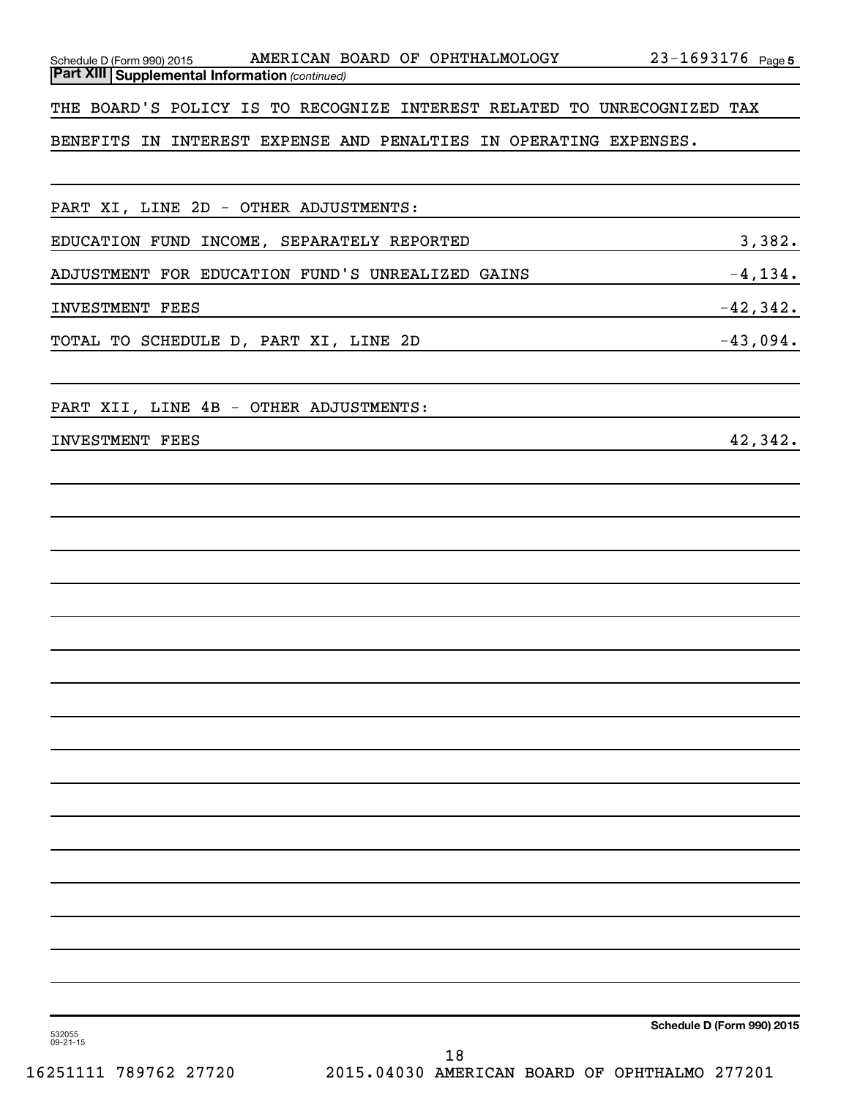| PART XI, LINE 2D - OTHER ADJUSTMENTS:                                        |             |
|------------------------------------------------------------------------------|-------------|
| $\overline{\phantom{a}3,382.}$<br>EDUCATION FUND INCOME, SEPARATELY REPORTED |             |
| ADJUSTMENT FOR EDUCATION FUND'S UNREALIZED GAINS                             | $-4,134.$   |
| <b>INVESTMENT FEES</b>                                                       | $-42,342$ . |
| $-43,094.$<br>TOTAL TO SCHEDULE D, PART XI, LINE 2D                          |             |
| PART XII, LINE 4B - OTHER ADJUSTMENTS:                                       |             |
| <b>INVESTMENT FEES</b>                                                       | 42,342.     |
|                                                                              |             |
|                                                                              |             |
|                                                                              |             |
|                                                                              |             |
|                                                                              |             |
|                                                                              |             |

*(continued)* **Part XIII Supplemental Information**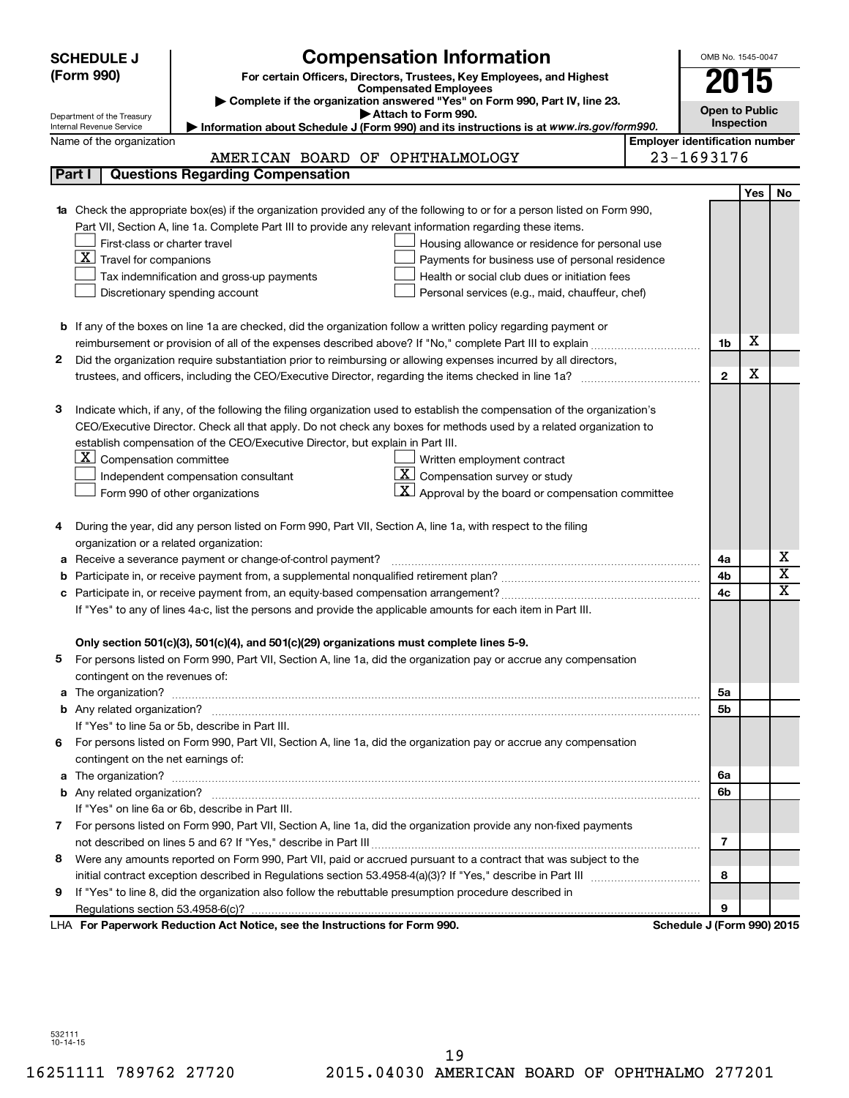|                                                                                                            | <b>SCHEDULE J</b>                                                 | <b>Compensation Information</b>                                                                                           |                            | OMB No. 1545-0047     |            |                              |  |
|------------------------------------------------------------------------------------------------------------|-------------------------------------------------------------------|---------------------------------------------------------------------------------------------------------------------------|----------------------------|-----------------------|------------|------------------------------|--|
|                                                                                                            | (Form 990)                                                        | For certain Officers, Directors, Trustees, Key Employees, and Highest                                                     |                            | 2015                  |            |                              |  |
|                                                                                                            |                                                                   | <b>Compensated Employees</b>                                                                                              |                            |                       |            |                              |  |
|                                                                                                            |                                                                   | Complete if the organization answered "Yes" on Form 990, Part IV, line 23.<br>Attach to Form 990.                         |                            | <b>Open to Public</b> |            |                              |  |
|                                                                                                            | Department of the Treasury<br>Internal Revenue Service            | Information about Schedule J (Form 990) and its instructions is at www.irs.gov/form990.                                   |                            | Inspection            |            |                              |  |
|                                                                                                            | <b>Employer identification number</b><br>Name of the organization |                                                                                                                           |                            |                       |            |                              |  |
| 23-1693176<br>AMERICAN BOARD OF OPHTHALMOLOGY                                                              |                                                                   |                                                                                                                           |                            |                       |            |                              |  |
|                                                                                                            | Part I                                                            | <b>Questions Regarding Compensation</b>                                                                                   |                            |                       |            |                              |  |
|                                                                                                            |                                                                   |                                                                                                                           |                            |                       | <b>Yes</b> | No                           |  |
|                                                                                                            |                                                                   | Check the appropriate box(es) if the organization provided any of the following to or for a person listed on Form 990,    |                            |                       |            |                              |  |
| Part VII, Section A, line 1a. Complete Part III to provide any relevant information regarding these items. |                                                                   |                                                                                                                           |                            |                       |            |                              |  |
|                                                                                                            | First-class or charter travel                                     | Housing allowance or residence for personal use                                                                           |                            |                       |            |                              |  |
|                                                                                                            | $\underline{\mathbf{X}}$ Travel for companions                    | Payments for business use of personal residence                                                                           |                            |                       |            |                              |  |
|                                                                                                            |                                                                   | Health or social club dues or initiation fees<br>Tax indemnification and gross-up payments                                |                            |                       |            |                              |  |
|                                                                                                            |                                                                   | Discretionary spending account<br>Personal services (e.g., maid, chauffeur, chef)                                         |                            |                       |            |                              |  |
|                                                                                                            |                                                                   |                                                                                                                           |                            |                       |            |                              |  |
|                                                                                                            |                                                                   | <b>b</b> If any of the boxes on line 1a are checked, did the organization follow a written policy regarding payment or    |                            |                       |            |                              |  |
|                                                                                                            |                                                                   |                                                                                                                           |                            | 1b                    | х          |                              |  |
| 2                                                                                                          |                                                                   | Did the organization require substantiation prior to reimbursing or allowing expenses incurred by all directors,          |                            |                       |            |                              |  |
|                                                                                                            |                                                                   |                                                                                                                           |                            | $\mathbf{2}$          | х          |                              |  |
|                                                                                                            |                                                                   |                                                                                                                           |                            |                       |            |                              |  |
| З                                                                                                          |                                                                   | Indicate which, if any, of the following the filing organization used to establish the compensation of the organization's |                            |                       |            |                              |  |
|                                                                                                            |                                                                   | CEO/Executive Director. Check all that apply. Do not check any boxes for methods used by a related organization to        |                            |                       |            |                              |  |
|                                                                                                            |                                                                   | establish compensation of the CEO/Executive Director, but explain in Part III.                                            |                            |                       |            |                              |  |
|                                                                                                            | $ \mathbf{X} $ Compensation committee                             | Written employment contract                                                                                               |                            |                       |            |                              |  |
|                                                                                                            |                                                                   | $ \mathbf{X} $ Compensation survey or study<br>Independent compensation consultant                                        |                            |                       |            |                              |  |
|                                                                                                            |                                                                   | $ \mathbf{X} $ Approval by the board or compensation committee<br>Form 990 of other organizations                         |                            |                       |            |                              |  |
|                                                                                                            |                                                                   |                                                                                                                           |                            |                       |            |                              |  |
| 4                                                                                                          |                                                                   | During the year, did any person listed on Form 990, Part VII, Section A, line 1a, with respect to the filing              |                            |                       |            |                              |  |
|                                                                                                            | organization or a related organization:                           |                                                                                                                           |                            |                       |            |                              |  |
| а                                                                                                          |                                                                   | Receive a severance payment or change-of-control payment?                                                                 |                            | 4a                    |            | х                            |  |
| b                                                                                                          |                                                                   |                                                                                                                           |                            | 4b                    |            | $\overline{\textbf{x}}$<br>X |  |
| c                                                                                                          |                                                                   |                                                                                                                           |                            | 4c                    |            |                              |  |
|                                                                                                            |                                                                   | If "Yes" to any of lines 4a-c, list the persons and provide the applicable amounts for each item in Part III.             |                            |                       |            |                              |  |
|                                                                                                            |                                                                   |                                                                                                                           |                            |                       |            |                              |  |
|                                                                                                            |                                                                   | Only section 501(c)(3), 501(c)(4), and 501(c)(29) organizations must complete lines 5-9.                                  |                            |                       |            |                              |  |
|                                                                                                            |                                                                   | For persons listed on Form 990, Part VII, Section A, line 1a, did the organization pay or accrue any compensation         |                            |                       |            |                              |  |
|                                                                                                            | contingent on the revenues of:                                    |                                                                                                                           |                            |                       |            |                              |  |
|                                                                                                            |                                                                   |                                                                                                                           |                            | 5а<br>5b              |            |                              |  |
|                                                                                                            |                                                                   | If "Yes" to line 5a or 5b, describe in Part III.                                                                          |                            |                       |            |                              |  |
|                                                                                                            |                                                                   |                                                                                                                           |                            |                       |            |                              |  |
| 6.                                                                                                         | contingent on the net earnings of:                                | For persons listed on Form 990, Part VII, Section A, line 1a, did the organization pay or accrue any compensation         |                            |                       |            |                              |  |
|                                                                                                            |                                                                   |                                                                                                                           |                            |                       |            |                              |  |
|                                                                                                            |                                                                   |                                                                                                                           |                            | 6a<br>6b              |            |                              |  |
|                                                                                                            |                                                                   | If "Yes" on line 6a or 6b, describe in Part III.                                                                          |                            |                       |            |                              |  |
|                                                                                                            |                                                                   | 7 For persons listed on Form 990, Part VII, Section A, line 1a, did the organization provide any non-fixed payments       |                            |                       |            |                              |  |
|                                                                                                            |                                                                   |                                                                                                                           |                            | 7                     |            |                              |  |
| 8                                                                                                          |                                                                   | Were any amounts reported on Form 990, Part VII, paid or accrued pursuant to a contract that was subject to the           |                            |                       |            |                              |  |
|                                                                                                            |                                                                   |                                                                                                                           |                            | 8                     |            |                              |  |
| 9                                                                                                          |                                                                   | If "Yes" to line 8, did the organization also follow the rebuttable presumption procedure described in                    |                            |                       |            |                              |  |
|                                                                                                            |                                                                   |                                                                                                                           |                            | 9                     |            |                              |  |
|                                                                                                            |                                                                   | LHA For Paperwork Reduction Act Notice, see the Instructions for Form 990.                                                | Schedule J (Form 990) 2015 |                       |            |                              |  |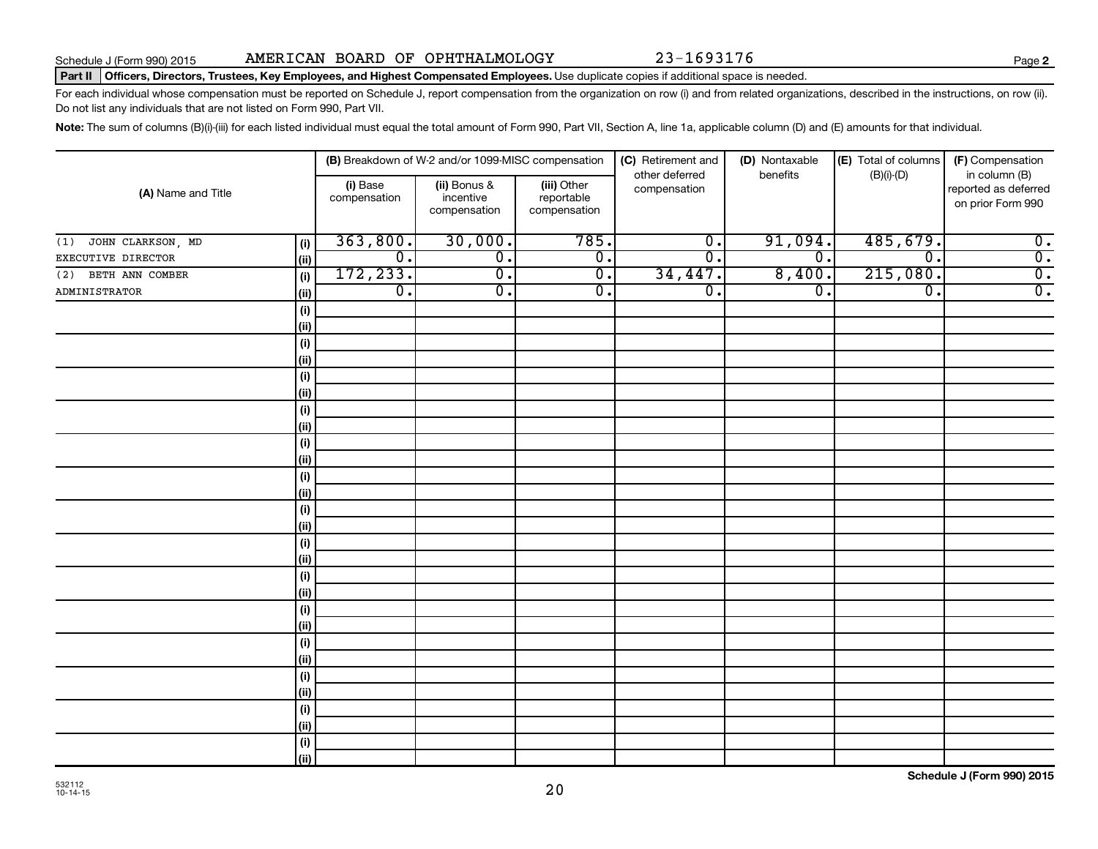**2**

#### Part II | Officers, Directors, Trustees, Key Employees, and Highest Compensated Employees. Use duplicate copies if additional space is needed.

For each individual whose compensation must be reported on Schedule J, report compensation from the organization on row (i) and from related organizations, described in the instructions, on row (ii). Do not list any individuals that are not listed on Form 990, Part VII.

Note: The sum of columns (B)(i)-(iii) for each listed individual must equal the total amount of Form 990, Part VII, Section A, line 1a, applicable column (D) and (E) amounts for that individual.

| (A) Name and Title       |            |                          | (B) Breakdown of W-2 and/or 1099-MISC compensation |                                           | (C) Retirement and             | (D) Nontaxable              | (E) Total of columns        | (F) Compensation                                           |
|--------------------------|------------|--------------------------|----------------------------------------------------|-------------------------------------------|--------------------------------|-----------------------------|-----------------------------|------------------------------------------------------------|
|                          |            | (i) Base<br>compensation | (ii) Bonus &<br>incentive<br>compensation          | (iii) Other<br>reportable<br>compensation | other deferred<br>compensation | benefits                    | $(B)(i)-(D)$                | in column (B)<br>reported as deferred<br>on prior Form 990 |
| JOHN CLARKSON, MD<br>(1) | (i)        | 363,800.                 | 30,000.                                            | 785.                                      | $\overline{0}$ .               | 91,094.                     | 485,679.                    | $\overline{0}$ .                                           |
| EXECUTIVE DIRECTOR       | (ii)       | $\overline{0}$ .         | $\overline{0}$ .                                   | $\overline{0}$ .                          | $\overline{0}$ .               | $\overline{\mathfrak{o}}$ . | $\overline{\mathfrak{o}}$ . | $\overline{\mathbf{0}}$ .                                  |
| BETH ANN COMBER<br>(2)   | (i)        | 172, 233.                | $\overline{0}$ .                                   | $\overline{0}$ .                          | 34,447.                        | 8,400.                      | 215,080.                    | $\overline{\mathbf{0}}$ .                                  |
| <b>ADMINISTRATOR</b>     | (ii)       | $\overline{0}$ .         | $\overline{\mathfrak{o}}$ .                        | $\overline{0}$ .                          | $\overline{\mathfrak{o}}$ .    | $\overline{0}$ .            | $\overline{0}$ .            | $\overline{0}$ .                                           |
|                          | (i)        |                          |                                                    |                                           |                                |                             |                             |                                                            |
|                          | (ii)       |                          |                                                    |                                           |                                |                             |                             |                                                            |
|                          | (i)        |                          |                                                    |                                           |                                |                             |                             |                                                            |
|                          | (ii)       |                          |                                                    |                                           |                                |                             |                             |                                                            |
|                          | $(\sf{i})$ |                          |                                                    |                                           |                                |                             |                             |                                                            |
|                          | (ii)       |                          |                                                    |                                           |                                |                             |                             |                                                            |
|                          | $(\sf{i})$ |                          |                                                    |                                           |                                |                             |                             |                                                            |
|                          | (ii)       |                          |                                                    |                                           |                                |                             |                             |                                                            |
|                          | $(\sf{i})$ |                          |                                                    |                                           |                                |                             |                             |                                                            |
|                          | (ii)       |                          |                                                    |                                           |                                |                             |                             |                                                            |
|                          | (i)        |                          |                                                    |                                           |                                |                             |                             |                                                            |
|                          | (ii)       |                          |                                                    |                                           |                                |                             |                             |                                                            |
|                          | (i)        |                          |                                                    |                                           |                                |                             |                             |                                                            |
|                          | (ii)       |                          |                                                    |                                           |                                |                             |                             |                                                            |
|                          | (i)        |                          |                                                    |                                           |                                |                             |                             |                                                            |
|                          | (ii)       |                          |                                                    |                                           |                                |                             |                             |                                                            |
|                          | (i)        |                          |                                                    |                                           |                                |                             |                             |                                                            |
|                          | (ii)       |                          |                                                    |                                           |                                |                             |                             |                                                            |
|                          | (i)        |                          |                                                    |                                           |                                |                             |                             |                                                            |
|                          | (ii)       |                          |                                                    |                                           |                                |                             |                             |                                                            |
|                          | (i)        |                          |                                                    |                                           |                                |                             |                             |                                                            |
|                          | (ii)       |                          |                                                    |                                           |                                |                             |                             |                                                            |
|                          | (i)        |                          |                                                    |                                           |                                |                             |                             |                                                            |
|                          | (ii)       |                          |                                                    |                                           |                                |                             |                             |                                                            |
|                          | (i)        |                          |                                                    |                                           |                                |                             |                             |                                                            |
|                          | (ii)       |                          |                                                    |                                           |                                |                             |                             |                                                            |
|                          | $(\sf{i})$ |                          |                                                    |                                           |                                |                             |                             |                                                            |
|                          | (ii)       |                          |                                                    |                                           |                                |                             |                             |                                                            |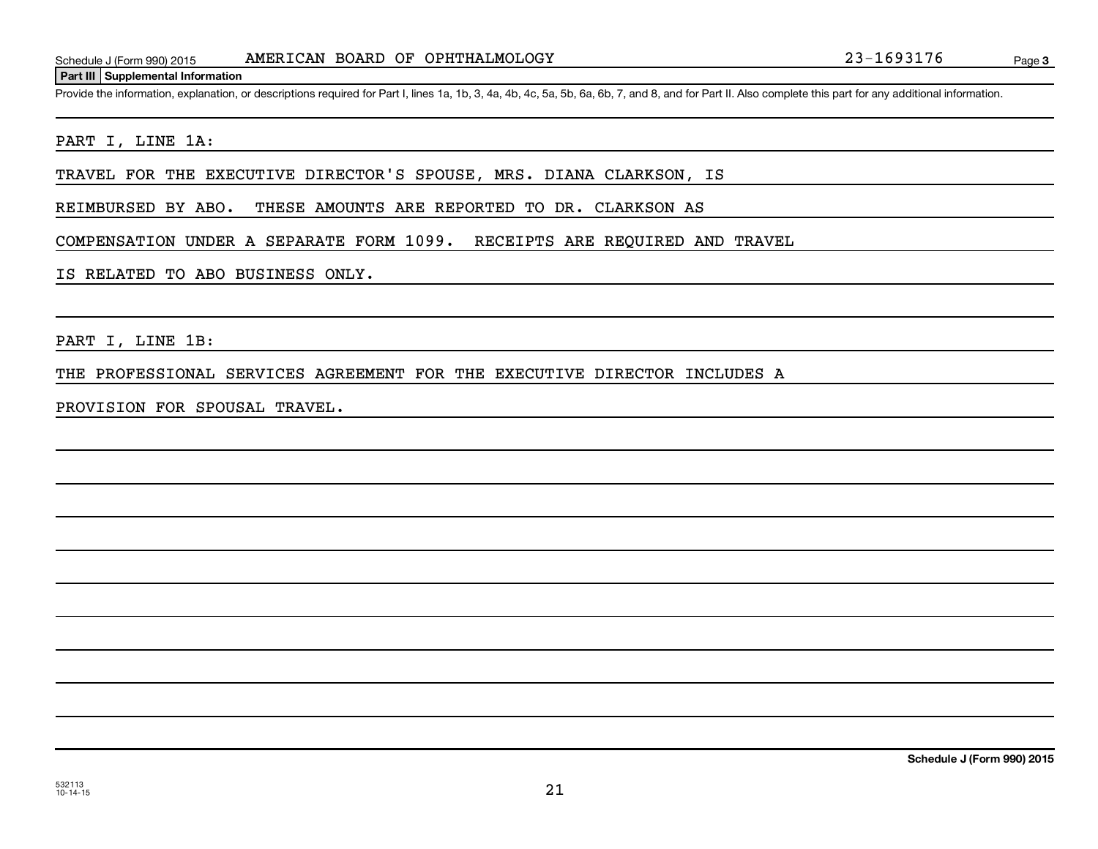Provide the information, explanation, or descriptions required for Part I, lines 1a, 1b, 3, 4a, 4b, 4c, 5a, 5b, 6a, 6b, 7, and 8, and for Part II. Also complete this part for any additional information.

#### PART I, LINE 1A:

TRAVEL FOR THE EXECUTIVE DIRECTOR'S SPOUSE, MRS. DIANA CLARKSON, IS

REIMBURSED BY ABO. THESE AMOUNTS ARE REPORTED TO DR. CLARKSON AS

COMPENSATION UNDER A SEPARATE FORM 1099. RECEIPTS ARE REQUIRED AND TRAVEL

#### IS RELATED TO ABO BUSINESS ONLY.

PART I, LINE 1B:

THE PROFESSIONAL SERVICES AGREEMENT FOR THE EXECUTIVE DIRECTOR INCLUDES A

PROVISION FOR SPOUSAL TRAVEL.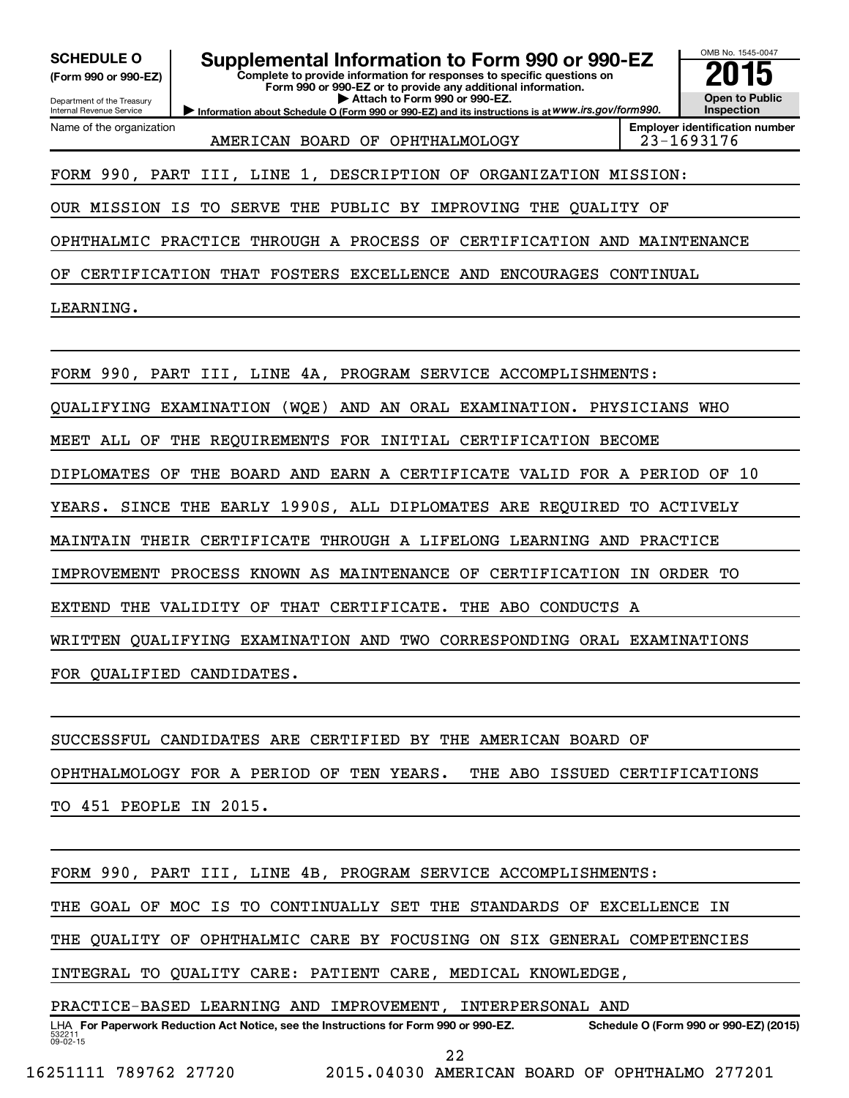**(Form 990 or 990-EZ)**

Department of the Treasury Internal Revenue Service Name of the organization

SCHEDULE O **Supplemental Information to Form 990 or 990-EZ 2015**<br>(Form 990 or 990-EZ) Complete to provide information for responses to specific questions on

**Complete to provide information for responses to specific questions on Form 990 or 990-EZ or to provide any additional information. | Attach to Form 990 or 990-EZ.**

**Information about Schedule O (Form 990 or 990-EZ) and its instructions is at WWW.irs.gov/form990.** 

OMB No. 1545-0047 **Open to Public Inspection**

AMERICAN BOARD OF OPHTHALMOLOGY 23-1693176

**Employer identification number**

FORM 990, PART III, LINE 1, DESCRIPTION OF ORGANIZATION MISSION:

OUR MISSION IS TO SERVE THE PUBLIC BY IMPROVING THE QUALITY OF

OPHTHALMIC PRACTICE THROUGH A PROCESS OF CERTIFICATION AND MAINTENANCE

OF CERTIFICATION THAT FOSTERS EXCELLENCE AND ENCOURAGES CONTINUAL

LEARNING.

FORM 990, PART III, LINE 4A, PROGRAM SERVICE ACCOMPLISHMENTS:

QUALIFYING EXAMINATION (WQE) AND AN ORAL EXAMINATION. PHYSICIANS WHO

MEET ALL OF THE REQUIREMENTS FOR INITIAL CERTIFICATION BECOME

DIPLOMATES OF THE BOARD AND EARN A CERTIFICATE VALID FOR A PERIOD OF 10

YEARS. SINCE THE EARLY 1990S, ALL DIPLOMATES ARE REQUIRED TO ACTIVELY

MAINTAIN THEIR CERTIFICATE THROUGH A LIFELONG LEARNING AND PRACTICE

IMPROVEMENT PROCESS KNOWN AS MAINTENANCE OF CERTIFICATION IN ORDER TO

EXTEND THE VALIDITY OF THAT CERTIFICATE. THE ABO CONDUCTS A

WRITTEN QUALIFYING EXAMINATION AND TWO CORRESPONDING ORAL EXAMINATIONS

FOR QUALIFIED CANDIDATES.

SUCCESSFUL CANDIDATES ARE CERTIFIED BY THE AMERICAN BOARD OF OPHTHALMOLOGY FOR A PERIOD OF TEN YEARS. THE ABO ISSUED CERTIFICATIONS TO 451 PEOPLE IN 2015.

FORM 990, PART III, LINE 4B, PROGRAM SERVICE ACCOMPLISHMENTS: THE GOAL OF MOC IS TO CONTINUALLY SET THE STANDARDS OF EXCELLENCE IN THE QUALITY OF OPHTHALMIC CARE BY FOCUSING ON SIX GENERAL COMPETENCIES INTEGRAL TO QUALITY CARE: PATIENT CARE, MEDICAL KNOWLEDGE, PRACTICE-BASED LEARNING AND IMPROVEMENT, INTERPERSONAL AND

532211  $09 - 02 - 15$ LHA For Paperwork Reduction Act Notice, see the Instructions for Form 990 or 990-EZ. Schedule O (Form 990 or 990-EZ) (2015)

16251111 789762 27720 2015.04030 AMERICAN BOARD OF OPHTHALMO 277201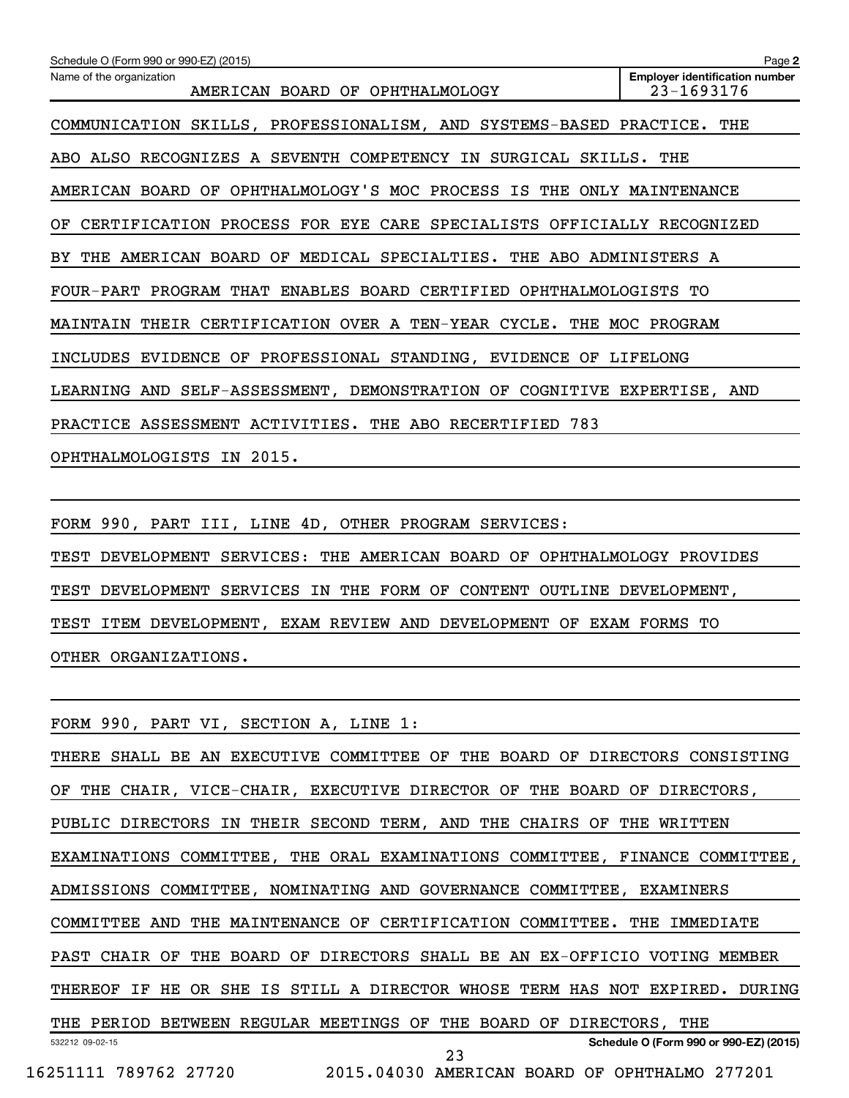| Schedule O (Form 990 or 990-EZ) (2015)                                     | Page 2                                              |
|----------------------------------------------------------------------------|-----------------------------------------------------|
| Name of the organization<br>AMERICAN BOARD OF OPHTHALMOLOGY                | <b>Employer identification number</b><br>23-1693176 |
| COMMUNICATION SKILLS, PROFESSIONALISM, AND SYSTEMS-BASED PRACTICE. THE     |                                                     |
| ABO ALSO RECOGNIZES A SEVENTH COMPETENCY IN<br>SURGICAL SKILLS. THE        |                                                     |
| AMERICAN BOARD OF OPHTHALMOLOGY'S MOC PROCESS IS THE ONLY MAINTENANCE      |                                                     |
| CERTIFICATION PROCESS FOR EYE CARE SPECIALISTS OFFICIALLY RECOGNIZED<br>OF |                                                     |
| THE AMERICAN BOARD OF MEDICAL SPECIALTIES. THE ABO ADMINISTERS A<br>BY .   |                                                     |
| FOUR-PART PROGRAM THAT ENABLES BOARD CERTIFIED OPHTHALMOLOGISTS TO         |                                                     |
| MAINTAIN THEIR CERTIFICATION OVER A TEN-YEAR CYCLE. THE MOC PROGRAM        |                                                     |
| INCLUDES EVIDENCE OF PROFESSIONAL STANDING, EVIDENCE OF LIFELONG           |                                                     |
| LEARNING AND SELF-ASSESSMENT, DEMONSTRATION OF COGNITIVE EXPERTISE, AND    |                                                     |
| PRACTICE ASSESSMENT ACTIVITIES. THE ABO RECERTIFIED 783                    |                                                     |
| OPHTHALMOLOGISTS IN 2015.                                                  |                                                     |

FORM 990, PART III, LINE 4D, OTHER PROGRAM SERVICES: TEST DEVELOPMENT SERVICES: THE AMERICAN BOARD OF OPHTHALMOLOGY PROVIDES TEST DEVELOPMENT SERVICES IN THE FORM OF CONTENT OUTLINE DEVELOPMENT, TEST ITEM DEVELOPMENT, EXAM REVIEW AND DEVELOPMENT OF EXAM FORMS TO OTHER ORGANIZATIONS.

532212 09-02-15 **Schedule O (Form 990 or 990-EZ) (2015)** FORM 990, PART VI, SECTION A, LINE 1: THERE SHALL BE AN EXECUTIVE COMMITTEE OF THE BOARD OF DIRECTORS CONSISTING OF THE CHAIR, VICE-CHAIR, EXECUTIVE DIRECTOR OF THE BOARD OF DIRECTORS, PUBLIC DIRECTORS IN THEIR SECOND TERM, AND THE CHAIRS OF THE WRITTEN EXAMINATIONS COMMITTEE, THE ORAL EXAMINATIONS COMMITTEE, FINANCE COMMITTEE, ADMISSIONS COMMITTEE, NOMINATING AND GOVERNANCE COMMITTEE, EXAMINERS COMMITTEE AND THE MAINTENANCE OF CERTIFICATION COMMITTEE. THE IMMEDIATE PAST CHAIR OF THE BOARD OF DIRECTORS SHALL BE AN EX-OFFICIO VOTING MEMBER THEREOF IF HE OR SHE IS STILL A DIRECTOR WHOSE TERM HAS NOT EXPIRED. DURING THE PERIOD BETWEEN REGULAR MEETINGS OF THE BOARD OF DIRECTORS, THE 16251111 789762 27720 2015.04030 AMERICAN BOARD OF OPHTHALMO 277201 23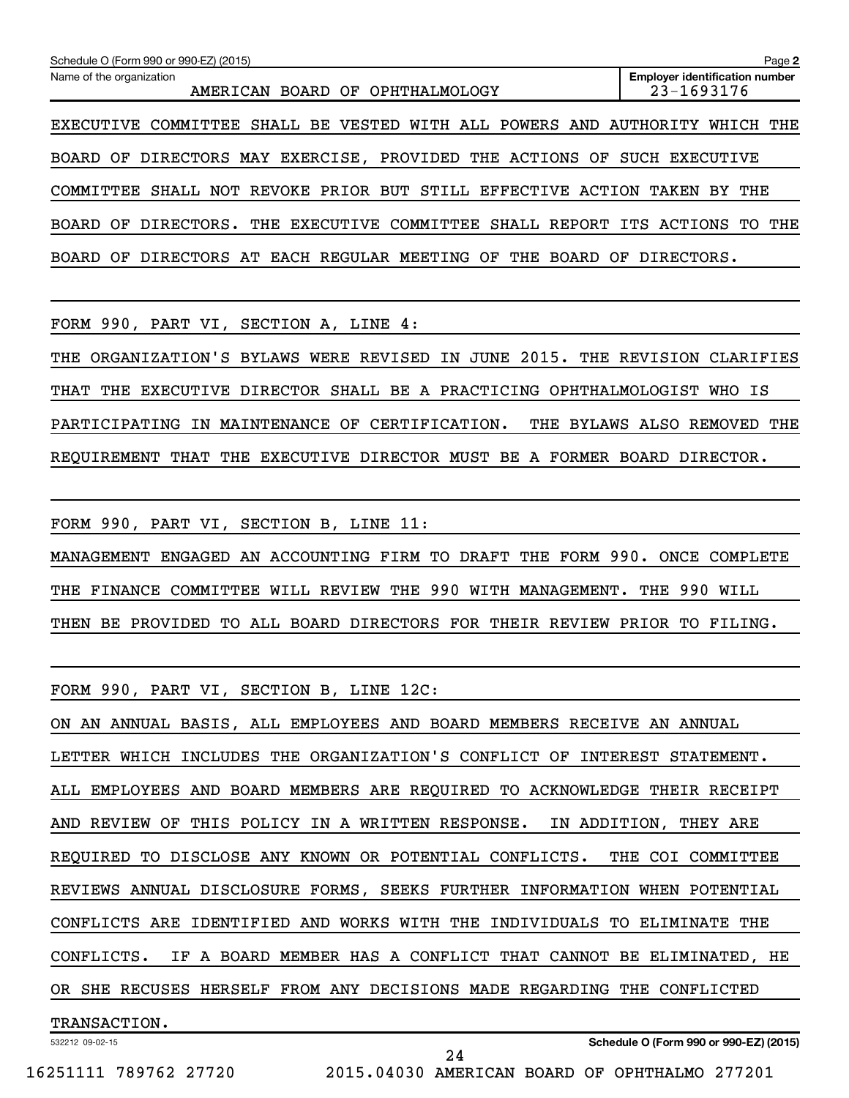| Schedule O (Form 990 or 990-EZ) (2015)                                         | Page 2                                              |
|--------------------------------------------------------------------------------|-----------------------------------------------------|
| Name of the organization<br>AMERICAN BOARD OF OPHTHALMOLOGY                    | <b>Employer identification number</b><br>23-1693176 |
| COMMITTEE SHALL BE VESTED WITH ALL POWERS AND AUTHORITY<br>EXECUTIVE           | WHICH THE                                           |
| BOARD OF DIRECTORS MAY EXERCISE, PROVIDED THE ACTIONS OF                       | SUCH<br>EXECUTIVE                                   |
| SHALL NOT REVOKE PRIOR BUT STILL EFFECTIVE ACTION<br>COMMITTEE                 | TAKEN BY THE                                        |
| THE EXECUTIVE COMMITTEE SHALL REPORT ITS ACTIONS TO THE<br>BOARD OF DIRECTORS. |                                                     |
| BOARD OF DIRECTORS AT EACH REGULAR MEETING OF<br>THE                           | BOARD OF DIRECTORS.                                 |

FORM 990, PART VI, SECTION A, LINE 4:

THE ORGANIZATION'S BYLAWS WERE REVISED IN JUNE 2015. THE REVISION CLARIFIES THAT THE EXECUTIVE DIRECTOR SHALL BE A PRACTICING OPHTHALMOLOGIST WHO IS PARTICIPATING IN MAINTENANCE OF CERTIFICATION. THE BYLAWS ALSO REMOVED THE REQUIREMENT THAT THE EXECUTIVE DIRECTOR MUST BE A FORMER BOARD DIRECTOR.

FORM 990, PART VI, SECTION B, LINE 11: MANAGEMENT ENGAGED AN ACCOUNTING FIRM TO DRAFT THE FORM 990. ONCE COMPLETE THE FINANCE COMMITTEE WILL REVIEW THE 990 WITH MANAGEMENT. THE 990 WILL THEN BE PROVIDED TO ALL BOARD DIRECTORS FOR THEIR REVIEW PRIOR TO FILING.

FORM 990, PART VI, SECTION B, LINE 12C:

ON AN ANNUAL BASIS, ALL EMPLOYEES AND BOARD MEMBERS RECEIVE AN ANNUAL LETTER WHICH INCLUDES THE ORGANIZATION'S CONFLICT OF INTEREST STATEMENT. ALL EMPLOYEES AND BOARD MEMBERS ARE REQUIRED TO ACKNOWLEDGE THEIR RECEIPT AND REVIEW OF THIS POLICY IN A WRITTEN RESPONSE. IN ADDITION, THEY ARE REQUIRED TO DISCLOSE ANY KNOWN OR POTENTIAL CONFLICTS. THE COI COMMITTEE REVIEWS ANNUAL DISCLOSURE FORMS, SEEKS FURTHER INFORMATION WHEN POTENTIAL CONFLICTS ARE IDENTIFIED AND WORKS WITH THE INDIVIDUALS TO ELIMINATE THE CONFLICTS. IF A BOARD MEMBER HAS A CONFLICT THAT CANNOT BE ELIMINATED, HE OR SHE RECUSES HERSELF FROM ANY DECISIONS MADE REGARDING THE CONFLICTED TRANSACTION.

24

532212 09-02-15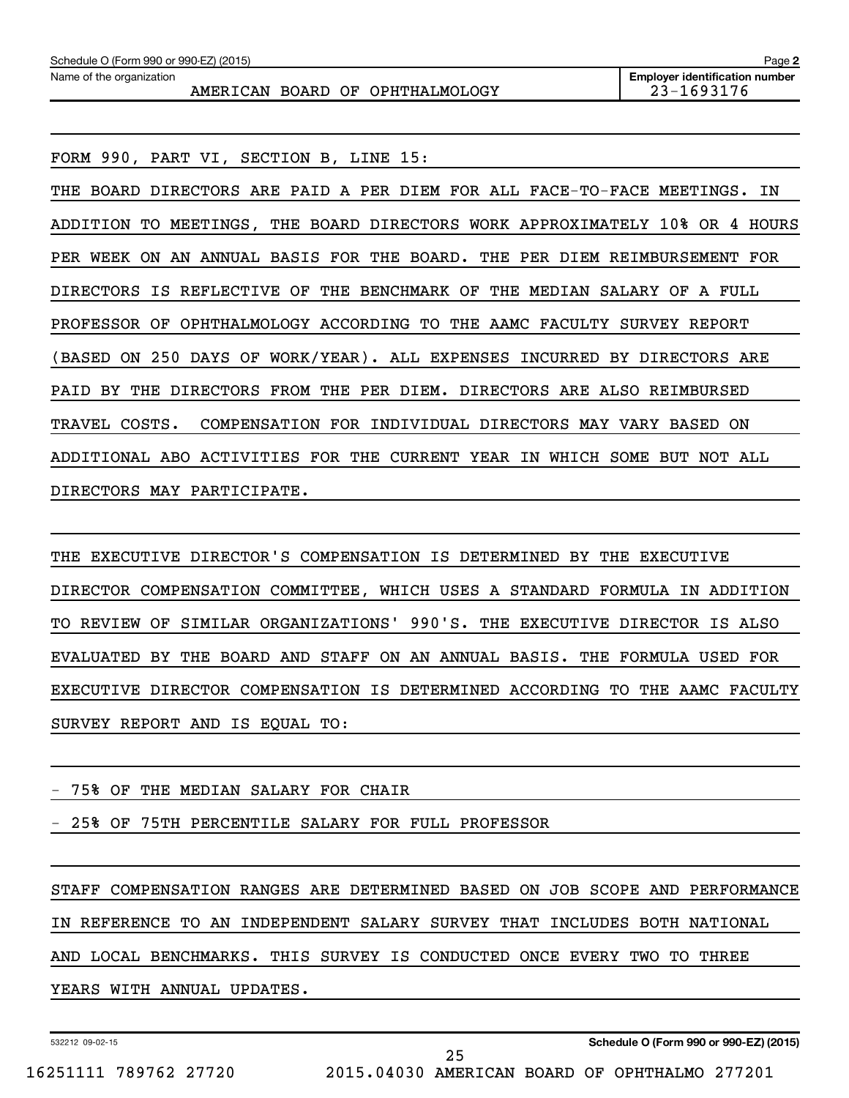| Schedule O (Form 990 or 990-EZ) (2015)<br>Page 2            |                                                     |  |  |  |  |  |
|-------------------------------------------------------------|-----------------------------------------------------|--|--|--|--|--|
| Name of the organization<br>AMERICAN BOARD OF OPHTHALMOLOGY | <b>Employer identification number</b><br>23-1693176 |  |  |  |  |  |
|                                                             |                                                     |  |  |  |  |  |

FORM 990, PART VI, SECTION B, LINE 15:

THE BOARD DIRECTORS ARE PAID A PER DIEM FOR ALL FACE-TO-FACE MEETINGS. IN ADDITION TO MEETINGS, THE BOARD DIRECTORS WORK APPROXIMATELY 10% OR 4 HOURS PER WEEK ON AN ANNUAL BASIS FOR THE BOARD. THE PER DIEM REIMBURSEMENT FOR DIRECTORS IS REFLECTIVE OF THE BENCHMARK OF THE MEDIAN SALARY OF A FULL PROFESSOR OF OPHTHALMOLOGY ACCORDING TO THE AAMC FACULTY SURVEY REPORT (BASED ON 250 DAYS OF WORK/YEAR). ALL EXPENSES INCURRED BY DIRECTORS ARE PAID BY THE DIRECTORS FROM THE PER DIEM. DIRECTORS ARE ALSO REIMBURSED TRAVEL COSTS. COMPENSATION FOR INDIVIDUAL DIRECTORS MAY VARY BASED ON ADDITIONAL ABO ACTIVITIES FOR THE CURRENT YEAR IN WHICH SOME BUT NOT ALL DIRECTORS MAY PARTICIPATE.

THE EXECUTIVE DIRECTOR'S COMPENSATION IS DETERMINED BY THE EXECUTIVE DIRECTOR COMPENSATION COMMITTEE, WHICH USES A STANDARD FORMULA IN ADDITION TO REVIEW OF SIMILAR ORGANIZATIONS' 990'S. THE EXECUTIVE DIRECTOR IS ALSO EVALUATED BY THE BOARD AND STAFF ON AN ANNUAL BASIS. THE FORMULA USED FOR EXECUTIVE DIRECTOR COMPENSATION IS DETERMINED ACCORDING TO THE AAMC FACULTY SURVEY REPORT AND IS EQUAL TO:

#### - 75% OF THE MEDIAN SALARY FOR CHAIR

- 25% OF 75TH PERCENTILE SALARY FOR FULL PROFESSOR

STAFF COMPENSATION RANGES ARE DETERMINED BASED ON JOB SCOPE AND PERFORMANCE IN REFERENCE TO AN INDEPENDENT SALARY SURVEY THAT INCLUDES BOTH NATIONAL AND LOCAL BENCHMARKS. THIS SURVEY IS CONDUCTED ONCE EVERY TWO TO THREE

25

YEARS WITH ANNUAL UPDATES.

532212 09-02-15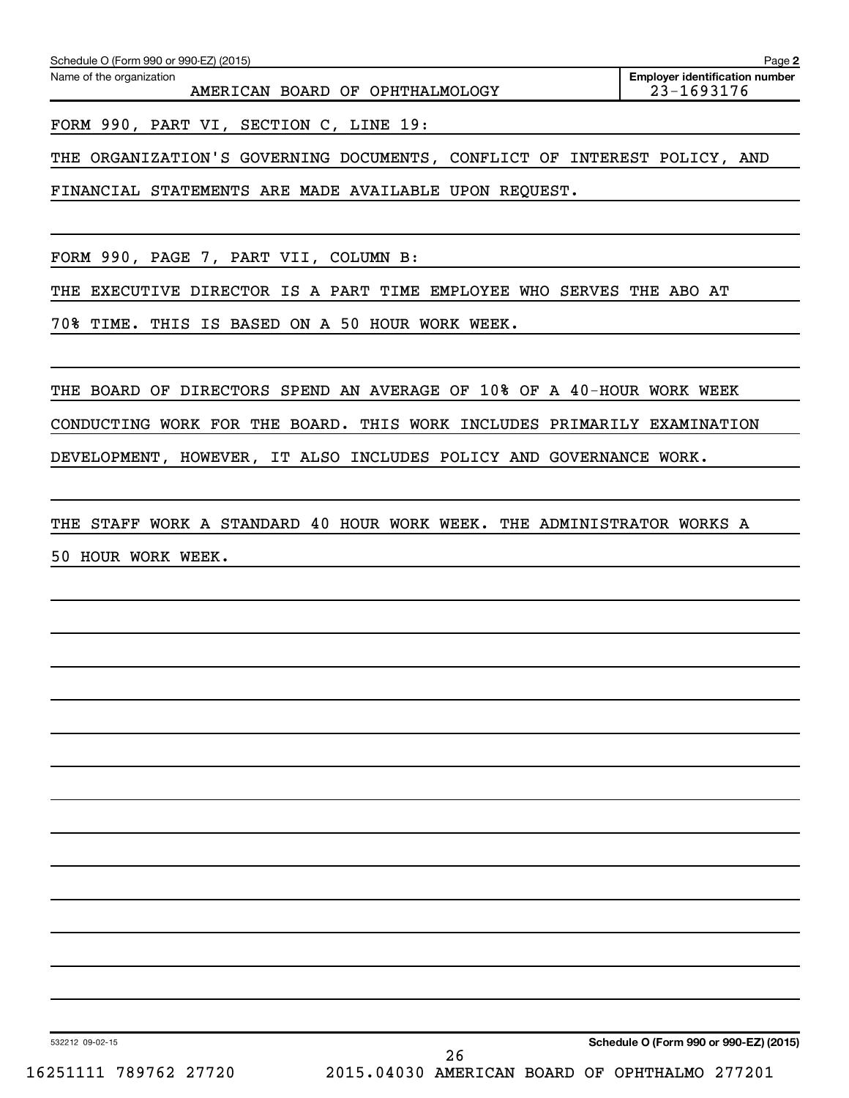| Schedule O (Form 990 or 990-EZ) (2015)<br>Page 2            |                                                     |  |  |  |  |
|-------------------------------------------------------------|-----------------------------------------------------|--|--|--|--|
| Name of the organization<br>AMERICAN BOARD OF OPHTHALMOLOGY | <b>Employer identification number</b><br>23-1693176 |  |  |  |  |
| FORM 990, PART VI, SECTION C, LINE 19:                      |                                                     |  |  |  |  |

THE ORGANIZATION'S GOVERNING DOCUMENTS, CONFLICT OF INTEREST POLICY, AND

FINANCIAL STATEMENTS ARE MADE AVAILABLE UPON REQUEST.

FORM 990, PAGE 7, PART VII, COLUMN B:

THE EXECUTIVE DIRECTOR IS A PART TIME EMPLOYEE WHO SERVES THE ABO AT

70% TIME. THIS IS BASED ON A 50 HOUR WORK WEEK.

THE BOARD OF DIRECTORS SPEND AN AVERAGE OF 10% OF A 40-HOUR WORK WEEK

CONDUCTING WORK FOR THE BOARD. THIS WORK INCLUDES PRIMARILY EXAMINATION

DEVELOPMENT, HOWEVER, IT ALSO INCLUDES POLICY AND GOVERNANCE WORK.

THE STAFF WORK A STANDARD 40 HOUR WORK WEEK. THE ADMINISTRATOR WORKS A 50 HOUR WORK WEEK.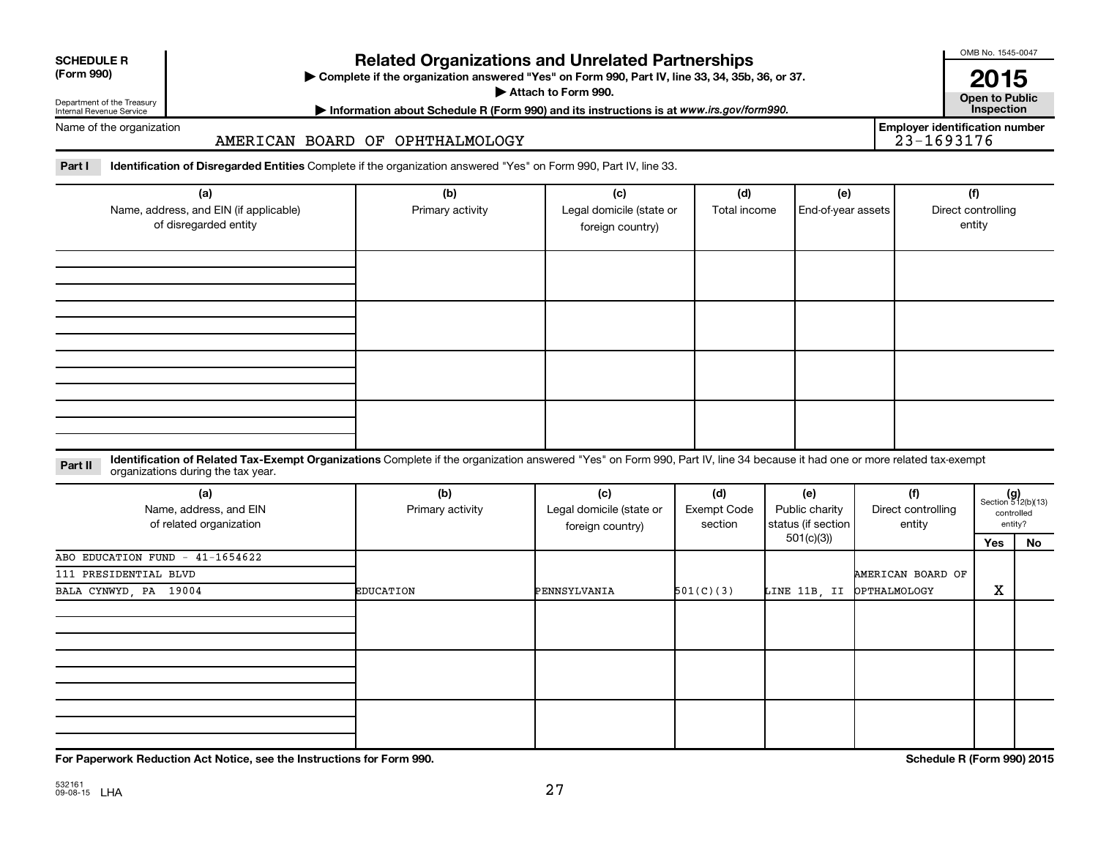| <b>SCHEDULE R</b> |
|-------------------|
|                   |

### **Related Organizations and Unrelated Partnerships**

**(Form 990) Complete if the organization answered "Yes" on Form 990, Part IV, line 33, 34, 35b, 36, or 37.** |

**Attach to Form 990. Contract to Public Contract of Public** 

Department of the Treasury Internal Revenue Service Name of the organization

**Most Information about Schedule R (Form 990) and its instructions is at www.irs.gov/form990.** This pection **Employer identification number**

OMB No. 1545-0047

**2015**<br>Open to Public

AMERICAN BOARD OF OPHTHALMOLOGY

Part I ldentification of Disregarded Entities Complete if the organization answered "Yes" on Form 990, Part IV, line 33.

| (a)<br>Name, address, and EIN (if applicable)<br>of disregarded entity | (b)<br>Primary activity | (c)<br>Legal domicile (state or<br>foreign country) | (d)<br>Total income | (e)<br>End-of-year assets | (f)<br>Direct controlling<br>entity |
|------------------------------------------------------------------------|-------------------------|-----------------------------------------------------|---------------------|---------------------------|-------------------------------------|
|                                                                        |                         |                                                     |                     |                           |                                     |
|                                                                        |                         |                                                     |                     |                           |                                     |
|                                                                        |                         |                                                     |                     |                           |                                     |
|                                                                        |                         |                                                     |                     |                           |                                     |

#### **Part II** Identification of Related Tax-Exempt Organizations Complete if the organization answered "Yes" on Form 990, Part IV, line 34 because it had one or more related tax-exempt<br>Complete it is a seriest of the two wears organizations during the tax year.

| (a)<br>Name, address, and EIN<br>of related organization | (b)<br>Primary activity | (c)<br>Legal domicile (state or<br>foreign country) | (d)<br>Exempt Code<br>section | (e)<br>Public charity<br>status (if section | (f)<br>Direct controlling<br>entity |     | $(g)$<br>Section 512(b)(13)<br>controlled<br>entity? |  |
|----------------------------------------------------------|-------------------------|-----------------------------------------------------|-------------------------------|---------------------------------------------|-------------------------------------|-----|------------------------------------------------------|--|
|                                                          |                         |                                                     |                               | 501(c)(3))                                  |                                     | Yes | No                                                   |  |
| ABO EDUCATION FUND - 41-1654622                          |                         |                                                     |                               |                                             |                                     |     |                                                      |  |
| 111 PRESIDENTIAL BLVD                                    |                         |                                                     |                               |                                             | AMERICAN BOARD OF                   |     |                                                      |  |
| BALA CYNWYD, PA 19004                                    | <b>EDUCATION</b>        | PENNSYLVANIA                                        | 501(C)(3)                     | LINE 11B, II                                | <b>OPTHALMOLOGY</b>                 | X   |                                                      |  |
|                                                          |                         |                                                     |                               |                                             |                                     |     |                                                      |  |
|                                                          |                         |                                                     |                               |                                             |                                     |     |                                                      |  |
|                                                          |                         |                                                     |                               |                                             |                                     |     |                                                      |  |

**For Paperwork Reduction Act Notice, see the Instructions for Form 990. Schedule R (Form 990) 2015**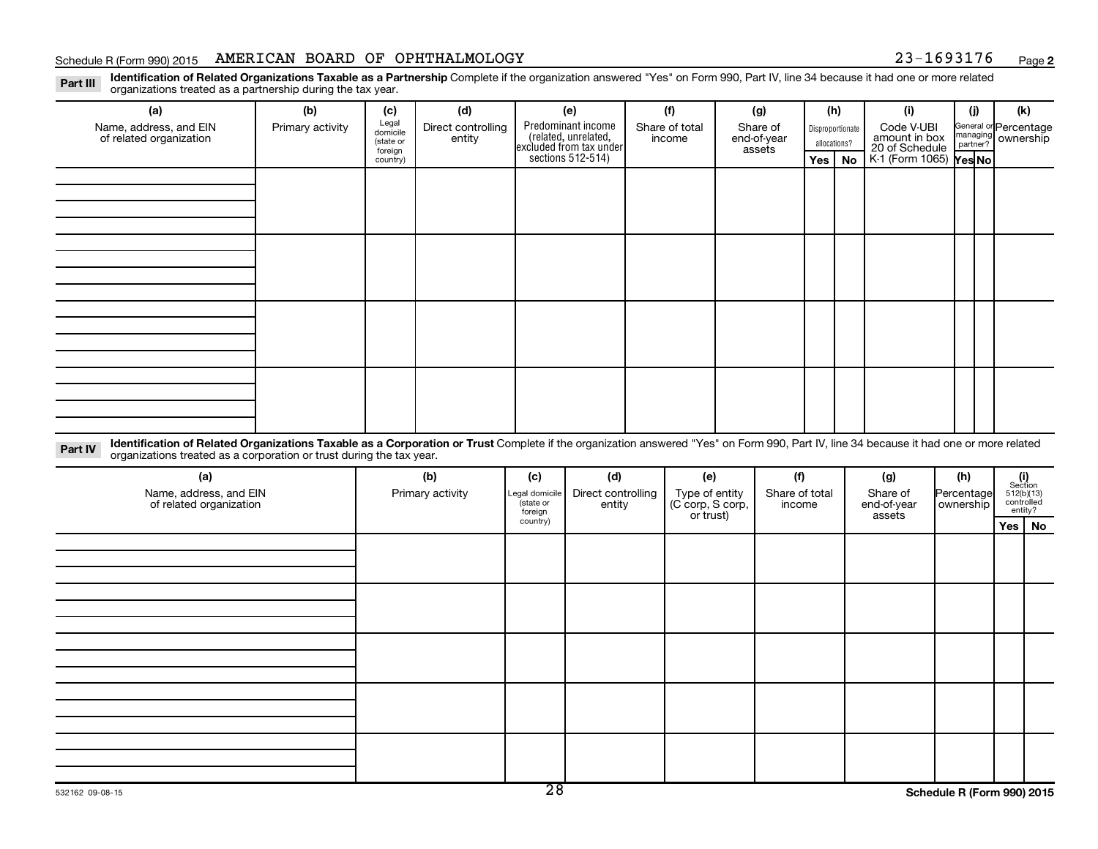#### Schedule R (Form 990) 2015 AMERICAN BOARD OF OPHTHALMOLOGY 23-1693176 Page

**2**

Part III Identification of Related Organizations Taxable as a Partnership Complete if the organization answered "Yes" on Form 990, Part IV, line 34 because it had one or more related<br>Read to the organizations tracted as a organizations treated as a partnership during the tax year.

| (a)                                                                                                                                                                                                                                                                       | (b)              | (c)                                       | (d)                          |     | (e)                                                                                        | (f)                      |     | (g)                               |                                  | (h) |                                               | (i)                    | (i)                                         | (k) |
|---------------------------------------------------------------------------------------------------------------------------------------------------------------------------------------------------------------------------------------------------------------------------|------------------|-------------------------------------------|------------------------------|-----|--------------------------------------------------------------------------------------------|--------------------------|-----|-----------------------------------|----------------------------------|-----|-----------------------------------------------|------------------------|---------------------------------------------|-----|
| Name, address, and EIN<br>of related organization                                                                                                                                                                                                                         | Primary activity | Legal<br>domicile<br>(state or<br>foreign | Direct controlling<br>entity |     | Predominant income<br>(related, unrelated,<br>excluded from tax under<br>sections 512-514) | Share of total<br>income |     | Share of<br>end-of-year<br>assets | Disproportionate<br>allocations? |     | Code V-UBI<br>amount in box<br>20 of Schedule |                        | General or Percentage<br>managing ownership |     |
|                                                                                                                                                                                                                                                                           |                  | country)                                  |                              |     |                                                                                            |                          |     |                                   |                                  | Yes | No                                            | K-1 (Form 1065) Yes No |                                             |     |
|                                                                                                                                                                                                                                                                           |                  |                                           |                              |     |                                                                                            |                          |     |                                   |                                  |     |                                               |                        |                                             |     |
|                                                                                                                                                                                                                                                                           |                  |                                           |                              |     |                                                                                            |                          |     |                                   |                                  |     |                                               |                        |                                             |     |
|                                                                                                                                                                                                                                                                           |                  |                                           |                              |     |                                                                                            |                          |     |                                   |                                  |     |                                               |                        |                                             |     |
|                                                                                                                                                                                                                                                                           |                  |                                           |                              |     |                                                                                            |                          |     |                                   |                                  |     |                                               |                        |                                             |     |
|                                                                                                                                                                                                                                                                           |                  |                                           |                              |     |                                                                                            |                          |     |                                   |                                  |     |                                               |                        |                                             |     |
|                                                                                                                                                                                                                                                                           |                  |                                           |                              |     |                                                                                            |                          |     |                                   |                                  |     |                                               |                        |                                             |     |
|                                                                                                                                                                                                                                                                           |                  |                                           |                              |     |                                                                                            |                          |     |                                   |                                  |     |                                               |                        |                                             |     |
|                                                                                                                                                                                                                                                                           |                  |                                           |                              |     |                                                                                            |                          |     |                                   |                                  |     |                                               |                        |                                             |     |
|                                                                                                                                                                                                                                                                           |                  |                                           |                              |     |                                                                                            |                          |     |                                   |                                  |     |                                               |                        |                                             |     |
|                                                                                                                                                                                                                                                                           |                  |                                           |                              |     |                                                                                            |                          |     |                                   |                                  |     |                                               |                        |                                             |     |
|                                                                                                                                                                                                                                                                           |                  |                                           |                              |     |                                                                                            |                          |     |                                   |                                  |     |                                               |                        |                                             |     |
|                                                                                                                                                                                                                                                                           |                  |                                           |                              |     |                                                                                            |                          |     |                                   |                                  |     |                                               |                        |                                             |     |
|                                                                                                                                                                                                                                                                           |                  |                                           |                              |     |                                                                                            |                          |     |                                   |                                  |     |                                               |                        |                                             |     |
|                                                                                                                                                                                                                                                                           |                  |                                           |                              |     |                                                                                            |                          |     |                                   |                                  |     |                                               |                        |                                             |     |
|                                                                                                                                                                                                                                                                           |                  |                                           |                              |     |                                                                                            |                          |     |                                   |                                  |     |                                               |                        |                                             |     |
|                                                                                                                                                                                                                                                                           |                  |                                           |                              |     |                                                                                            |                          |     |                                   |                                  |     |                                               |                        |                                             |     |
| Identification of Related Organizations Taxable as a Corporation or Trust Complete if the organization answered "Yes" on Form 990, Part IV, line 34 because it had one or more related<br>Part IV<br>organizations treated as a corporation or trust during the tax year. |                  |                                           |                              |     |                                                                                            |                          |     |                                   |                                  |     |                                               |                        |                                             |     |
| (a)                                                                                                                                                                                                                                                                       |                  |                                           | (b)                          | (c) | (d)                                                                                        |                          | (e) |                                   | (f)                              |     |                                               | (g)                    | (h)                                         | (i) |

| (a)                                               | (b)              | (c)                                                                   | (d) | (e)                                             | (f)                      | (g)                               | (h)                       |          |                                                                                                                                |
|---------------------------------------------------|------------------|-----------------------------------------------------------------------|-----|-------------------------------------------------|--------------------------|-----------------------------------|---------------------------|----------|--------------------------------------------------------------------------------------------------------------------------------|
| Name, address, and EIN<br>of related organization | Primary activity | Direct controlling<br>Legal domicile<br>state or<br>entity<br>foreign |     | Type of entity<br>(C corp, S corp,<br>or trust) | Share of total<br>income | Share of<br>end-of-year<br>assets | Percentage<br>  ownership |          | $\begin{array}{c} \textbf{(i)}\\ \text{Section}\\ 512 \text{(b)} \text{(13)}\\ \text{controlled}\\ \text{entity?} \end{array}$ |
|                                                   |                  | country)                                                              |     |                                                 |                          |                                   |                           | Yes   No |                                                                                                                                |
|                                                   |                  |                                                                       |     |                                                 |                          |                                   |                           |          |                                                                                                                                |
|                                                   |                  |                                                                       |     |                                                 |                          |                                   |                           |          |                                                                                                                                |
|                                                   |                  |                                                                       |     |                                                 |                          |                                   |                           |          |                                                                                                                                |
|                                                   |                  |                                                                       |     |                                                 |                          |                                   |                           |          |                                                                                                                                |
|                                                   |                  |                                                                       |     |                                                 |                          |                                   |                           |          |                                                                                                                                |
|                                                   |                  |                                                                       |     |                                                 |                          |                                   |                           |          |                                                                                                                                |
|                                                   |                  |                                                                       |     |                                                 |                          |                                   |                           |          |                                                                                                                                |
|                                                   |                  |                                                                       |     |                                                 |                          |                                   |                           |          |                                                                                                                                |
|                                                   |                  |                                                                       |     |                                                 |                          |                                   |                           |          |                                                                                                                                |
|                                                   |                  |                                                                       |     |                                                 |                          |                                   |                           |          |                                                                                                                                |
|                                                   |                  |                                                                       |     |                                                 |                          |                                   |                           |          |                                                                                                                                |
|                                                   |                  |                                                                       |     |                                                 |                          |                                   |                           |          |                                                                                                                                |
|                                                   |                  |                                                                       |     |                                                 |                          |                                   |                           |          |                                                                                                                                |
|                                                   |                  |                                                                       |     |                                                 |                          |                                   |                           |          |                                                                                                                                |
|                                                   |                  | --                                                                    |     |                                                 |                          |                                   |                           |          |                                                                                                                                |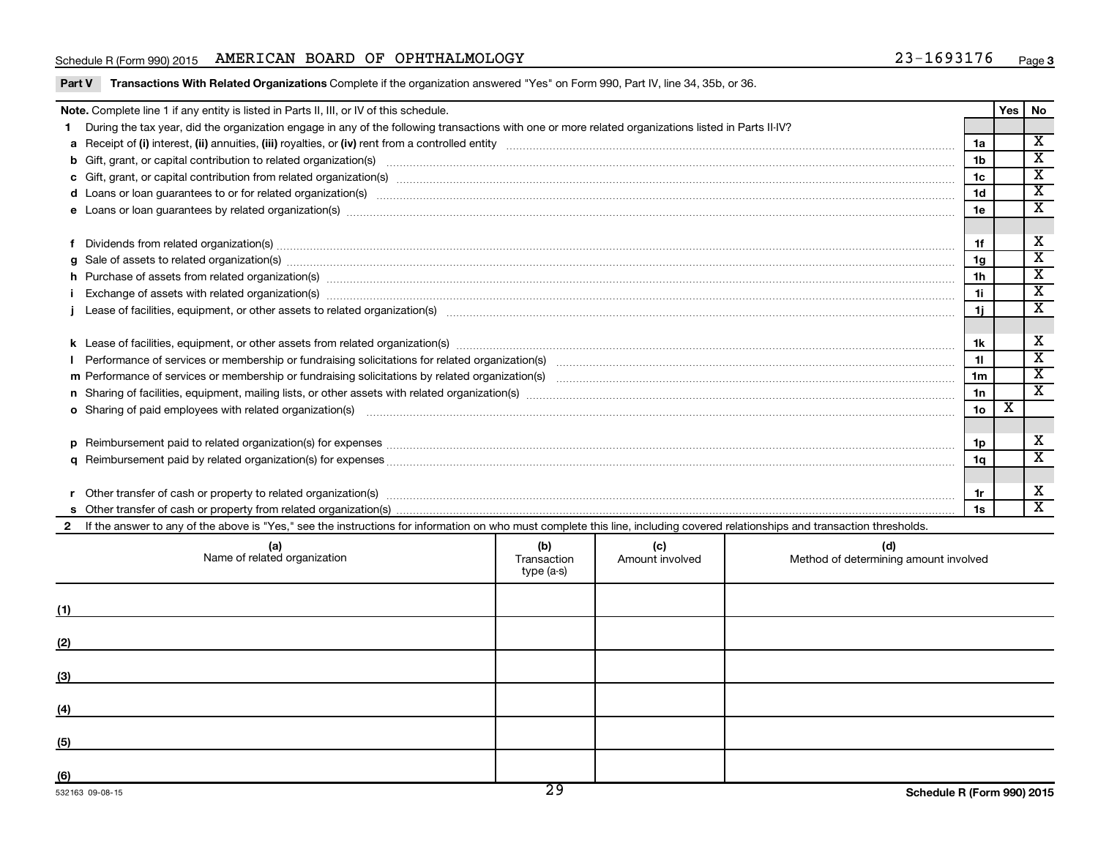#### Schedule R (Form 990) 2015 AMERICAN BOARD OF OPHTHALMOLOGY 23-1693176 Page

|                                                                                                                                                                                                                                | Note. Complete line 1 if any entity is listed in Parts II, III, or IV of this schedule.                                                                                                                                        |  |                        |                                              |                 | Yes | No                      |  |  |  |  |
|--------------------------------------------------------------------------------------------------------------------------------------------------------------------------------------------------------------------------------|--------------------------------------------------------------------------------------------------------------------------------------------------------------------------------------------------------------------------------|--|------------------------|----------------------------------------------|-----------------|-----|-------------------------|--|--|--|--|
|                                                                                                                                                                                                                                | During the tax year, did the organization engage in any of the following transactions with one or more related organizations listed in Parts II-IV?                                                                            |  |                        |                                              |                 |     |                         |  |  |  |  |
|                                                                                                                                                                                                                                |                                                                                                                                                                                                                                |  |                        |                                              | 1a              |     | $\overline{\texttt{x}}$ |  |  |  |  |
|                                                                                                                                                                                                                                | b Gift, grant, or capital contribution to related organization(s) manufactured contains and contribution to related organization(s) manufactured contribution to related organization(s)                                       |  |                        |                                              | 1 <sub>b</sub>  |     | $\overline{\texttt{x}}$ |  |  |  |  |
|                                                                                                                                                                                                                                | 1 <sub>c</sub>                                                                                                                                                                                                                 |  |                        |                                              |                 |     |                         |  |  |  |  |
|                                                                                                                                                                                                                                | d Loans or loan guarantees to or for related organization(s) www.communities.com/www.communities.com/www.communities.com/www.communities.com/www.communities.com/www.communities.com/www.communities.com/www.communities.com/w |  |                        |                                              |                 |     |                         |  |  |  |  |
| e Loans or loan guarantees by related organization(s) mature material content to construct the content of the content of the content of the content of the content of the content of the content of the content of the content |                                                                                                                                                                                                                                |  |                        |                                              |                 |     |                         |  |  |  |  |
| 1.                                                                                                                                                                                                                             | Dividends from related organization(s) material content and content and content and content and content and content and content and content and content and content and content and content and content and content and conten |  |                        |                                              |                 |     |                         |  |  |  |  |
| a                                                                                                                                                                                                                              | Sale of assets to related organization(s) www.assettion.com/www.assettion.com/www.assettion.com/www.assettion.com/www.assettion.com/www.assettion.com/www.assettion.com/www.assettion.com/www.assettion.com/www.assettion.com/ |  |                        |                                              | 1g              |     | $\overline{\mathbf{x}}$ |  |  |  |  |
|                                                                                                                                                                                                                                | h Purchase of assets from related organization(s) manufactured content to content the content of the content of the content of the content of the content of the content of the content of the content of the content of the c |  |                        |                                              |                 |     |                         |  |  |  |  |
|                                                                                                                                                                                                                                |                                                                                                                                                                                                                                |  |                        |                                              |                 |     |                         |  |  |  |  |
|                                                                                                                                                                                                                                |                                                                                                                                                                                                                                |  |                        |                                              |                 |     |                         |  |  |  |  |
|                                                                                                                                                                                                                                |                                                                                                                                                                                                                                |  |                        |                                              |                 |     |                         |  |  |  |  |
|                                                                                                                                                                                                                                |                                                                                                                                                                                                                                |  |                        |                                              |                 |     |                         |  |  |  |  |
|                                                                                                                                                                                                                                |                                                                                                                                                                                                                                |  |                        |                                              |                 |     |                         |  |  |  |  |
|                                                                                                                                                                                                                                |                                                                                                                                                                                                                                |  |                        |                                              | 1 <sub>m</sub>  |     | $\overline{\texttt{x}}$ |  |  |  |  |
|                                                                                                                                                                                                                                |                                                                                                                                                                                                                                |  |                        |                                              | 1n              |     | $\overline{\texttt{x}}$ |  |  |  |  |
|                                                                                                                                                                                                                                |                                                                                                                                                                                                                                |  |                        |                                              | 10 <sub>o</sub> | х   |                         |  |  |  |  |
|                                                                                                                                                                                                                                |                                                                                                                                                                                                                                |  |                        |                                              |                 |     | х                       |  |  |  |  |
| D                                                                                                                                                                                                                              |                                                                                                                                                                                                                                |  |                        |                                              | 1p              |     | $\overline{\texttt{x}}$ |  |  |  |  |
| a                                                                                                                                                                                                                              |                                                                                                                                                                                                                                |  |                        |                                              | 1q              |     |                         |  |  |  |  |
|                                                                                                                                                                                                                                |                                                                                                                                                                                                                                |  |                        |                                              | 1r              |     | х                       |  |  |  |  |
|                                                                                                                                                                                                                                |                                                                                                                                                                                                                                |  |                        |                                              | 1s              |     | $\overline{\mathbf{X}}$ |  |  |  |  |
|                                                                                                                                                                                                                                | If the answer to any of the above is "Yes," see the instructions for information on who must complete this line, including covered relationships and transaction thresholds.                                                   |  |                        |                                              |                 |     |                         |  |  |  |  |
|                                                                                                                                                                                                                                | (b)<br>(a)<br>Name of related organization<br>Transaction<br>type (a-s)                                                                                                                                                        |  | (c)<br>Amount involved | (d)<br>Method of determining amount involved |                 |     |                         |  |  |  |  |
|                                                                                                                                                                                                                                |                                                                                                                                                                                                                                |  |                        |                                              |                 |     |                         |  |  |  |  |

| (1) |  |  |
|-----|--|--|
| (2) |  |  |
| (3) |  |  |
| (4) |  |  |
| (5) |  |  |
| (6) |  |  |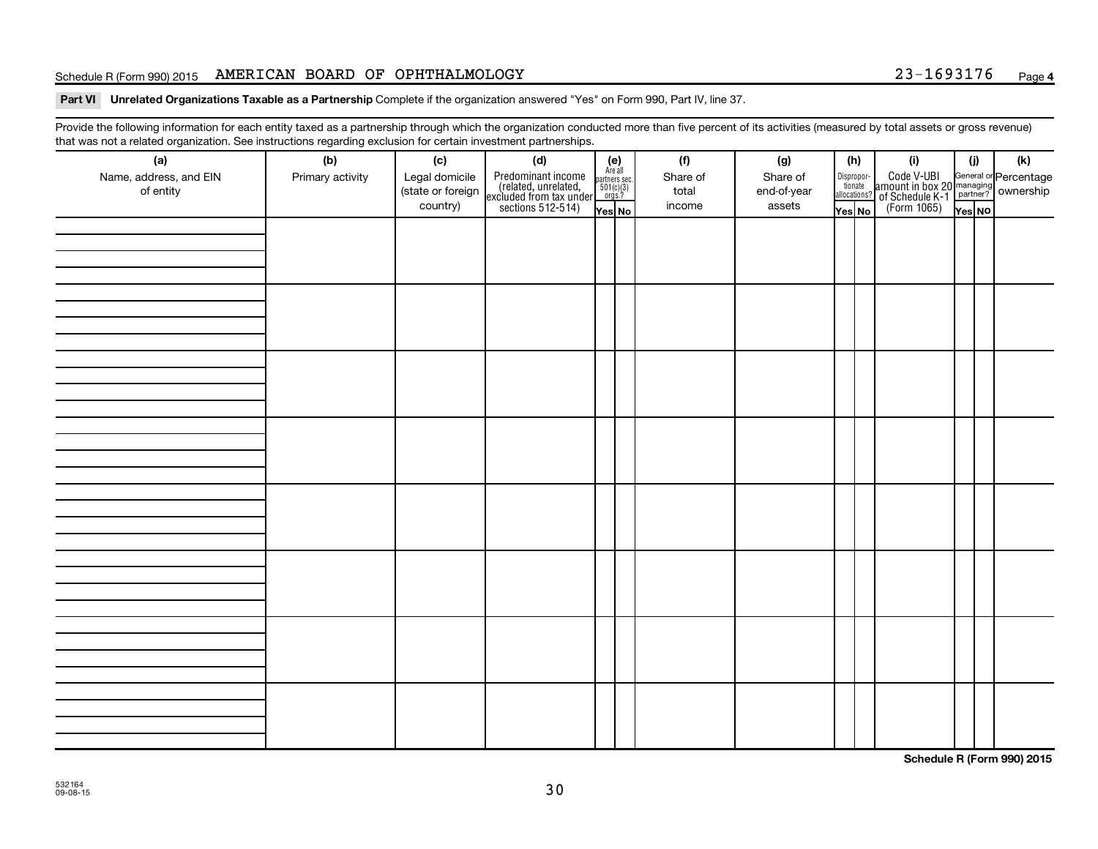#### Schedule R (Form 990) 2015 AMERICAN BOARD OF OPHTHALMOLOGY 23-1693176 Page

#### Part VI Unrelated Organizations Taxable as a Partnership Complete if the organization answered "Yes" on Form 990, Part IV, line 37.

Provide the following information for each entity taxed as a partnership through which the organization conducted more than five percent of its activities (measured by total assets or gross revenue) that was not a related organization. See instructions regarding exclusion for certain investment partnerships.

| hat neo hot a rolatod organization. Ooo motraotiono rogaranty oxolaolon for oortam invootmont partnolompo.<br>(a) | (b)              | (c)               | (d)                                                                                        |                                                            | (f)      | (g)         |                                  | (h) | (i)                                                                                                | (j)    | (k) |
|-------------------------------------------------------------------------------------------------------------------|------------------|-------------------|--------------------------------------------------------------------------------------------|------------------------------------------------------------|----------|-------------|----------------------------------|-----|----------------------------------------------------------------------------------------------------|--------|-----|
| Name, address, and EIN                                                                                            | Primary activity | Legal domicile    |                                                                                            | $(e)$<br>Are all<br>partners sec.<br>$501(c)(3)$<br>orgs.? | Share of | Share of    |                                  |     |                                                                                                    |        |     |
| of entity                                                                                                         |                  | (state or foreign | Predominant income<br>(related, unrelated,<br>excluded from tax under<br>sections 512-514) |                                                            | total    | end-of-year | Disproportionate<br>allocations? |     | Code V-UBI<br>amount in box 20 managing<br>of Schedule K-1<br>(Form 1065)<br>$\overline{V}$ ves No |        |     |
|                                                                                                                   |                  | country)          |                                                                                            | Yes No                                                     | income   | assets      | Yes No                           |     |                                                                                                    | Yes NO |     |
|                                                                                                                   |                  |                   |                                                                                            |                                                            |          |             |                                  |     |                                                                                                    |        |     |
|                                                                                                                   |                  |                   |                                                                                            |                                                            |          |             |                                  |     |                                                                                                    |        |     |
|                                                                                                                   |                  |                   |                                                                                            |                                                            |          |             |                                  |     |                                                                                                    |        |     |
|                                                                                                                   |                  |                   |                                                                                            |                                                            |          |             |                                  |     |                                                                                                    |        |     |
|                                                                                                                   |                  |                   |                                                                                            |                                                            |          |             |                                  |     |                                                                                                    |        |     |
|                                                                                                                   |                  |                   |                                                                                            |                                                            |          |             |                                  |     |                                                                                                    |        |     |
|                                                                                                                   |                  |                   |                                                                                            |                                                            |          |             |                                  |     |                                                                                                    |        |     |
|                                                                                                                   |                  |                   |                                                                                            |                                                            |          |             |                                  |     |                                                                                                    |        |     |
|                                                                                                                   |                  |                   |                                                                                            |                                                            |          |             |                                  |     |                                                                                                    |        |     |
|                                                                                                                   |                  |                   |                                                                                            |                                                            |          |             |                                  |     |                                                                                                    |        |     |
|                                                                                                                   |                  |                   |                                                                                            |                                                            |          |             |                                  |     |                                                                                                    |        |     |
|                                                                                                                   |                  |                   |                                                                                            |                                                            |          |             |                                  |     |                                                                                                    |        |     |
|                                                                                                                   |                  |                   |                                                                                            |                                                            |          |             |                                  |     |                                                                                                    |        |     |
|                                                                                                                   |                  |                   |                                                                                            |                                                            |          |             |                                  |     |                                                                                                    |        |     |
|                                                                                                                   |                  |                   |                                                                                            |                                                            |          |             |                                  |     |                                                                                                    |        |     |
|                                                                                                                   |                  |                   |                                                                                            |                                                            |          |             |                                  |     |                                                                                                    |        |     |
|                                                                                                                   |                  |                   |                                                                                            |                                                            |          |             |                                  |     |                                                                                                    |        |     |
|                                                                                                                   |                  |                   |                                                                                            |                                                            |          |             |                                  |     |                                                                                                    |        |     |
|                                                                                                                   |                  |                   |                                                                                            |                                                            |          |             |                                  |     |                                                                                                    |        |     |
|                                                                                                                   |                  |                   |                                                                                            |                                                            |          |             |                                  |     |                                                                                                    |        |     |
|                                                                                                                   |                  |                   |                                                                                            |                                                            |          |             |                                  |     |                                                                                                    |        |     |
|                                                                                                                   |                  |                   |                                                                                            |                                                            |          |             |                                  |     |                                                                                                    |        |     |
|                                                                                                                   |                  |                   |                                                                                            |                                                            |          |             |                                  |     |                                                                                                    |        |     |
|                                                                                                                   |                  |                   |                                                                                            |                                                            |          |             |                                  |     |                                                                                                    |        |     |
|                                                                                                                   |                  |                   |                                                                                            |                                                            |          |             |                                  |     |                                                                                                    |        |     |
|                                                                                                                   |                  |                   |                                                                                            |                                                            |          |             |                                  |     |                                                                                                    |        |     |
|                                                                                                                   |                  |                   |                                                                                            |                                                            |          |             |                                  |     |                                                                                                    |        |     |
|                                                                                                                   |                  |                   |                                                                                            |                                                            |          |             |                                  |     |                                                                                                    |        |     |
|                                                                                                                   |                  |                   |                                                                                            |                                                            |          |             |                                  |     |                                                                                                    |        |     |
|                                                                                                                   |                  |                   |                                                                                            |                                                            |          |             |                                  |     |                                                                                                    |        |     |
|                                                                                                                   |                  |                   |                                                                                            |                                                            |          |             |                                  |     |                                                                                                    |        |     |
|                                                                                                                   |                  |                   |                                                                                            |                                                            |          |             |                                  |     |                                                                                                    |        |     |
|                                                                                                                   |                  |                   |                                                                                            |                                                            |          |             |                                  |     |                                                                                                    |        |     |
|                                                                                                                   |                  |                   |                                                                                            |                                                            |          |             |                                  |     |                                                                                                    |        |     |
|                                                                                                                   |                  |                   |                                                                                            |                                                            |          |             |                                  |     |                                                                                                    |        |     |

**Schedule R (Form 990) 2015**